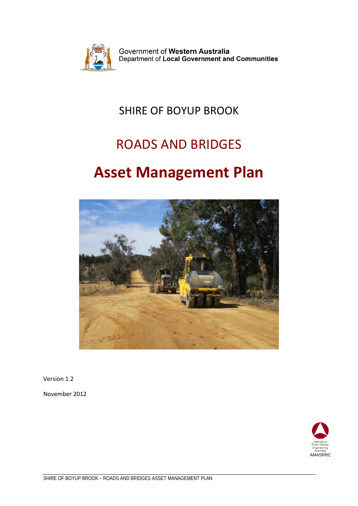

Government of Western Australia<br>Department of Local Government and Communities

# SHIRE OF BOYUP BROOK

# ROADS AND BRIDGES

# **Asset Management Plan**



Version 1.2

November 2012

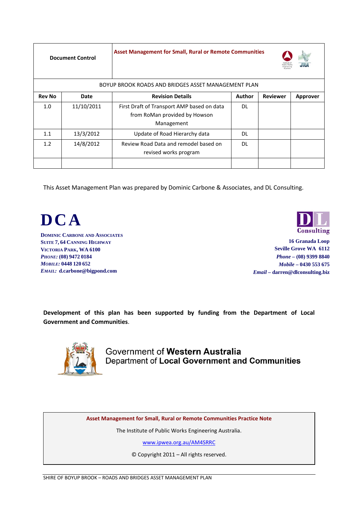| <b>Document Control</b> |            | <b>Asset Management for Small, Rural or Remote Communities</b>                            |        |                 |                 |  |  |
|-------------------------|------------|-------------------------------------------------------------------------------------------|--------|-----------------|-----------------|--|--|
|                         |            | BOYUP BROOK ROADS AND BRIDGES ASSET MANAGEMENT PLAN                                       |        |                 |                 |  |  |
| <b>Rev No</b>           | Date       | <b>Revision Details</b>                                                                   | Author | <b>Reviewer</b> | <b>Approver</b> |  |  |
| 1.0                     | 11/10/2011 | First Draft of Transport AMP based on data<br>from RoMan provided by Howson<br>Management | DL.    |                 |                 |  |  |
| 1.1                     | 13/3/2012  | Update of Road Hierarchy data                                                             | DL     |                 |                 |  |  |
| 14/8/2012<br>1.2        |            | Review Road Data and remodel based on<br>revised works program                            | DL.    |                 |                 |  |  |
|                         |            |                                                                                           |        |                 |                 |  |  |

This Asset Management Plan was prepared by Dominic Carbone & Associates, and DL Consulting.

**DOMINIC CARBONE AND ASSOCIATES SUITE 7, 64 CANNING HIGHWAY VICTORIA PARK, WA 6100** *PHONE:* **(08) 9472 0184** *MOBILE:* **0448 120 652** *EMAIL:* **d.carbone@bigpond.com**

**DCA**



**16 Granada Loop Seville Grove WA 6112** *Phone* **– (08) 9399 8840** *Mobile* **– 0430 553 675** *Email* **– darren@dlconsulting.biz**

**Development of this plan has been supported by funding from the Department of Local Government and Communities**.



Government of Western Australia Department of Local Government and Communities

**Asset Management for Small, Rural or Remote Communities Practice Note**

The Institute of Public Works Engineering Australia.

[www.ipwea.org.au/AM4SRRC](http://www.ipwea.org.au/AM4SRRC)

© Copyright 2011 – All rights reserved.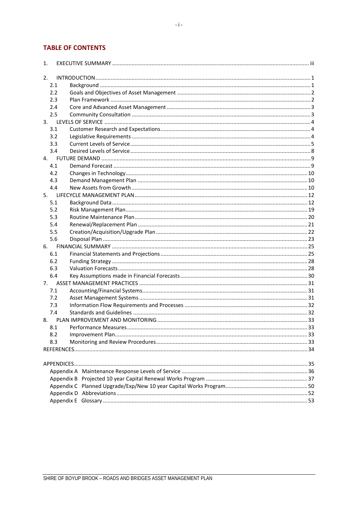# **TABLE OF CONTENTS**

| 1.  |  |
|-----|--|
| 2.  |  |
| 2.1 |  |
| 2.2 |  |
| 2.3 |  |
| 2.4 |  |
| 2.5 |  |
|     |  |
| 3.1 |  |
| 3.2 |  |
| 3.3 |  |
| 3.4 |  |
| 4.  |  |
| 4.1 |  |
| 4.2 |  |
| 4.3 |  |
| 4.4 |  |
| 5.  |  |
| 5.1 |  |
| 5.2 |  |
| 5.3 |  |
| 5.4 |  |
| 5.5 |  |
| 5.6 |  |
| 6.  |  |
| 6.1 |  |
| 6.2 |  |
| 6.3 |  |
| 6.4 |  |
| 7.  |  |
| 7.1 |  |
| 7.2 |  |
| 7.3 |  |
| 7.4 |  |
| 8.  |  |
| 8.1 |  |
| 8.2 |  |
| 8.3 |  |
|     |  |
|     |  |
|     |  |
|     |  |
|     |  |
|     |  |
|     |  |
|     |  |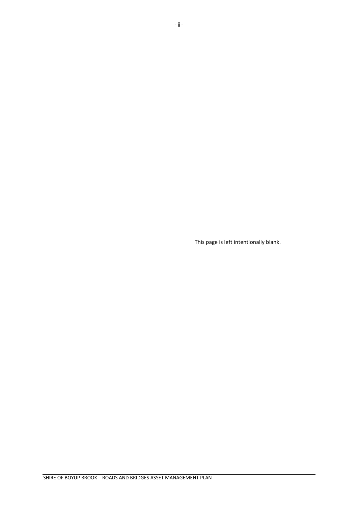This page is left intentionally blank.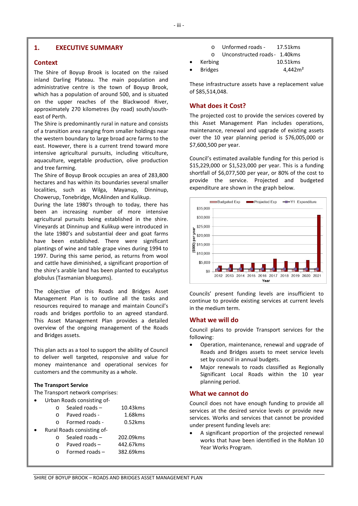# <span id="page-5-0"></span>**1. EXECUTIVE SUMMARY**

# **Context**

The Shire of Boyup Brook is located on the raised inland Darling Plateau. The main population and administrative centre is the town of Boyup Brook, which has a population of around 500, and is situated on the upper reaches of the Blackwood River, approximately 270 kilometres (by road) south/southeast of Perth.

The Shire is predominantly rural in nature and consists of a transition area ranging from smaller holdings near the western boundary to large broad acre farms to the east. However, there is a current trend toward more intensive agricultural pursuits, including viticulture, aquaculture, vegetable production, olive production and tree farming.

The Shire of Boyup Brook occupies an area of 283,800 hectares and has within its boundaries several smaller localities, such as Wilga, Mayanup, Dinninup, Chowerup, Tonebridge, McAlinden and Kulikup.

During the late 1980's through to today, there has been an increasing number of more intensive agricultural pursuits being established in the shire. Vineyards at Dinninup and Kulikup were introduced in the late 1980's and substantial deer and goat farms have been established. There were significant plantings of wine and table grape vines during 1994 to 1997. During this same period, as returns from wool and cattle have diminished, a significant proportion of the shire's arable land has been planted to eucalyptus globulus (Tasmanian bluegums).

The objective of this Roads and Bridges Asset Management Plan is to outline all the tasks and resources required to manage and maintain Council's roads and bridges portfolio to an agreed standard. This Asset Management Plan provides a detailed overview of the ongoing management of the Roads and Bridges assets.

This plan acts as a tool to support the ability of Council to deliver well targeted, responsive and value for money maintenance and operational services for customers and the community as a whole.

# **The Transport Service**

The Transport network comprises:

• Urban Roads consisting of-

| $\Omega$                | Sealed roads - | 10.43kms                   |  |  |  |
|-------------------------|----------------|----------------------------|--|--|--|
| Paved roads -<br>$\cap$ |                | 1.68kms                    |  |  |  |
| $\cap$                  | Formed roads - | $0.52$ kms                 |  |  |  |
|                         |                |                            |  |  |  |
| $\cap$                  | Sealed roads - | 202.09kms                  |  |  |  |
|                         | Paved roads -  | 442.67kms                  |  |  |  |
|                         |                | Rural Roads consisting of- |  |  |  |

Formed roads  $-$  382.69 kms

| $\cap$            | Unformed roads -<br>17.51kms  |
|-------------------|-------------------------------|
| $\cap$            | Unconstructed roads - 1.40kms |
| $\bullet$ Kerbing | 10.51 km s                    |
| $\bullet$ Bridges | 4.442m <sup>2</sup>           |

These infrastructure assets have a replacement value of \$85,514,048.

# **What does it Cost?**

The projected cost to provide the services covered by this Asset Management Plan includes operations, maintenance, renewal and upgrade of existing assets over the 10 year planning period is \$76,005,000 or \$7,600,500 per year.

Council's estimated available funding for this period is \$15,229,000 or \$1,523,000 per year. This is a funding shortfall of \$6,077,500 per year, or 80% of the cost to provide the service. Projected and budgeted expenditure are shown in the graph below.



Councils' present funding levels are insufficient to continue to provide existing services at current levels in the medium term.

# **What we will do**

Council plans to provide Transport services for the following:

- Operation, maintenance, renewal and upgrade of Roads and Bridges assets to meet service levels set by council in annual budgets.
- Major renewals to roads classified as Regionally Significant Local Roads within the 10 year planning period.

# **What we cannot do**

Council does not have enough funding to provide all services at the desired service levels or provide new services. Works and services that cannot be provided under present funding levels are:

• A significant proportion of the projected renewal works that have been identified in the RoMan 10 Year Works Program.

- iii -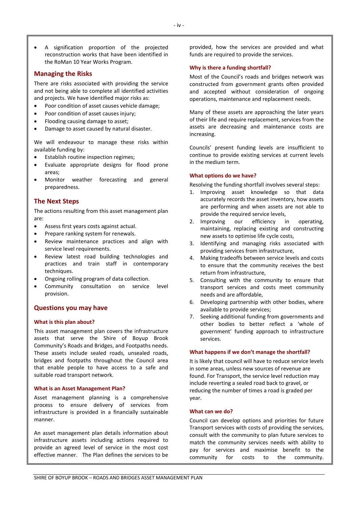• A signification proportion of the projected reconstruction works that have been identified in the RoMan 10 Year Works Program.

# **Managing the Risks**

There are risks associated with providing the service and not being able to complete all identified activities and projects. We have identified major risks as:

- Poor condition of asset causes vehicle damage;
- Poor condition of asset causes injury;
- Flooding causing damage to asset;
- Damage to asset caused by natural disaster.

We will endeavour to manage these risks within available funding by:

- Establish routine inspection regimes;
- Evaluate appropriate designs for flood prone areas;
- Monitor weather forecasting and general preparedness.

# **The Next Steps**

The actions resulting from this asset management plan are:

- Assess first years costs against actual.
- Prepare ranking system for renewals.
- Review maintenance practices and align with service level requirements.
- Review latest road building technologies and practices and train staff in contemporary techniques.
- Ongoing rolling program of data collection.
- Community consultation on service level provision.

# **Questions you may have**

# **What is this plan about?**

This asset management plan covers the infrastructure assets that serve the Shire of Boyup Brook Community's Roads and Bridges, and Footpaths needs. These assets include sealed roads, unsealed roads, bridges and footpaths throughout the Council area that enable people to have access to a safe and suitable road transport network.

#### **What is an Asset Management Plan?**

Asset management planning is a comprehensive process to ensure delivery of services from infrastructure is provided in a financially sustainable manner.

An asset management plan details information about infrastructure assets including actions required to provide an agreed level of service in the most cost effective manner. The Plan defines the services to be

provided, how the services are provided and what funds are required to provide the services.

#### **Why is there a funding shortfall?**

Most of the Council's roads and bridges network was constructed from government grants often provided and accepted without consideration of ongoing operations, maintenance and replacement needs.

Many of these assets are approaching the later years of their life and require replacement, services from the assets are decreasing and maintenance costs are increasing.

Councils' present funding levels are insufficient to continue to provide existing services at current levels in the medium term.

#### **What options do we have?**

Resolving the funding shortfall involves several steps:

- 1. Improving asset knowledge so that data accurately records the asset inventory, how assets are performing and when assets are not able to provide the required service levels,
- 2. Improving our efficiency in operating, maintaining, replacing existing and constructing new assets to optimise life cycle costs,
- 3. Identifying and managing risks associated with providing services from infrastructure,
- 4. Making tradeoffs between service levels and costs to ensure that the community receives the best return from infrastructure,
- 5. Consulting with the community to ensure that transport services and costs meet community needs and are affordable,
- 6. Developing partnership with other bodies, where available to provide services;
- 7. Seeking additional funding from governments and other bodies to better reflect a 'whole of government' funding approach to infrastructure services.

#### **What happens if we don't manage the shortfall?**

It is likely that council will have to reduce service levels in some areas, unless new sources of revenue are found. For Transport, the service level reduction may include reverting a sealed road back to gravel, or reducing the number of times a road is graded per year.

#### **What can we do?**

Council can develop options and priorities for future Transport services with costs of providing the services, consult with the community to plan future services to match the community services needs with ability to pay for services and maximise benefit to the community for costs to the community.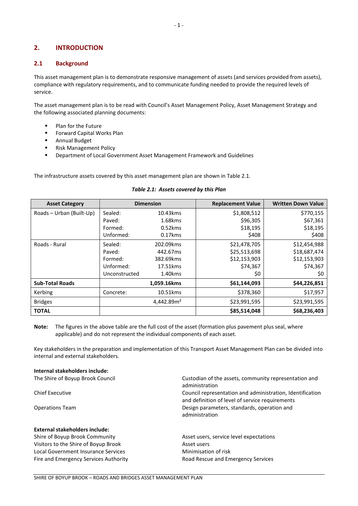# <span id="page-7-0"></span>**2. INTRODUCTION**

# <span id="page-7-1"></span>**2.1 Background**

This asset management plan is to demonstrate responsive management of assets (and services provided from assets), compliance with regulatory requirements, and to communicate funding needed to provide the required levels of service.

The asset management plan is to be read with Council's Asset Management Policy, Asset Management Strategy and the following associated planning documents:

- **Plan for the Future**
- **Forward Capital Works Plan**
- **Annual Budget**
- **Risk Management Policy**
- Department of Local Government Asset Management Framework and Guidelines

The infrastructure assets covered by this asset management plan are shown in Table 2.1.

| <b>Asset Category</b>    | <b>Dimension</b> |                        | <b>Replacement Value</b> | <b>Written Down Value</b> |
|--------------------------|------------------|------------------------|--------------------------|---------------------------|
| Roads – Urban (Built-Up) | Sealed:          | 10.43kms               | \$1,808,512              | \$770,155                 |
|                          | Paved:           | 1.68kms                | \$96,305                 | \$67,361                  |
|                          | Formed:          | $0.52$ kms             | \$18,195                 | \$18,195                  |
|                          | Unformed:        | $0.17$ kms             | \$408                    | \$408                     |
| Roads - Rural            | Sealed:          | 202.09kms              | \$21,478,705             | \$12,454,988              |
|                          | Paved:           | 442.67ms               | \$25,513,698             | \$18,687,474              |
|                          | Formed:          | 382.69kms              | \$12,153,903             | \$12,153,903              |
|                          | Unformed:        | 17.51kms               | \$74,367                 | \$74,367                  |
|                          | Unconstructed    | 1.40kms                | \$0                      | \$0                       |
| <b>Sub-Total Roads</b>   |                  | 1,059.16kms            | \$61,144,093             | \$44,226,851              |
| Kerbing                  | Concrete:        | 10.51kms               | \$378,360                | \$17,957                  |
| <b>Bridges</b>           |                  | 4,442.89m <sup>2</sup> | \$23,991,595             | \$23,991,595              |
| <b>TOTAL</b>             |                  |                        | \$85,514,048             | \$68,236,403              |

#### *Table 2.1: Assets covered by this Plan*

**Note:** The figures in the above table are the full cost of the asset (formation plus pavement plus seal, where applicable) and do not represent the individual components of each asset.

Key stakeholders in the preparation and implementation of this Transport Asset Management Plan can be divided into internal and external stakeholders.

#### **Internal stakeholders include:**

# **External stakeholders include:**

Visitors to the Shire of Boyup Brook Manuson Asset users Local Government Insurance Services Minimisation of risk Fire and Emergency Services Authority **Road Rescue and Emergency Services** 

The Shire of Boyup Brook Council Custodian of the assets, community representation and administration Chief Executive Council representation and administration, Identification and definition of level of service requirements Operations Team Design parameters, standards, operation and administration

Shire of Boyup Brook Community **Asset users, service level expectations**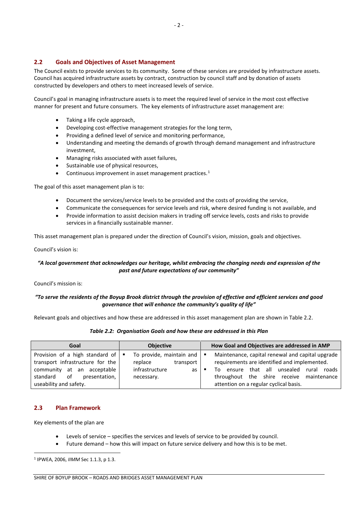# <span id="page-8-0"></span>**2.2 Goals and Objectives of Asset Management**

The Council exists to provide services to its community. Some of these services are provided by infrastructure assets. Council has acquired infrastructure assets by contract, construction by council staff and by donation of assets constructed by developers and others to meet increased levels of service.

Council's goal in managing infrastructure assets is to meet the required level of service in the most cost effective manner for present and future consumers. The key elements of infrastructure asset management are:

- Taking a life cycle approach,
- Developing cost-effective management strategies for the long term,
- Providing a defined level of service and monitoring performance,
- Understanding and meeting the demands of growth through demand management and infrastructure investment,
- Managing risks associated with asset failures,
- Sustainable use of physical resources,
- Continuous improvement in asset management practices.<sup>[1](#page-8-2)</sup>

The goal of this asset management plan is to:

- Document the services/service levels to be provided and the costs of providing the service,
- Communicate the consequences for service levels and risk, where desired funding is not available, and
- Provide information to assist decision makers in trading off service levels, costs and risks to provide services in a financially sustainable manner.

This asset management plan is prepared under the direction of Council's vision, mission, goals and objectives.

Council's vision is:

# *"A local government that acknowledges our heritage, whilst embracing the changing needs and expression of the past and future expectations of our community"*

Council's mission is:

# *"To serve the residents of the Boyup Brook district through the provision of effective and efficient services and good governance that will enhance the community's quality of life"*

Relevant goals and objectives and how these are addressed in this asset management plan are shown in Table 2.2.

#### *Table 2.2: Organisation Goals and how these are addressed in this Plan*

| Goal                                                                                                                      |  | <b>Objective</b>             |      | How Goal and Objectives are addressed in AMP |  |  |  |                                                                                                  |                                                             |                            |
|---------------------------------------------------------------------------------------------------------------------------|--|------------------------------|------|----------------------------------------------|--|--|--|--------------------------------------------------------------------------------------------------|-------------------------------------------------------------|----------------------------|
| Provision of a high standard of $\blacksquare$<br>To provide, maintain and<br>transport infrastructure for the<br>replace |  | transport                    | ٠    |                                              |  |  |  | Maintenance, capital renewal and capital upgrade<br>requirements are identified and implemented. |                                                             |                            |
| community at an acceptable<br>of<br>standard<br>presentation,                                                             |  | infrastructure<br>necessary. | as I | . .                                          |  |  |  |                                                                                                  | To ensure that all unsealed<br>throughout the shire receive | rural roads<br>maintenance |
| useability and safety.                                                                                                    |  |                              |      |                                              |  |  |  |                                                                                                  | attention on a regular cyclical basis.                      |                            |

# <span id="page-8-1"></span>**2.3 Plan Framework**

Key elements of the plan are

 $\overline{a}$ 

- Levels of service specifies the services and levels of service to be provided by council.
- Future demand how this will impact on future service delivery and how this is to be met.

<span id="page-8-2"></span><sup>1</sup> IPWEA, 2006, *IIMM* Sec 1.1.3, p 1.3.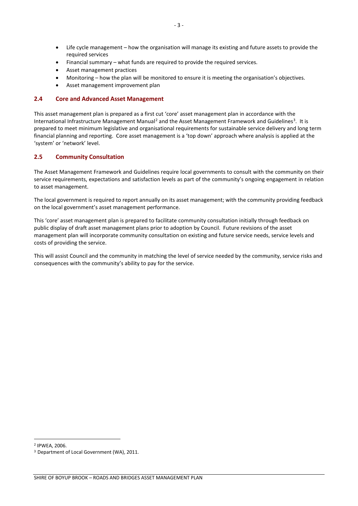- Life cycle management how the organisation will manage its existing and future assets to provide the required services
- Financial summary what funds are required to provide the required services.
- Asset management practices
- Monitoring how the plan will be monitored to ensure it is meeting the organisation's objectives.
- Asset management improvement plan

# <span id="page-9-0"></span>**2.4 Core and Advanced Asset Management**

This asset management plan is prepared as a first cut 'core' asset management plan in accordance with the International Infrastructure Management Manual<sup>[2](#page-9-3)</sup> and the Asset Management Framework and Guidelines<sup>[3](#page-9-4)</sup>. It is prepared to meet minimum legislative and organisational requirements for sustainable service delivery and long term financial planning and reporting. Core asset management is a 'top down' approach where analysis is applied at the 'system' or 'network' level.

# <span id="page-9-1"></span>**2.5 Community Consultation**

The Asset Management Framework and Guidelines require local governments to consult with the community on their service requirements, expectations and satisfaction levels as part of the community's ongoing engagement in relation to asset management.

The local government is required to report annually on its asset management; with the community providing feedback on the local government's asset management performance.

This 'core' asset management plan is prepared to facilitate community consultation initially through feedback on public display of draft asset management plans prior to adoption by Council. Future revisions of the asset management plan will incorporate community consultation on existing and future service needs, service levels and costs of providing the service.

<span id="page-9-2"></span>This will assist Council and the community in matching the level of service needed by the community, service risks and consequences with the community's ability to pay for the service.

 $\overline{a}$ 

<span id="page-9-3"></span><sup>2</sup> IPWEA, 2006.

<span id="page-9-4"></span><sup>&</sup>lt;sup>3</sup> Department of Local Government (WA), 2011.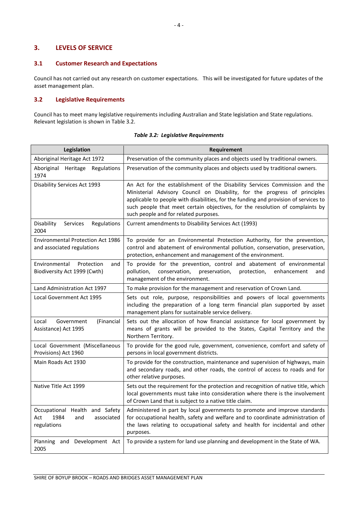# **3. LEVELS OF SERVICE**

# <span id="page-10-0"></span>**3.1 Customer Research and Expectations**

Council has not carried out any research on customer expectations. This will be investigated for future updates of the asset management plan.

# <span id="page-10-1"></span>**3.2 Legislative Requirements**

Council has to meet many legislative requirements including Australian and State legislation and State regulations. Relevant legislation is shown in Table 3.2.

| Legislation                                                                       | Requirement                                                                                                                                                                                                                                                                                                                                                                |
|-----------------------------------------------------------------------------------|----------------------------------------------------------------------------------------------------------------------------------------------------------------------------------------------------------------------------------------------------------------------------------------------------------------------------------------------------------------------------|
| Aboriginal Heritage Act 1972                                                      | Preservation of the community places and objects used by traditional owners.                                                                                                                                                                                                                                                                                               |
| Aboriginal Heritage Regulations<br>1974                                           | Preservation of the community places and objects used by traditional owners.                                                                                                                                                                                                                                                                                               |
| Disability Services Act 1993                                                      | An Act for the establishment of the Disability Services Commission and the<br>Ministerial Advisory Council on Disability, for the progress of principles<br>applicable to people with disabilities, for the funding and provision of services to<br>such people that meet certain objectives, for the resolution of complaints by<br>such people and for related purposes. |
| Disability<br>Services<br>Regulations<br>2004                                     | Current amendments to Disability Services Act (1993)                                                                                                                                                                                                                                                                                                                       |
| <b>Environmental Protection Act 1986</b><br>and associated regulations            | To provide for an Environmental Protection Authority, for the prevention,<br>control and abatement of environmental pollution, conservation, preservation,<br>protection, enhancement and management of the environment.                                                                                                                                                   |
| Environmental<br>Protection<br>and<br>Biodiversity Act 1999 (Cwth)                | To provide for the prevention, control and abatement of environmental<br>pollution,<br>conservation,<br>preservation,<br>protection,<br>enhancement<br>and<br>management of the environment.                                                                                                                                                                               |
| Land Administration Act 1997                                                      | To make provision for the management and reservation of Crown Land.                                                                                                                                                                                                                                                                                                        |
| Local Government Act 1995                                                         | Sets out role, purpose, responsibilities and powers of local governments<br>including the preparation of a long term financial plan supported by asset<br>management plans for sustainable service delivery.                                                                                                                                                               |
| (Financial<br>Local<br>Government<br>Assistance) Act 1995                         | Sets out the allocation of how financial assistance for local government by<br>means of grants will be provided to the States, Capital Territory and the<br>Northern Territory.                                                                                                                                                                                            |
| Local Government (Miscellaneous<br>Provisions) Act 1960                           | To provide for the good rule, government, convenience, comfort and safety of<br>persons in local government districts.                                                                                                                                                                                                                                                     |
| Main Roads Act 1930                                                               | To provide for the construction, maintenance and supervision of highways, main<br>and secondary roads, and other roads, the control of access to roads and for<br>other relative purposes.                                                                                                                                                                                 |
| Native Title Act 1999                                                             | Sets out the requirement for the protection and recognition of native title, which<br>local governments must take into consideration where there is the involvement<br>of Crown Land that is subject to a native title claim.                                                                                                                                              |
| Occupational Health and Safety<br>1984<br>associated<br>Act<br>and<br>regulations | Administered in part by local governments to promote and improve standards<br>for occupational health, safety and welfare and to coordinate administration of<br>the laws relating to occupational safety and health for incidental and other<br>purposes.                                                                                                                 |
| Planning and<br>Development Act<br>2005                                           | To provide a system for land use planning and development in the State of WA.                                                                                                                                                                                                                                                                                              |

*Table 3.2: Legislative Requirements*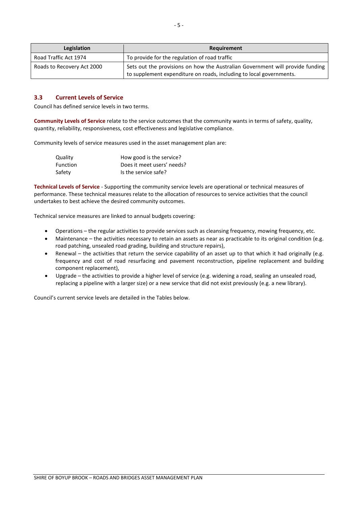| Legislation                | Requirement                                                                                                                                          |  |  |  |
|----------------------------|------------------------------------------------------------------------------------------------------------------------------------------------------|--|--|--|
| Road Traffic Act 1974      | To provide for the regulation of road traffic                                                                                                        |  |  |  |
| Roads to Recovery Act 2000 | Sets out the provisions on how the Australian Government will provide funding<br>to supplement expenditure on roads, including to local governments. |  |  |  |

# <span id="page-11-0"></span>**3.3 Current Levels of Service**

Council has defined service levels in two terms.

**Community Levels of Service** relate to the service outcomes that the community wants in terms of safety, quality, quantity, reliability, responsiveness, cost effectiveness and legislative compliance.

Community levels of service measures used in the asset management plan are:

| Quality  | How good is the service?   |
|----------|----------------------------|
| Function | Does it meet users' needs? |
| Safety   | Is the service safe?       |

**Technical Levels of Service** - Supporting the community service levels are operational or technical measures of performance. These technical measures relate to the allocation of resources to service activities that the council undertakes to best achieve the desired community outcomes.

Technical service measures are linked to annual budgets covering:

- Operations the regular activities to provide services such as cleansing frequency, mowing frequency, etc.
- Maintenance the activities necessary to retain an assets as near as practicable to its original condition (e.g. road patching, unsealed road grading, building and structure repairs),
- Renewal the activities that return the service capability of an asset up to that which it had originally (e.g. frequency and cost of road resurfacing and pavement reconstruction, pipeline replacement and building component replacement),
- Upgrade the activities to provide a higher level of service (e.g. widening a road, sealing an unsealed road, replacing a pipeline with a larger size) or a new service that did not exist previously (e.g. a new library).

Council's current service levels are detailed in the Tables below.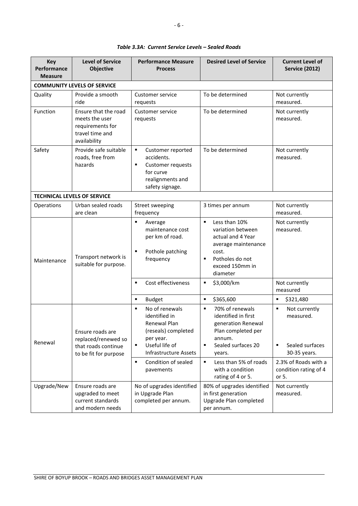| <b>Key</b><br>Performance<br><b>Measure</b> | <b>Level of Service</b><br><b>Objective</b>                                                   | <b>Performance Measure</b><br><b>Process</b>                                                                                                                        | <b>Desired Level of Service</b>                                                                                                                             | <b>Current Level of</b><br><b>Service (2012)</b>                   |  |  |  |  |
|---------------------------------------------|-----------------------------------------------------------------------------------------------|---------------------------------------------------------------------------------------------------------------------------------------------------------------------|-------------------------------------------------------------------------------------------------------------------------------------------------------------|--------------------------------------------------------------------|--|--|--|--|
| <b>COMMUNITY LEVELS OF SERVICE</b>          |                                                                                               |                                                                                                                                                                     |                                                                                                                                                             |                                                                    |  |  |  |  |
| Quality                                     | Provide a smooth<br>ride                                                                      | Customer service<br>requests                                                                                                                                        | To be determined                                                                                                                                            | Not currently<br>measured.                                         |  |  |  |  |
| Function                                    | Ensure that the road<br>meets the user<br>requirements for<br>travel time and<br>availability | Customer service<br>requests                                                                                                                                        | To be determined                                                                                                                                            | Not currently<br>measured.                                         |  |  |  |  |
| Safety                                      | Provide safe suitable<br>roads, free from<br>hazards                                          | ٠<br>Customer reported<br>accidents.<br>Customer requests<br>٠<br>for curve<br>realignments and<br>safety signage.                                                  | To be determined                                                                                                                                            | Not currently<br>measured.                                         |  |  |  |  |
|                                             | <b>TECHNICAL LEVELS OF SERVICE</b>                                                            |                                                                                                                                                                     |                                                                                                                                                             |                                                                    |  |  |  |  |
| Operations                                  | Urban sealed roads<br>are clean                                                               | Street sweeping<br>frequency                                                                                                                                        | 3 times per annum                                                                                                                                           | Not currently<br>measured.                                         |  |  |  |  |
| Maintenance                                 | Transport network is<br>suitable for purpose.                                                 | ٠<br>Average<br>maintenance cost<br>per km of road.<br>Pothole patching<br>٠<br>frequency                                                                           | $\blacksquare$<br>Less than 10%<br>variation between<br>actual and 4 Year<br>average maintenance<br>cost.<br>Potholes do not<br>exceed 150mm in<br>diameter | Not currently<br>measured.                                         |  |  |  |  |
|                                             |                                                                                               | Cost effectiveness<br>$\blacksquare$                                                                                                                                | $\blacksquare$<br>\$3,000/km                                                                                                                                | Not currently<br>measured                                          |  |  |  |  |
|                                             |                                                                                               | <b>Budget</b><br>٠                                                                                                                                                  | $\blacksquare$<br>\$365,600                                                                                                                                 | ٠<br>\$321,480                                                     |  |  |  |  |
| Renewal                                     | Ensure roads are<br>replaced/renewed so<br>that roads continue<br>to be fit for purpose       | No of renewals<br>$\blacksquare$<br>identified in<br><b>Renewal Plan</b><br>(reseals) completed<br>per year.<br>Useful life of<br>٠<br><b>Infrastructure Assets</b> | 70% of renewals<br>$\blacksquare$<br>identified in first<br>generation Renewal<br>Plan completed per<br>annum.<br>Sealed surfaces 20<br>٠<br>years.         | ٠<br>Not currently<br>measured.<br>Sealed surfaces<br>30-35 years. |  |  |  |  |
|                                             |                                                                                               | $\blacksquare$<br>Condition of sealed<br>pavements                                                                                                                  | Less than 5% of roads<br>$\blacksquare$<br>with a condition<br>rating of 4 or 5.                                                                            | 2.3% of Roads with a<br>condition rating of 4<br>or 5.             |  |  |  |  |
| Upgrade/New                                 | Ensure roads are<br>upgraded to meet<br>current standards<br>and modern needs                 | No of upgrades identified<br>in Upgrade Plan<br>completed per annum.                                                                                                | 80% of upgrades identified<br>in first generation<br>Upgrade Plan completed<br>per annum.                                                                   | Not currently<br>measured.                                         |  |  |  |  |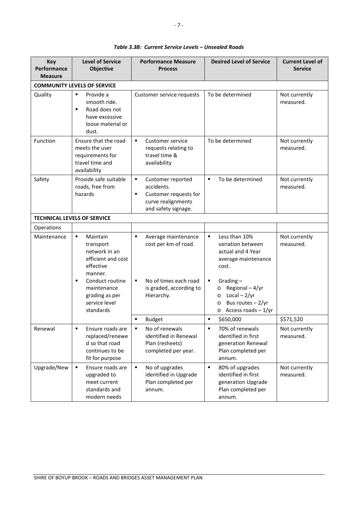| <b>Key</b><br>Performance<br><b>Measure</b> | <b>Level of Service</b><br><b>Objective</b>                                                                                                                                                   | <b>Performance Measure</b><br><b>Process</b>                                                                                         | <b>Desired Level of Service</b>                                                                                                                                                                                                                              | <b>Current Level of</b><br><b>Service</b> |  |  |  |  |  |
|---------------------------------------------|-----------------------------------------------------------------------------------------------------------------------------------------------------------------------------------------------|--------------------------------------------------------------------------------------------------------------------------------------|--------------------------------------------------------------------------------------------------------------------------------------------------------------------------------------------------------------------------------------------------------------|-------------------------------------------|--|--|--|--|--|
| <b>COMMUNITY LEVELS OF SERVICE</b>          |                                                                                                                                                                                               |                                                                                                                                      |                                                                                                                                                                                                                                                              |                                           |  |  |  |  |  |
| Quality                                     | Provide a<br>Ξ<br>smooth ride.<br>Ξ<br>Road does not<br>have excessive<br>loose material or<br>dust.                                                                                          | Customer service requests                                                                                                            | To be determined                                                                                                                                                                                                                                             | Not currently<br>measured.                |  |  |  |  |  |
| Function                                    | Ensure that the road<br>meets the user<br>requirements for<br>travel time and<br>availability                                                                                                 | $\blacksquare$<br><b>Customer service</b><br>requests relating to<br>travel time &<br>availability                                   | To be determined                                                                                                                                                                                                                                             | Not currently<br>measured.                |  |  |  |  |  |
| Safety                                      | Provide safe suitable<br>roads, free from<br>hazards                                                                                                                                          | ٠<br>Customer reported<br>accidents.<br>Customer requests for<br>$\blacksquare$<br>curve realignments<br>and safety signage.         | To be determined                                                                                                                                                                                                                                             | Not currently<br>measured.                |  |  |  |  |  |
|                                             | <b>TECHNICAL LEVELS OF SERVICE</b>                                                                                                                                                            |                                                                                                                                      |                                                                                                                                                                                                                                                              |                                           |  |  |  |  |  |
| Operations                                  |                                                                                                                                                                                               |                                                                                                                                      |                                                                                                                                                                                                                                                              |                                           |  |  |  |  |  |
| Maintenance                                 | $\blacksquare$<br>Maintain<br>transport<br>network in an<br>efficient and cost<br>effective<br>manner.<br>Conduct routine<br>Е<br>maintenance<br>grading as per<br>service level<br>standards | $\blacksquare$<br>Average maintenance<br>cost per km of road.<br>No of times each road<br>٠<br>is graded, according to<br>Hierarchy. | $\blacksquare$<br>Less than 10%<br>variation between<br>actual and 4 Year<br>average maintenance<br>cost.<br>Grading $-$<br>٠<br>Regional - 4/yr<br>$\circ$<br>$Local - 2/yr$<br>$\circ$<br>Bus routes $-2/yr$<br>$\circ$<br>Access roads $-1/yr$<br>$\circ$ | Not currently<br>measured.                |  |  |  |  |  |
|                                             |                                                                                                                                                                                               | Ξ<br><b>Budget</b>                                                                                                                   | \$650,000<br>$\blacksquare$                                                                                                                                                                                                                                  | \$571,520                                 |  |  |  |  |  |
| Renewal                                     | Ensure roads are<br>٠<br>replaced/renewe<br>d so that road<br>continues to be<br>fit for purpose                                                                                              | $\blacksquare$<br>No of renewals<br>identified in Renewal<br>Plan (resheets)<br>completed per year.                                  | 70% of renewals<br>٠<br>identified in first<br>generation Renewal<br>Plan completed per<br>annum.                                                                                                                                                            | Not currently<br>measured.                |  |  |  |  |  |
| Upgrade/New                                 | Ensure roads are<br>٠<br>upgraded to<br>meet current<br>standards and<br>modern needs                                                                                                         | ٠<br>No of upgrades<br>identified in Upgrade<br>Plan completed per<br>annum.                                                         | 80% of upgrades<br>$\blacksquare$<br>identified in first<br>generation Upgrade<br>Plan completed per<br>annum.                                                                                                                                               | Not currently<br>measured.                |  |  |  |  |  |

# *Table 3.3B: Current Service Levels – Unsealed Roads*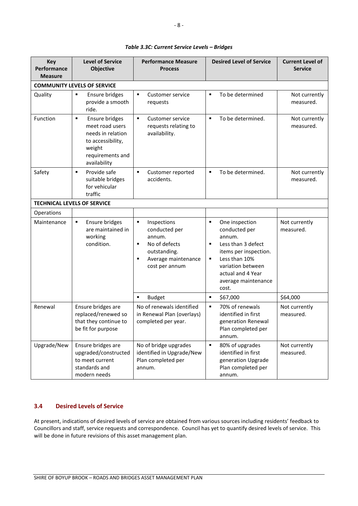| <b>Key</b><br>Performance<br><b>Measure</b> | <b>Level of Service</b><br><b>Objective</b>                                                                                                 | <b>Performance Measure</b><br><b>Process</b>                                                                                       | <b>Desired Level of Service</b>                                                                                                                                                                    | <b>Current Level of</b><br><b>Service</b> |
|---------------------------------------------|---------------------------------------------------------------------------------------------------------------------------------------------|------------------------------------------------------------------------------------------------------------------------------------|----------------------------------------------------------------------------------------------------------------------------------------------------------------------------------------------------|-------------------------------------------|
|                                             | <b>COMMUNITY LEVELS OF SERVICE</b>                                                                                                          |                                                                                                                                    |                                                                                                                                                                                                    |                                           |
| Quality                                     | Ensure bridges<br>٠<br>provide a smooth<br>ride.                                                                                            | $\blacksquare$<br><b>Customer service</b><br>requests                                                                              | To be determined<br>٠                                                                                                                                                                              | Not currently<br>measured.                |
| Function                                    | $\blacksquare$<br>Ensure bridges<br>meet road users<br>needs in relation<br>to accessibility,<br>weight<br>requirements and<br>availability | $\blacksquare$<br><b>Customer service</b><br>requests relating to<br>availability.                                                 | Ξ<br>To be determined.                                                                                                                                                                             | Not currently<br>measured.                |
| Safety                                      | Provide safe<br>$\blacksquare$<br>suitable bridges<br>for vehicular<br>traffic                                                              | Customer reported<br>٠<br>accidents.                                                                                               | To be determined.<br>٠                                                                                                                                                                             | Not currently<br>measured.                |
|                                             | <b>TECHNICAL LEVELS OF SERVICE</b>                                                                                                          |                                                                                                                                    |                                                                                                                                                                                                    |                                           |
| Operations                                  |                                                                                                                                             |                                                                                                                                    |                                                                                                                                                                                                    |                                           |
| Maintenance                                 | Ensure bridges<br>$\blacksquare$<br>are maintained in<br>working<br>condition.                                                              | $\blacksquare$<br>Inspections<br>conducted per<br>annum.<br>No of defects<br>outstanding.<br>Average maintenance<br>cost per annum | Ξ<br>One inspection<br>conducted per<br>annum.<br>Less than 3 defect<br>٠<br>items per inspection.<br>Less than 10%<br>٠<br>variation between<br>actual and 4 Year<br>average maintenance<br>cost. | Not currently<br>measured.                |
|                                             |                                                                                                                                             | ٠<br><b>Budget</b>                                                                                                                 | $\blacksquare$<br>\$67,000                                                                                                                                                                         | \$64,000                                  |
| Renewal                                     | Ensure bridges are<br>replaced/renewed so<br>that they continue to<br>be fit for purpose                                                    | No of renewals identified<br>in Renewal Plan (overlays)<br>completed per year.                                                     | $\blacksquare$<br>70% of renewals<br>identified in first<br>generation Renewal<br>Plan completed per<br>annum.                                                                                     | Not currently<br>measured.                |
| Upgrade/New                                 | Ensure bridges are<br>upgraded/constructed<br>to meet current<br>standards and<br>modern needs                                              | No of bridge upgrades<br>identified in Upgrade/New<br>Plan completed per<br>annum.                                                 | 80% of upgrades<br>٠<br>identified in first<br>generation Upgrade<br>Plan completed per<br>annum.                                                                                                  | Not currently<br>measured.                |

# *Table 3.3C: Current Service Levels – Bridges*

# <span id="page-14-0"></span>**3.4 Desired Levels of Service**

<span id="page-14-1"></span>At present, indications of desired levels of service are obtained from various sources including residents' feedback to Councillors and staff, service requests and correspondence. Council has yet to quantify desired levels of service. This will be done in future revisions of this asset management plan.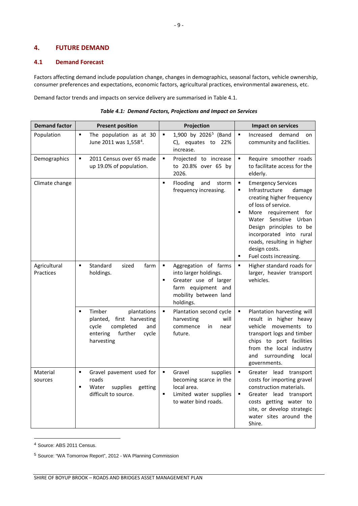# **4. FUTURE DEMAND**

# <span id="page-15-0"></span>**4.1 Demand Forecast**

Factors affecting demand include population change, changes in demographics, seasonal factors, vehicle ownership, consumer preferences and expectations, economic factors, agricultural practices, environmental awareness, etc.

Demand factor trends and impacts on service delivery are summarised in Table 4.1.

| <b>Demand factor</b>      | <b>Present position</b>                                                                                                                         | Projection                                                                                                                                   | <b>Impact on services</b>                                                                                                                                                                                                                                                                                                               |
|---------------------------|-------------------------------------------------------------------------------------------------------------------------------------------------|----------------------------------------------------------------------------------------------------------------------------------------------|-----------------------------------------------------------------------------------------------------------------------------------------------------------------------------------------------------------------------------------------------------------------------------------------------------------------------------------------|
| Population                | $\blacksquare$<br>The population as at 30<br>June 2011 was 1,558 <sup>4</sup> .                                                                 | 1,900 by 2026 <sup>5</sup> (Band<br>٠<br>C), equates to 22%<br>increase.                                                                     | $\blacksquare$<br>Increased<br>demand<br>on<br>community and facilities.                                                                                                                                                                                                                                                                |
| Demographics              | 2011 Census over 65 made<br>٠<br>up 19.0% of population.                                                                                        | $\blacksquare$<br>Projected to increase<br>to 20.8% over 65 by<br>2026.                                                                      | $\blacksquare$<br>Require smoother roads<br>to facilitate access for the<br>elderly.                                                                                                                                                                                                                                                    |
| Climate change            |                                                                                                                                                 | $\blacksquare$<br>Flooding<br>and<br>storm<br>frequency increasing.                                                                          | $\blacksquare$<br><b>Emergency Services</b><br>Infrastructure<br>٠<br>damage<br>creating higher frequency<br>of loss of service.<br>$\blacksquare$<br>More requirement for<br>Water Sensitive Urban<br>Design principles to be<br>incorporated into rural<br>roads, resulting in higher<br>design costs.<br>Fuel costs increasing.<br>٠ |
| Agricultural<br>Practices | Standard<br>farm<br>$\blacksquare$<br>sized<br>holdings.                                                                                        | ٠<br>Aggregation of farms<br>into larger holdings.<br>Greater use of larger<br>٠<br>farm equipment and<br>mobility between land<br>holdings. | Higher standard roads for<br>$\blacksquare$<br>larger, heavier transport<br>vehicles.                                                                                                                                                                                                                                                   |
|                           | Timber<br>plantations<br>$\blacksquare$<br>planted, first harvesting<br>completed<br>cycle<br>and<br>further<br>entering<br>cycle<br>harvesting | $\blacksquare$<br>Plantation second cycle<br>harvesting<br>will<br>commence<br>in<br>near<br>future.                                         | $\blacksquare$<br>Plantation harvesting will<br>result in higher heavy<br>vehicle movements to<br>transport logs and timber<br>chips to port facilities<br>from the local industry<br>and<br>surrounding<br>local<br>governments.                                                                                                       |
| Material<br>sources       | ٠<br>Gravel pavement used for<br>roads<br>Water<br>supplies<br>$\blacksquare$<br>getting<br>difficult to source.                                | $\blacksquare$<br>Gravel<br>supplies<br>becoming scarce in the<br>local area.<br>Limited water supplies<br>٠<br>to water bind roads.         | Greater lead transport<br>$\blacksquare$<br>costs for importing gravel<br>construction materials.<br>$\blacksquare$<br>Greater lead transport<br>costs getting water to<br>site, or develop strategic<br>water sites around the<br>Shire.                                                                                               |

| Table 4.1: Demand Factors, Projections and Impact on Services |  |  |  |  |  |  |  |  |
|---------------------------------------------------------------|--|--|--|--|--|--|--|--|
|---------------------------------------------------------------|--|--|--|--|--|--|--|--|

 $\overline{a}$ 

<span id="page-15-1"></span><sup>4</sup> Source: ABS 2011 Census.

<span id="page-15-2"></span><sup>5</sup> Source: "WA Tomorrow Report", 2012 - WA Planning Commission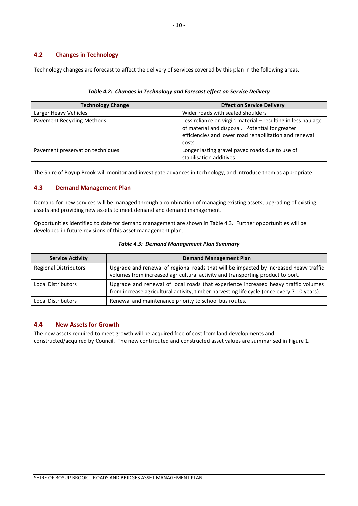# <span id="page-16-0"></span>**4.2 Changes in Technology**

Technology changes are forecast to affect the delivery of services covered by this plan in the following areas.

| <b>Technology Change</b>         | <b>Effect on Service Delivery</b>                                                                                                                                                   |
|----------------------------------|-------------------------------------------------------------------------------------------------------------------------------------------------------------------------------------|
| Larger Heavy Vehicles            | Wider roads with sealed shoulders                                                                                                                                                   |
| Pavement Recycling Methods       | Less reliance on virgin material - resulting in less haulage<br>of material and disposal. Potential for greater<br>efficiencies and lower road rehabilitation and renewal<br>costs. |
| Pavement preservation techniques | Longer lasting gravel paved roads due to use of                                                                                                                                     |
|                                  | stabilisation additives.                                                                                                                                                            |

# *Table 4.2: Changes in Technology and Forecast effect on Service Delivery*

The Shire of Boyup Brook will monitor and investigate advances in technology, and introduce them as appropriate.

# <span id="page-16-1"></span>**4.3 Demand Management Plan**

Demand for new services will be managed through a combination of managing existing assets, upgrading of existing assets and providing new assets to meet demand and demand management.

Opportunities identified to date for demand management are shown in Table 4.3. Further opportunities will be developed in future revisions of this asset management plan.

| <b>Service Activity</b>      | <b>Demand Management Plan</b>                                                                                                                                                    |
|------------------------------|----------------------------------------------------------------------------------------------------------------------------------------------------------------------------------|
| <b>Regional Distributors</b> | Upgrade and renewal of regional roads that will be impacted by increased heavy traffic<br>volumes from increased agricultural activity and transporting product to port.         |
| <b>Local Distributors</b>    | Upgrade and renewal of local roads that experience increased heavy traffic volumes<br>from increase agricultural activity, timber harvesting life cycle (once every 7-10 years). |
| <b>Local Distributors</b>    | Renewal and maintenance priority to school bus routes.                                                                                                                           |

#### *Table 4.3: Demand Management Plan Summary*

# <span id="page-16-2"></span>**4.4 New Assets for Growth**

The new assets required to meet growth will be acquired free of cost from land developments and constructed/acquired by Council. The new contributed and constructed asset values are summarised in Figure 1.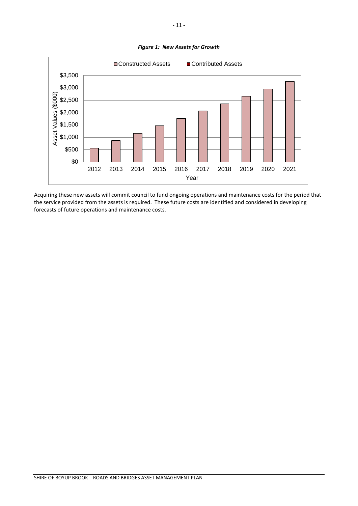

# *Figure 1: New Assets for Growth*

Acquiring these new assets will commit council to fund ongoing operations and maintenance costs for the period that the service provided from the assets is required. These future costs are identified and considered in developing forecasts of future operations and maintenance costs.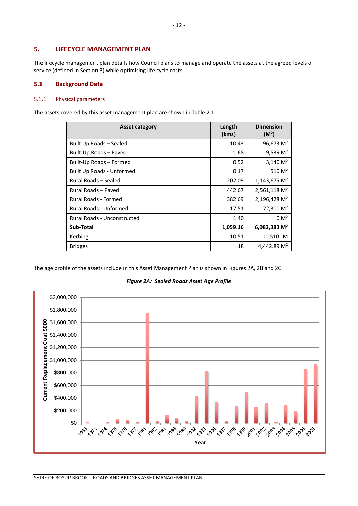# <span id="page-18-0"></span>**5. LIFECYCLE MANAGEMENT PLAN**

The lifecycle management plan details how Council plans to manage and operate the assets at the agreed levels of service (defined in Section 3) while optimising life cycle costs.

# <span id="page-18-1"></span>**5.1 Background Data**

#### 5.1.1 Physical parameters

The assets covered by this asset management plan are shown in Table 2.1.

| <b>Asset category</b>         | Length<br>(kms) | <b>Dimension</b><br>(M <sup>2</sup> ) |
|-------------------------------|-----------------|---------------------------------------|
| Built Up Roads – Sealed       | 10.43           | 96,673 $M2$                           |
| Built-Up Roads - Paved        | 1.68            | $9,539 \text{ M}^2$                   |
| Built-Up Roads - Formed       | 0.52            | 3,140 $M2$                            |
| Built Up Roads - Unformed     | 0.17            | 510 $M^2$                             |
| Rural Roads - Sealed          | 202.09          | 1,143,675 M <sup>2</sup>              |
| Rural Roads - Paved           | 442.67          | 2,561,118 M <sup>2</sup>              |
| <b>Rural Roads - Formed</b>   | 382.69          | 2,196,428 M <sup>2</sup>              |
| <b>Rural Roads - Unformed</b> | 17.51           | 72,300 M <sup>2</sup>                 |
| Rural Roads - Unconstructed   | 1.40            | 0 M <sup>2</sup>                      |
| Sub-Total                     | 1,059.16        | 6,083,383 $M2$                        |
| Kerbing                       | 10.51           | 10,510 LM                             |
| <b>Bridges</b>                | 18              | 4,442.89 $M2$                         |

The age profile of the assets include in this Asset Management Plan is shown in Figures 2A, 2B and 2C.



#### *Figure 2A: Sealed Roads Asset Age Profile*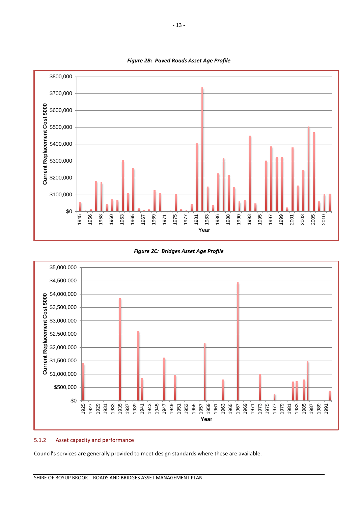

*Figure 2B: Paved Roads Asset Age Profile*

*Figure 2C: Bridges Asset Age Profile*



#### 5.1.2 Asset capacity and performance

Council's services are generally provided to meet design standards where these are available.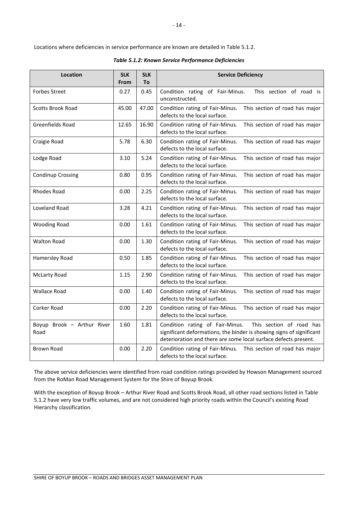Locations where deficiencies in service performance are known are detailed in Table 5.1.2.

| Location                           | <b>SLK</b><br>From | <b>SLK</b><br>To | <b>Service Deficiency</b>                                                                                                                                                                              |
|------------------------------------|--------------------|------------------|--------------------------------------------------------------------------------------------------------------------------------------------------------------------------------------------------------|
| <b>Forbes Street</b>               | 0.27               | 0.45             | Condition rating of Fair-Minus.<br>This section of road is<br>unconstructed.                                                                                                                           |
| <b>Scotts Brook Road</b>           | 45.00              | 47.00            | Condition rating of Fair-Minus.<br>This section of road has major<br>defects to the local surface.                                                                                                     |
| Greenfields Road                   | 12.65              | 16.90            | Condition rating of Fair-Minus.<br>This section of road has major<br>defects to the local surface.                                                                                                     |
| Craigie Road                       | 5.78               | 6.30             | This section of road has major<br>Condition rating of Fair-Minus.<br>defects to the local surface.                                                                                                     |
| Lodge Road                         | 3.10               | 5.24             | This section of road has major<br>Condition rating of Fair-Minus.<br>defects to the local surface.                                                                                                     |
| <b>Condinup Crossing</b>           | 0.80               | 0.95             | Condition rating of Fair-Minus.<br>This section of road has major<br>defects to the local surface.                                                                                                     |
| Rhodes Road                        | 0.00               | 2.25             | Condition rating of Fair-Minus.<br>This section of road has major<br>defects to the local surface.                                                                                                     |
| Loveland Road                      | 3.28               | 4.21             | Condition rating of Fair-Minus.<br>This section of road has major<br>defects to the local surface.                                                                                                     |
| <b>Wooding Road</b>                | 0.00               | 1.61             | Condition rating of Fair-Minus.<br>This section of road has major<br>defects to the local surface.                                                                                                     |
| <b>Walton Road</b>                 | 0.00               | 1.30             | This section of road has major<br>Condition rating of Fair-Minus.<br>defects to the local surface.                                                                                                     |
| Hamersley Road                     | 0.50               | 1.85             | This section of road has major<br>Condition rating of Fair-Minus.<br>defects to the local surface.                                                                                                     |
| <b>McLarty Road</b>                | 1.15               | 2.90             | Condition rating of Fair-Minus.<br>This section of road has major<br>defects to the local surface.                                                                                                     |
| <b>Wallace Road</b>                | 0.00               | 1.40             | Condition rating of Fair-Minus.<br>This section of road has major<br>defects to the local surface.                                                                                                     |
| Corker Road                        | 0.00               | 2.20             | Condition rating of Fair-Minus.<br>This section of road has major<br>defects to the local surface.                                                                                                     |
| Boyup Brook - Arthur River<br>Road | 1.60               | 1.81             | Condition rating of Fair-Minus.<br>This section of road has<br>significant deformations, the binder is showing signs of significant<br>deterioration and there are some local surface defects present. |
| Brown Road                         | 0.00               | 2.20             | Condition rating of Fair-Minus.<br>This section of road has major<br>defects to the local surface.                                                                                                     |

#### *Table 5.1.2: Known Service Performance Deficiencies*

The above service deficiencies were identified from road condition ratings provided by Howson Management sourced from the RoMan Road Management System for the Shire of Boyup Brook.

With the exception of Boyup Brook – Arthur River Road and Scotts Brook Road, all other road sections listed in Table 5.1.2 have very low traffic volumes, and are not considered high priority roads within the Council's existing Road Hierarchy classification.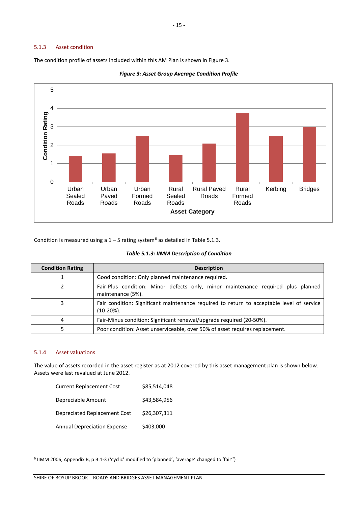# 5.1.3 Asset condition

The condition profile of assets included within this AM Plan is shown in Figure 3.





Condition is measured using a  $1 - 5$  rating system<sup>[6](#page-21-0)</sup> as detailed in Table 5.1.3.

|  |  | Table 5.1.3: IIMM Description of Condition |  |  |
|--|--|--------------------------------------------|--|--|
|--|--|--------------------------------------------|--|--|

| <b>Condition Rating</b> | <b>Description</b>                                                                                         |  |  |
|-------------------------|------------------------------------------------------------------------------------------------------------|--|--|
|                         | Good condition: Only planned maintenance required.                                                         |  |  |
|                         | Fair-Plus condition: Minor defects only, minor maintenance required plus planned<br>maintenance (5%).      |  |  |
|                         | Fair condition: Significant maintenance required to return to acceptable level of service<br>$(10-20\%)$ . |  |  |
| 4                       | Fair-Minus condition: Significant renewal/upgrade required (20-50%).                                       |  |  |
|                         | Poor condition: Asset unserviceable, over 50% of asset requires replacement.                               |  |  |

# 5.1.4 Asset valuations

 $\overline{a}$ 

The value of assets recorded in the asset register as at 2012 covered by this asset management plan is shown below. Assets were last revalued at June 2012.

| <b>Current Replacement Cost</b>    | \$85.514.048 |
|------------------------------------|--------------|
| Depreciable Amount                 | \$43,584,956 |
| Depreciated Replacement Cost       | \$26,307,311 |
| <b>Annual Depreciation Expense</b> | \$403,000    |

<span id="page-21-0"></span><sup>6</sup> IIMM 2006, Appendix B, p B:1-3 ('cyclic' modified to 'planned', 'average' changed to 'fair'')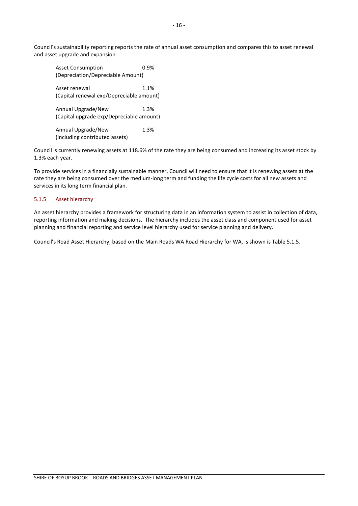Council's sustainability reporting reports the rate of annual asset consumption and compares this to asset renewal and asset upgrade and expansion.

Asset Consumption 0.9% (Depreciation/Depreciable Amount) Asset renewal 1.1% (Capital renewal exp/Depreciable amount) Annual Upgrade/New 1.3% (Capital upgrade exp/Depreciable amount) Annual Upgrade/New 1.3% (including contributed assets)

Council is currently renewing assets at 118.6% of the rate they are being consumed and increasing its asset stock by 1.3% each year.

To provide services in a financially sustainable manner, Council will need to ensure that it is renewing assets at the rate they are being consumed over the medium-long term and funding the life cycle costs for all new assets and services in its long term financial plan.

# 5.1.5 Asset hierarchy

An asset hierarchy provides a framework for structuring data in an information system to assist in collection of data, reporting information and making decisions. The hierarchy includes the asset class and component used for asset planning and financial reporting and service level hierarchy used for service planning and delivery.

Council's Road Asset Hierarchy, based on the Main Roads WA Road Hierarchy for WA, is shown is Table 5.1.5.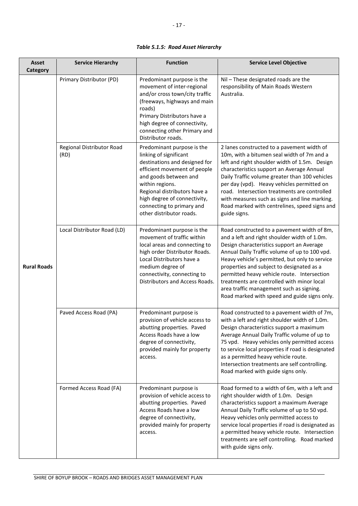# *Table 5.1.5: Road Asset Hierarchy*

| <b>Asset</b><br><b>Category</b> | <b>Service Hierarchy</b>          | <b>Function</b>                                                                                                                                                                                                                                                                            | <b>Service Level Objective</b>                                                                                                                                                                                                                                                                                                                                                                                                                                                    |
|---------------------------------|-----------------------------------|--------------------------------------------------------------------------------------------------------------------------------------------------------------------------------------------------------------------------------------------------------------------------------------------|-----------------------------------------------------------------------------------------------------------------------------------------------------------------------------------------------------------------------------------------------------------------------------------------------------------------------------------------------------------------------------------------------------------------------------------------------------------------------------------|
|                                 | Primary Distributor (PD)          | Predominant purpose is the<br>movement of inter-regional<br>and/or cross town/city traffic<br>(freeways, highways and main<br>roads)<br>Primary Distributors have a<br>high degree of connectivity,<br>connecting other Primary and<br>Distributor roads.                                  | Nil - These designated roads are the<br>responsibility of Main Roads Western<br>Australia.                                                                                                                                                                                                                                                                                                                                                                                        |
| <b>Rural Roads</b>              | Regional Distributor Road<br>(RD) | Predominant purpose is the<br>linking of significant<br>destinations and designed for<br>efficient movement of people<br>and goods between and<br>within regions.<br>Regional distributors have a<br>high degree of connectivity,<br>connecting to primary and<br>other distributor roads. | 2 lanes constructed to a pavement width of<br>10m, with a bitumen seal width of 7m and a<br>left and right shoulder width of 1.5m. Design<br>characteristics support an Average Annual<br>Daily Traffic volume greater than 100 vehicles<br>per day (vpd). Heavy vehicles permitted on<br>road. Intersection treatments are controlled<br>with measures such as signs and line marking.<br>Road marked with centrelines, speed signs and<br>guide signs.                          |
|                                 | Local Distributor Road (LD)       | Predominant purpose is the<br>movement of traffic within<br>local areas and connecting to<br>high order Distributor Roads.<br>Local Distributors have a<br>medium degree of<br>connectivity, connecting to<br>Distributors and Access Roads.                                               | Road constructed to a pavement width of 8m,<br>and a left and right shoulder width of 1.0m.<br>Design characteristics support an Average<br>Annual Daily Traffic volume of up to 100 vpd.<br>Heavy vehicle's permitted, but only to service<br>properties and subject to designated as a<br>permitted heavy vehicle route. Intersection<br>treatments are controlled with minor local<br>area traffic management such as signing.<br>Road marked with speed and guide signs only. |
|                                 | Paved Access Road (PA)            | Predominant purpose is<br>provision of vehicle access to<br>abutting properties. Paved<br>Access Roads have a low<br>degree of connectivity,<br>provided mainly for property<br>access.                                                                                                    | Road constructed to a pavement width of 7m,<br>with a left and right shoulder width of 1.0m.<br>Design characteristics support a maximum<br>Average Annual Daily Traffic volume of up to<br>75 vpd. Heavy vehicles only permitted access<br>to service local properties if road is designated<br>as a permitted heavy vehicle route.<br>Intersection treatments are self controlling.<br>Road marked with guide signs only.                                                       |
|                                 | Formed Access Road (FA)           | Predominant purpose is<br>provision of vehicle access to<br>abutting properties. Paved<br>Access Roads have a low<br>degree of connectivity,<br>provided mainly for property<br>access.                                                                                                    | Road formed to a width of 6m, with a left and<br>right shoulder width of 1.0m. Design<br>characteristics support a maximum Average<br>Annual Daily Traffic volume of up to 50 vpd.<br>Heavy vehicles only permitted access to<br>service local properties if road is designated as<br>a permitted heavy vehicle route. Intersection<br>treatments are self controlling. Road marked<br>with guide signs only.                                                                     |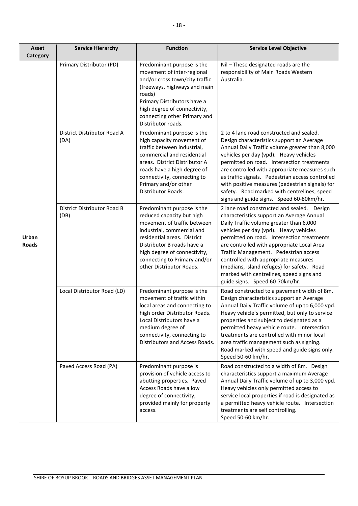| Asset<br>Category     | <b>Service Hierarchy</b>            | <b>Function</b>                                                                                                                                                                                                                                                               | <b>Service Level Objective</b>                                                                                                                                                                                                                                                                                                                                                                                                                                                        |
|-----------------------|-------------------------------------|-------------------------------------------------------------------------------------------------------------------------------------------------------------------------------------------------------------------------------------------------------------------------------|---------------------------------------------------------------------------------------------------------------------------------------------------------------------------------------------------------------------------------------------------------------------------------------------------------------------------------------------------------------------------------------------------------------------------------------------------------------------------------------|
|                       | Primary Distributor (PD)            | Predominant purpose is the<br>movement of inter-regional<br>and/or cross town/city traffic<br>(freeways, highways and main<br>roads)<br>Primary Distributors have a<br>high degree of connectivity,<br>connecting other Primary and<br>Distributor roads.                     | Nil - These designated roads are the<br>responsibility of Main Roads Western<br>Australia.                                                                                                                                                                                                                                                                                                                                                                                            |
|                       | District Distributor Road A<br>(DA) | Predominant purpose is the<br>high capacity movement of<br>traffic between industrial,<br>commercial and residential<br>areas. District Distributor A<br>roads have a high degree of<br>connectivity, connecting to<br>Primary and/or other<br>Distributor Roads.             | 2 to 4 lane road constructed and sealed.<br>Design characteristics support an Average<br>Annual Daily Traffic volume greater than 8,000<br>vehicles per day (vpd). Heavy vehicles<br>permitted on road. Intersection treatments<br>are controlled with appropriate measures such<br>as traffic signals. Pedestrian access controlled<br>with positive measures (pedestrian signals) for<br>safety. Road marked with centrelines, speed<br>signs and guide signs. Speed 60-80km/hr.    |
| Urban<br><b>Roads</b> | District Distributor Road B<br>(DB) | Predominant purpose is the<br>reduced capacity but high<br>movement of traffic between<br>industrial, commercial and<br>residential areas. District<br>Distributor B roads have a<br>high degree of connectivity,<br>connecting to Primary and/or<br>other Distributor Roads. | 2 lane road constructed and sealed. Design<br>characteristics support an Average Annual<br>Daily Traffic volume greater than 6,000<br>vehicles per day (vpd). Heavy vehicles<br>permitted on road. Intersection treatments<br>are controlled with appropriate Local Area<br>Traffic Management. Pedestrian access<br>controlled with appropriate measures<br>(medians, island refuges) for safety. Road<br>marked with centrelines, speed signs and<br>guide signs. Speed 60-70km/hr. |
|                       | Local Distributor Road (LD)         | Predominant purpose is the<br>movement of traffic within<br>local areas and connecting to<br>high order Distributor Roads.<br>Local Distributors have a<br>medium degree of<br>connectivity, connecting to<br>Distributors and Access Roads.                                  | Road constructed to a pavement width of 8m.<br>Design characteristics support an Average<br>Annual Daily Traffic volume of up to 6,000 vpd.<br>Heavy vehicle's permitted, but only to service<br>properties and subject to designated as a<br>permitted heavy vehicle route. Intersection<br>treatments are controlled with minor local<br>area traffic management such as signing.<br>Road marked with speed and guide signs only.<br>Speed 50-60 km/hr.                             |
|                       | Paved Access Road (PA)              | Predominant purpose is<br>provision of vehicle access to<br>abutting properties. Paved<br>Access Roads have a low<br>degree of connectivity,<br>provided mainly for property<br>access.                                                                                       | Road constructed to a width of 8m. Design<br>characteristics support a maximum Average<br>Annual Daily Traffic volume of up to 3,000 vpd.<br>Heavy vehicles only permitted access to<br>service local properties if road is designated as<br>a permitted heavy vehicle route. Intersection<br>treatments are self controlling.<br>Speed 50-60 km/hr.                                                                                                                                  |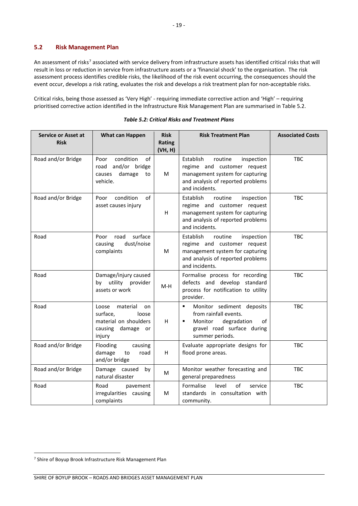# <span id="page-25-0"></span>**5.2 Risk Management Plan**

An assessment of risks<sup>[7](#page-25-1)</sup> associated with service delivery from infrastructure assets has identified critical risks that will result in loss or reduction in service from infrastructure assets or a 'financial shock' to the organisation. The risk assessment process identifies credible risks, the likelihood of the risk event occurring, the consequences should the event occur, develops a risk rating, evaluates the risk and develops a risk treatment plan for non-acceptable risks.

Critical risks, being those assessed as 'Very High' - requiring immediate corrective action and 'High' – requiring prioritised corrective action identified in the Infrastructure Risk Management Plan are summarised in Table 5.2.

| <b>Service or Asset at</b><br><b>Risk</b> | What can Happen                                                                                            | <b>Risk</b><br>Rating<br>(VH, H) | <b>Risk Treatment Plan</b>                                                                                                                                              | <b>Associated Costs</b> |
|-------------------------------------------|------------------------------------------------------------------------------------------------------------|----------------------------------|-------------------------------------------------------------------------------------------------------------------------------------------------------------------------|-------------------------|
| Road and/or Bridge                        | condition<br>Poor<br>Ωf<br>and/or bridge<br>road<br>damage<br>causes<br>to<br>vehicle.                     | М                                | inspection<br><b>Establish</b><br>routine<br>regime and customer request<br>management system for capturing<br>and analysis of reported problems<br>and incidents.      | <b>TBC</b>              |
| Road and/or Bridge                        | condition<br>of<br>Poor<br>asset causes injury                                                             | H                                | Establish<br>routine<br>inspection<br>regime and customer request<br>management system for capturing<br>and analysis of reported problems<br>and incidents.             | <b>TBC</b>              |
| Road                                      | surface<br>road<br>Poor<br>dust/noise<br>causing<br>complaints                                             | М                                | routine<br>inspection<br>Establish<br>regime and customer request<br>management system for capturing<br>and analysis of reported problems<br>and incidents.             | <b>TBC</b>              |
| Road                                      | Damage/injury caused<br>by utility provider<br>assets or work                                              | $M-H$                            | Formalise process for recording<br>defects and develop standard<br>process for notification to utility<br>provider.                                                     | <b>TBC</b>              |
| Road                                      | material<br>Loose<br>on<br>surface,<br>loose<br>material on shoulders<br>causing<br>damage<br>or<br>injury | н                                | $\blacksquare$<br>Monitor sediment deposits<br>from rainfall events.<br>Monitor<br>degradation<br>$\blacksquare$<br>of<br>gravel road surface during<br>summer periods. | <b>TBC</b>              |
| Road and/or Bridge                        | Flooding<br>causing<br>damage<br>road<br>to<br>and/or bridge                                               | H                                | Evaluate appropriate designs for<br>flood prone areas.                                                                                                                  | <b>TBC</b>              |
| Road and/or Bridge                        | Damage caused<br>by<br>natural disaster                                                                    | М                                | Monitor weather forecasting and<br>general preparedness                                                                                                                 | <b>TBC</b>              |
| Road                                      | Road<br>pavement<br>irregularities causing<br>complaints                                                   | M                                | Formalise<br>level<br>of<br>service<br>standards in consultation with<br>community.                                                                                     | <b>TBC</b>              |

*Table 5.2: Critical Risks and Treatment Plans*

 $\overline{a}$ 

<span id="page-25-1"></span><sup>7</sup> Shire of Boyup Brook Infrastructure Risk Management Plan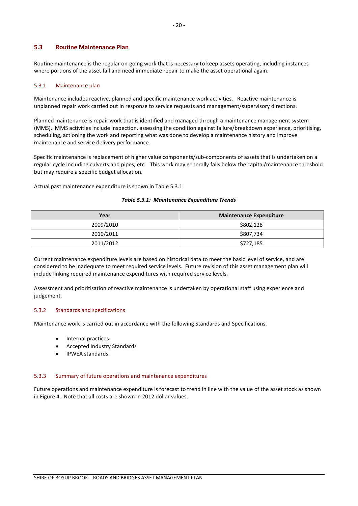# <span id="page-26-0"></span>**5.3 Routine Maintenance Plan**

Routine maintenance is the regular on-going work that is necessary to keep assets operating, including instances where portions of the asset fail and need immediate repair to make the asset operational again.

## 5.3.1 Maintenance plan

Maintenance includes reactive, planned and specific maintenance work activities. Reactive maintenance is unplanned repair work carried out in response to service requests and management/supervisory directions.

Planned maintenance is repair work that is identified and managed through a maintenance management system (MMS). MMS activities include inspection, assessing the condition against failure/breakdown experience, prioritising, scheduling, actioning the work and reporting what was done to develop a maintenance history and improve maintenance and service delivery performance.

Specific maintenance is replacement of higher value components/sub-components of assets that is undertaken on a regular cycle including culverts and pipes, etc. This work may generally falls below the capital/maintenance threshold but may require a specific budget allocation.

Actual past maintenance expenditure is shown in Table 5.3.1.

#### *Table 5.3.1: Maintenance Expenditure Trends*

| Year      | <b>Maintenance Expenditure</b> |
|-----------|--------------------------------|
| 2009/2010 | \$802,128                      |
| 2010/2011 | \$807,734                      |
| 2011/2012 | \$727,185                      |

Current maintenance expenditure levels are based on historical data to meet the basic level of service, and are considered to be inadequate to meet required service levels. Future revision of this asset management plan will include linking required maintenance expenditures with required service levels.

Assessment and prioritisation of reactive maintenance is undertaken by operational staff using experience and judgement.

# 5.3.2 Standards and specifications

Maintenance work is carried out in accordance with the following Standards and Specifications.

- Internal practices
- Accepted Industry Standards
- IPWEA standards.

# 5.3.3 Summary of future operations and maintenance expenditures

Future operations and maintenance expenditure is forecast to trend in line with the value of the asset stock as shown in Figure 4. Note that all costs are shown in 2012 dollar values.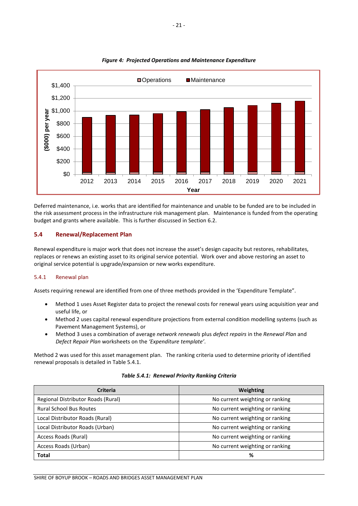

# *Figure 4: Projected Operations and Maintenance Expenditure*

Deferred maintenance, i.e. works that are identified for maintenance and unable to be funded are to be included in the risk assessment process in the infrastructure risk management plan. Maintenance is funded from the operating budget and grants where available. This is further discussed in Section 6.2.

# <span id="page-27-0"></span>**5.4 Renewal/Replacement Plan**

Renewal expenditure is major work that does not increase the asset's design capacity but restores, rehabilitates, replaces or renews an existing asset to its original service potential. Work over and above restoring an asset to original service potential is upgrade/expansion or new works expenditure.

# 5.4.1 Renewal plan

Assets requiring renewal are identified from one of three methods provided in the 'Expenditure Template".

- Method 1 uses Asset Register data to project the renewal costs for renewal years using acquisition year and useful life, or
- Method 2 uses capital renewal expenditure projections from external condition modelling systems (such as Pavement Management Systems), or
- Method 3 uses a combination of average *network renewals* plus *defect repairs* in the *Renewal Plan* and *Defect Repair Plan* worksheets on the *'Expenditure template'*.

Method 2 was used for this asset management plan. The ranking criteria used to determine priority of identified renewal proposals is detailed in Table 5.4.1.

| <b>Criteria</b>                    | Weighting                       |
|------------------------------------|---------------------------------|
| Regional Distributor Roads (Rural) | No current weighting or ranking |
| <b>Rural School Bus Routes</b>     | No current weighting or ranking |
| Local Distributor Roads (Rural)    | No current weighting or ranking |
| Local Distributor Roads (Urban)    | No current weighting or ranking |
| Access Roads (Rural)               | No current weighting or ranking |
| Access Roads (Urban)               | No current weighting or ranking |
| Total                              | %                               |

#### *Table 5.4.1: Renewal Priority Ranking Criteria*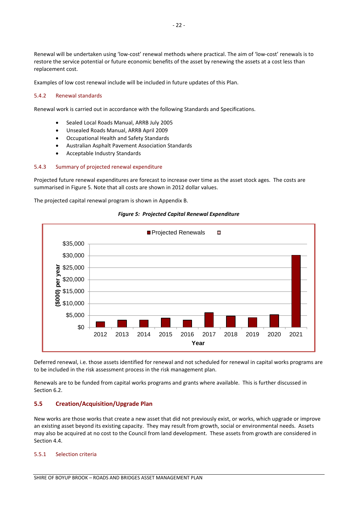- 22 -

Renewal will be undertaken using 'low-cost' renewal methods where practical. The aim of 'low-cost' renewals is to restore the service potential or future economic benefits of the asset by renewing the assets at a cost less than replacement cost.

Examples of low cost renewal include will be included in future updates of this Plan.

# 5.4.2 Renewal standards

Renewal work is carried out in accordance with the following Standards and Specifications.

- Sealed Local Roads Manual, ARRB July 2005
- Unsealed Roads Manual, ARRB April 2009
- Occupational Health and Safety Standards
- Australian Asphalt Pavement Association Standards
- Acceptable Industry Standards

# 5.4.3 Summary of projected renewal expenditure

Projected future renewal expenditures are forecast to increase over time as the asset stock ages. The costs are summarised in Figure 5. Note that all costs are shown in 2012 dollar values.

The projected capital renewal program is shown in Appendix B.



# *Figure 5: Projected Capital Renewal Expenditure*

Deferred renewal, i.e. those assets identified for renewal and not scheduled for renewal in capital works programs are to be included in the risk assessment process in the risk management plan.

Renewals are to be funded from capital works programs and grants where available. This is further discussed in Section 6.2.

# <span id="page-28-0"></span>**5.5 Creation/Acquisition/Upgrade Plan**

New works are those works that create a new asset that did not previously exist, or works, which upgrade or improve an existing asset beyond its existing capacity. They may result from growth, social or environmental needs. Assets may also be acquired at no cost to the Council from land development. These assets from growth are considered in Section 4.4.

# 5.5.1 Selection criteria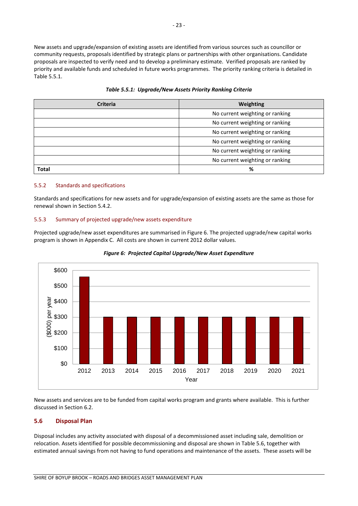New assets and upgrade/expansion of existing assets are identified from various sources such as councillor or community requests, proposals identified by strategic plans or partnerships with other organisations. Candidate proposals are inspected to verify need and to develop a preliminary estimate. Verified proposals are ranked by priority and available funds and scheduled in future works programmes. The priority ranking criteria is detailed in Table 5.5.1.

| <b>Criteria</b> | Weighting                       |
|-----------------|---------------------------------|
|                 | No current weighting or ranking |
|                 | No current weighting or ranking |
|                 | No current weighting or ranking |
|                 | No current weighting or ranking |
|                 | No current weighting or ranking |
|                 | No current weighting or ranking |
| Total           | %                               |

# *Table 5.5.1: Upgrade/New Assets Priority Ranking Criteria*

# 5.5.2 Standards and specifications

Standards and specifications for new assets and for upgrade/expansion of existing assets are the same as those for renewal shown in Section 5.4.2.

# 5.5.3 Summary of projected upgrade/new assets expenditure

Projected upgrade/new asset expenditures are summarised in Figure 6. The projected upgrade/new capital works program is shown in Appendix C. All costs are shown in current 2012 dollar values.





New assets and services are to be funded from capital works program and grants where available. This is further discussed in Section 6.2.

# <span id="page-29-0"></span>**5.6 Disposal Plan**

Disposal includes any activity associated with disposal of a decommissioned asset including sale, demolition or relocation. Assets identified for possible decommissioning and disposal are shown in Table 5.6, together with estimated annual savings from not having to fund operations and maintenance of the assets. These assets will be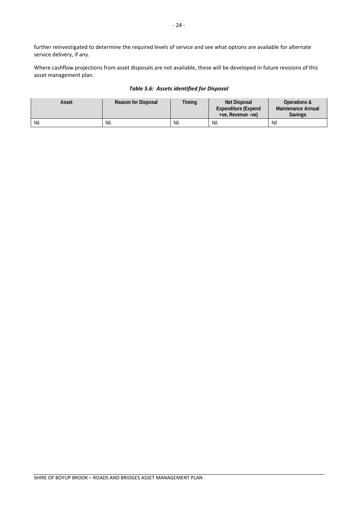further reinvestigated to determine the required levels of service and see what options are available for alternate service delivery, if any.

Where cashflow projections from asset disposals are not available, these will be developed in future revisions of this asset management plan.

<span id="page-30-0"></span>

| Asset | <b>Reason for Disposal</b> | Timing | Net Disposal<br><b>Expenditure (Expend)</b><br>+ve, Revenue -ve) | Operations &<br>Maintenance Annual<br>Savings |
|-------|----------------------------|--------|------------------------------------------------------------------|-----------------------------------------------|
| Nil.  | Nil.                       | Nil.   | Nil.                                                             | Nil                                           |

# *Table 5.6: Assets identified for Disposal*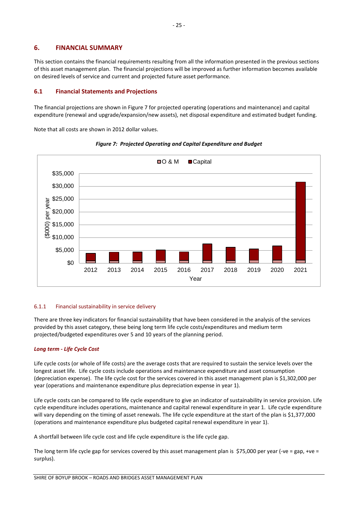# **6. FINANCIAL SUMMARY**

This section contains the financial requirements resulting from all the information presented in the previous sections of this asset management plan. The financial projections will be improved as further information becomes available on desired levels of service and current and projected future asset performance.

# <span id="page-31-0"></span>**6.1 Financial Statements and Projections**

The financial projections are shown in Figure 7 for projected operating (operations and maintenance) and capital expenditure (renewal and upgrade/expansion/new assets), net disposal expenditure and estimated budget funding.

Note that all costs are shown in 2012 dollar values.





# 6.1.1 Financial sustainability in service delivery

There are three key indicators for financial sustainability that have been considered in the analysis of the services provided by this asset category, these being long term life cycle costs/expenditures and medium term projected/budgeted expenditures over 5 and 10 years of the planning period.

# *Long term - Life Cycle Cost*

Life cycle costs (or whole of life costs) are the average costs that are required to sustain the service levels over the longest asset life. Life cycle costs include operations and maintenance expenditure and asset consumption (depreciation expense). The life cycle cost for the services covered in this asset management plan is \$1,302,000 per year (operations and maintenance expenditure plus depreciation expense in year 1).

Life cycle costs can be compared to life cycle expenditure to give an indicator of sustainability in service provision. Life cycle expenditure includes operations, maintenance and capital renewal expenditure in year 1. Life cycle expenditure will vary depending on the timing of asset renewals. The life cycle expenditure at the start of the plan is \$1,377,000 (operations and maintenance expenditure plus budgeted capital renewal expenditure in year 1).

A shortfall between life cycle cost and life cycle expenditure is the life cycle gap.

The long term life cycle gap for services covered by this asset management plan is \$75,000 per year (-ve = gap, +ve = surplus).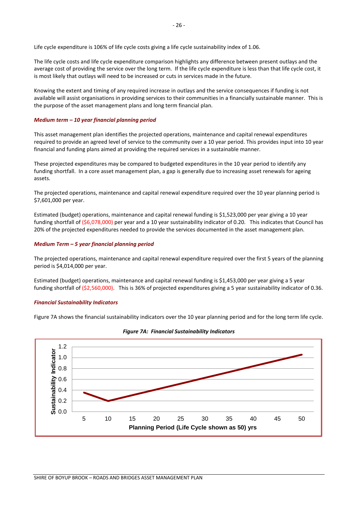Life cycle expenditure is 106% of life cycle costs giving a life cycle sustainability index of 1.06.

The life cycle costs and life cycle expenditure comparison highlights any difference between present outlays and the average cost of providing the service over the long term. If the life cycle expenditure is less than that life cycle cost, it is most likely that outlays will need to be increased or cuts in services made in the future.

Knowing the extent and timing of any required increase in outlays and the service consequences if funding is not available will assist organisations in providing services to their communities in a financially sustainable manner. This is the purpose of the asset management plans and long term financial plan.

## *Medium term – 10 year financial planning period*

This asset management plan identifies the projected operations, maintenance and capital renewal expenditures required to provide an agreed level of service to the community over a 10 year period. This provides input into 10 year financial and funding plans aimed at providing the required services in a sustainable manner.

These projected expenditures may be compared to budgeted expenditures in the 10 year period to identify any funding shortfall. In a core asset management plan, a gap is generally due to increasing asset renewals for ageing assets.

The projected operations, maintenance and capital renewal expenditure required over the 10 year planning period is \$7,601,000 per year.

Estimated (budget) operations, maintenance and capital renewal funding is \$1,523,000 per year giving a 10 year funding shortfall of (\$6,078,000) per year and a 10 year sustainability indicator of 0.20. This indicates that Council has 20% of the projected expenditures needed to provide the services documented in the asset management plan.

#### *Medium Term – 5 year financial planning period*

The projected operations, maintenance and capital renewal expenditure required over the first 5 years of the planning period is \$4,014,000 per year.

Estimated (budget) operations, maintenance and capital renewal funding is \$1,453,000 per year giving a 5 year funding shortfall of (\$2,560,000). This is 36% of projected expenditures giving a 5 year sustainability indicator of 0.36.

#### *Financial Sustainability Indicators*

Figure 7A shows the financial sustainability indicators over the 10 year planning period and for the long term life cycle.



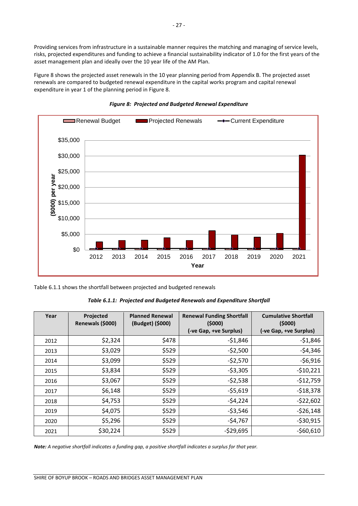Providing services from infrastructure in a sustainable manner requires the matching and managing of service levels, risks, projected expenditures and funding to achieve a financial sustainability indicator of 1.0 for the first years of the asset management plan and ideally over the 10 year life of the AM Plan.

Figure 8 shows the projected asset renewals in the 10 year planning period from Appendix B. The projected asset renewals are compared to budgeted renewal expenditure in the capital works program and capital renewal expenditure in year 1 of the planning period in Figure 8.



# *Figure 8: Projected and Budgeted Renewal Expenditure*

Table 6.1.1 shows the shortfall between projected and budgeted renewals

*Table 6.1.1: Projected and Budgeted Renewals and Expenditure Shortfall*

| Year | Projected<br>Renewals (\$000) | <b>Planned Renewal</b><br>(Budget) (\$000) | <b>Renewal Funding Shortfall</b><br>(5000) | <b>Cumulative Shortfall</b><br>(5000) |
|------|-------------------------------|--------------------------------------------|--------------------------------------------|---------------------------------------|
|      |                               |                                            | (-ve Gap, +ve Surplus)                     | (-ve Gap, +ve Surplus)                |
| 2012 | \$2,324                       | \$478                                      | $-51,846$                                  | $-51,846$                             |
| 2013 | \$3,029                       | \$529                                      | $-52,500$                                  | $-54,346$                             |
| 2014 | \$3,099                       | \$529                                      | $-52,570$                                  | $-56,916$                             |
| 2015 | \$3,834                       | \$529                                      | $-53,305$                                  | $-510,221$                            |
| 2016 | \$3,067                       | \$529                                      | $-52,538$                                  | $-512,759$                            |
| 2017 | \$6,148                       | \$529                                      | $-55,619$                                  | $-518,378$                            |
| 2018 | \$4,753                       | \$529                                      | $-54,224$                                  | $-522,602$                            |
| 2019 | \$4,075                       | \$529                                      | $-53,546$                                  | $-526,148$                            |
| 2020 | \$5,296                       | \$529                                      | $-54,767$                                  | $-530,915$                            |
| 2021 | \$30,224                      | \$529                                      | $-529,695$                                 | $-560,610$                            |

*Note: A negative shortfall indicates a funding gap, a positive shortfall indicates a surplus for that year.*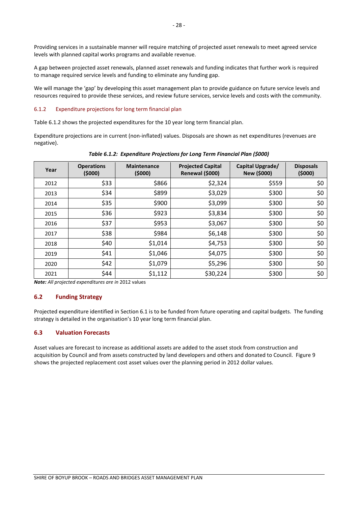Providing services in a sustainable manner will require matching of projected asset renewals to meet agreed service levels with planned capital works programs and available revenue.

A gap between projected asset renewals, planned asset renewals and funding indicates that further work is required to manage required service levels and funding to eliminate any funding gap.

We will manage the 'gap' by developing this asset management plan to provide guidance on future service levels and resources required to provide these services, and review future services, service levels and costs with the community.

#### 6.1.2 Expenditure projections for long term financial plan

Table 6.1.2 shows the projected expenditures for the 10 year long term financial plan.

Expenditure projections are in current (non-inflated) values. Disposals are shown as net expenditures (revenues are negative).

| Year | <b>Operations</b><br>(\$000) | <b>Maintenance</b><br>(5000) | <b>Projected Capital</b><br>Renewal (\$000) | Capital Upgrade/<br>New (\$000) | <b>Disposals</b><br>(5000) |
|------|------------------------------|------------------------------|---------------------------------------------|---------------------------------|----------------------------|
| 2012 | \$33                         | \$866                        | \$2,324                                     | \$559                           | \$0                        |
| 2013 | \$34                         | \$899                        | \$3,029                                     | \$300                           | \$0                        |
| 2014 | \$35                         | \$900                        | \$3,099                                     | \$300                           | \$0                        |
| 2015 | \$36                         | \$923                        | \$3,834                                     | \$300                           | \$0                        |
| 2016 | \$37                         | \$953                        | \$3,067                                     | \$300                           | \$0                        |
| 2017 | \$38                         | \$984                        | \$6,148                                     | \$300                           | \$0                        |
| 2018 | \$40                         | \$1,014                      | \$4,753                                     | \$300                           | \$0                        |
| 2019 | \$41                         | \$1,046                      | \$4,075                                     | \$300                           | \$0                        |
| 2020 | \$42                         | \$1,079                      | \$5,296                                     | \$300                           | \$0                        |
| 2021 | \$44                         | \$1,112                      | \$30,224                                    | \$300                           | \$0                        |

*Table 6.1.2: Expenditure Projections for Long Term Financial Plan (\$000)*

*Note: All projected expenditures are in* 2012 values

# <span id="page-34-0"></span>**6.2 Funding Strategy**

Projected expenditure identified in Section 6.1 is to be funded from future operating and capital budgets. The funding strategy is detailed in the organisation's 10 year long term financial plan.

# <span id="page-34-1"></span>**6.3 Valuation Forecasts**

Asset values are forecast to increase as additional assets are added to the asset stock from construction and acquisition by Council and from assets constructed by land developers and others and donated to Council. Figure 9 shows the projected replacement cost asset values over the planning period in 2012 dollar values.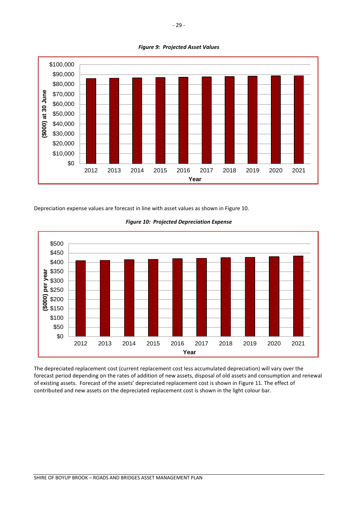

*Figure 9: Projected Asset Values*

Depreciation expense values are forecast in line with asset values as shown in Figure 10.



*Figure 10: Projected Depreciation Expense*

The depreciated replacement cost (current replacement cost less accumulated depreciation) will vary over the forecast period depending on the rates of addition of new assets, disposal of old assets and consumption and renewal of existing assets. Forecast of the assets' depreciated replacement cost is shown in Figure 11. The effect of contributed and new assets on the depreciated replacement cost is shown in the light colour bar.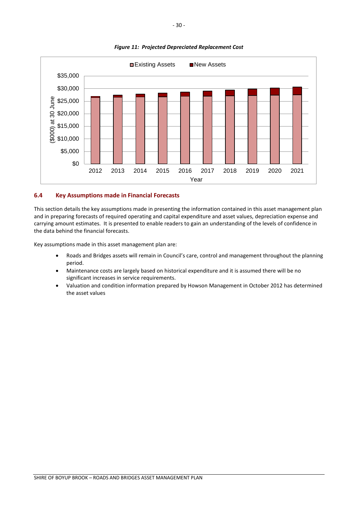

# *Figure 11: Projected Depreciated Replacement Cost*

# <span id="page-36-0"></span>**6.4 Key Assumptions made in Financial Forecasts**

This section details the key assumptions made in presenting the information contained in this asset management plan and in preparing forecasts of required operating and capital expenditure and asset values, depreciation expense and carrying amount estimates. It is presented to enable readers to gain an understanding of the levels of confidence in the data behind the financial forecasts.

Key assumptions made in this asset management plan are:

- Roads and Bridges assets will remain in Council's care, control and management throughout the planning period.
- Maintenance costs are largely based on historical expenditure and it is assumed there will be no significant increases in service requirements.
- Valuation and condition information prepared by Howson Management in October 2012 has determined the asset values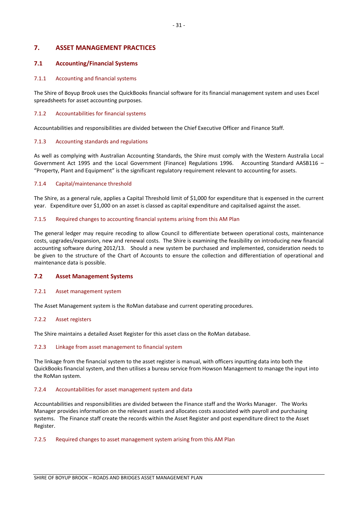# <span id="page-37-0"></span>**7. ASSET MANAGEMENT PRACTICES**

# <span id="page-37-1"></span>**7.1 Accounting/Financial Systems**

#### 7.1.1 Accounting and financial systems

The Shire of Boyup Brook uses the QuickBooks financial software for its financial management system and uses Excel spreadsheets for asset accounting purposes.

## 7.1.2 Accountabilities for financial systems

Accountabilities and responsibilities are divided between the Chief Executive Officer and Finance Staff.

#### 7.1.3 Accounting standards and regulations

As well as complying with Australian Accounting Standards, the Shire must comply with the Western Australia Local Government Act 1995 and the Local Government (Finance) Regulations 1996. Accounting Standard AASB116 – "Property, Plant and Equipment" is the significant regulatory requirement relevant to accounting for assets.

#### 7.1.4 Capital/maintenance threshold

The Shire, as a general rule, applies a Capital Threshold limit of \$1,000 for expenditure that is expensed in the current year. Expenditure over \$1,000 on an asset is classed as capital expenditure and capitalised against the asset.

#### 7.1.5 Required changes to accounting financial systems arising from this AM Plan

The general ledger may require recoding to allow Council to differentiate between operational costs, maintenance costs, upgrades/expansion, new and renewal costs. The Shire is examining the feasibility on introducing new financial accounting software during 2012/13. Should a new system be purchased and implemented, consideration needs to be given to the structure of the Chart of Accounts to ensure the collection and differentiation of operational and maintenance data is possible.

# <span id="page-37-2"></span>**7.2 Asset Management Systems**

#### 7.2.1 Asset management system

The Asset Management system is the RoMan database and current operating procedures.

#### 7.2.2 Asset registers

The Shire maintains a detailed Asset Register for this asset class on the RoMan database.

#### 7.2.3 Linkage from asset management to financial system

The linkage from the financial system to the asset register is manual, with officers inputting data into both the QuickBooks financial system, and then utilises a bureau service from Howson Management to manage the input into the RoMan system.

#### 7.2.4 Accountabilities for asset management system and data

Accountabilities and responsibilities are divided between the Finance staff and the Works Manager. The Works Manager provides information on the relevant assets and allocates costs associated with payroll and purchasing systems. The Finance staff create the records within the Asset Register and post expenditure direct to the Asset Register.

# 7.2.5 Required changes to asset management system arising from this AM Plan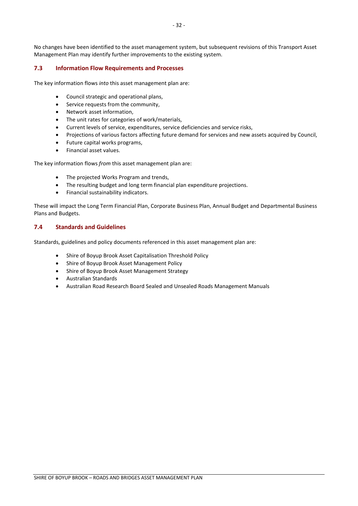No changes have been identified to the asset management system, but subsequent revisions of this Transport Asset Management Plan may identify further improvements to the existing system.

# <span id="page-38-0"></span>**7.3 Information Flow Requirements and Processes**

The key information flows *into* this asset management plan are:

- Council strategic and operational plans,
- Service requests from the community,
- Network asset information,
- The unit rates for categories of work/materials,
- Current levels of service, expenditures, service deficiencies and service risks,
- Projections of various factors affecting future demand for services and new assets acquired by Council,
- Future capital works programs,
- Financial asset values.

The key information flows *from* this asset management plan are:

- The projected Works Program and trends,
- The resulting budget and long term financial plan expenditure projections.
- Financial sustainability indicators.

These will impact the Long Term Financial Plan, Corporate Business Plan, Annual Budget and Departmental Business Plans and Budgets.

# <span id="page-38-1"></span>**7.4 Standards and Guidelines**

Standards, guidelines and policy documents referenced in this asset management plan are:

- Shire of Boyup Brook Asset Capitalisation Threshold Policy
- Shire of Boyup Brook Asset Management Policy
- Shire of Boyup Brook Asset Management Strategy
- Australian Standards
- <span id="page-38-2"></span>• Australian Road Research Board Sealed and Unsealed Roads Management Manuals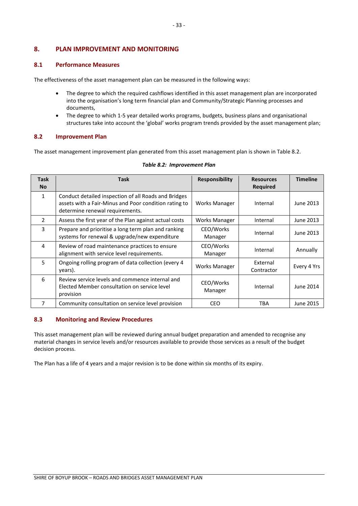# **8. PLAN IMPROVEMENT AND MONITORING**

# <span id="page-39-0"></span>**8.1 Performance Measures**

The effectiveness of the asset management plan can be measured in the following ways:

- The degree to which the required cashflows identified in this asset management plan are incorporated into the organisation's long term financial plan and Community/Strategic Planning processes and documents,
- The degree to which 1-5 year detailed works programs, budgets, business plans and organisational structures take into account the 'global' works program trends provided by the asset management plan;

# <span id="page-39-1"></span>**8.2 Improvement Plan**

The asset management improvement plan generated from this asset management plan is shown in Table 8.2.

| <b>Task</b>    | <b>Task</b>                                                                                                                                      | <b>Responsibility</b> | <b>Resources</b>       | <b>Timeline</b> |
|----------------|--------------------------------------------------------------------------------------------------------------------------------------------------|-----------------------|------------------------|-----------------|
| <b>No</b>      |                                                                                                                                                  |                       | <b>Required</b>        |                 |
| $\mathbf{1}$   | Conduct detailed inspection of all Roads and Bridges<br>assets with a Fair-Minus and Poor condition rating to<br>determine renewal requirements. | <b>Works Manager</b>  | Internal               | June 2013       |
| $\overline{2}$ | Assess the first year of the Plan against actual costs                                                                                           | Works Manager         | Internal               | June 2013       |
| 3              | Prepare and prioritise a long term plan and ranking<br>systems for renewal & upgrade/new expenditure                                             | CEO/Works<br>Manager  | Internal               | June 2013       |
| 4              | Review of road maintenance practices to ensure<br>alignment with service level requirements.                                                     | CEO/Works<br>Manager  | Internal               | Annually        |
| 5              | Ongoing rolling program of data collection (every 4<br>years).                                                                                   | Works Manager         | External<br>Contractor | Every 4 Yrs     |
| 6              | Review service levels and commence internal and<br>Elected Member consultation on service level<br>provision                                     | CEO/Works<br>Manager  | Internal               | June 2014       |
| 7              | Community consultation on service level provision                                                                                                | CEO                   | <b>TBA</b>             | June 2015       |

#### *Table 8.2: Improvement Plan*

# <span id="page-39-2"></span>**8.3 Monitoring and Review Procedures**

This asset management plan will be reviewed during annual budget preparation and amended to recognise any material changes in service levels and/or resources available to provide those services as a result of the budget decision process.

The Plan has a life of 4 years and a major revision is to be done within six months of its expiry.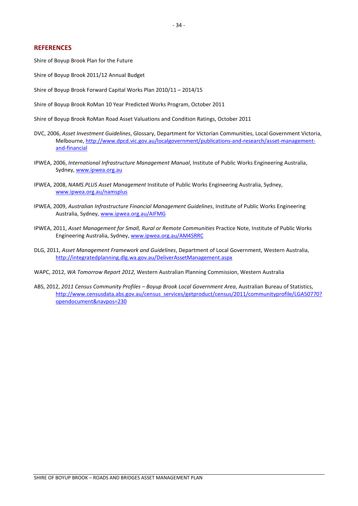# <span id="page-40-0"></span>**REFERENCES**

Shire of Boyup Brook Plan for the Future

Shire of Boyup Brook 2011/12 Annual Budget

Shire of Boyup Brook Forward Capital Works Plan 2010/11 – 2014/15

Shire of Boyup Brook RoMan 10 Year Predicted Works Program, October 2011

Shire of Boyup Brook RoMan Road Asset Valuations and Condition Ratings, October 2011

- DVC, 2006, *Asset Investment Guidelines*, Glossary, Department for Victorian Communities, Local Government Victoria, Melbourne, [http://www.dpcd.vic.gov.au/localgovernment/publications-and-research/asset-management](http://www.dpcd.vic.gov.au/localgovernment/publications-and-research/asset-management-and-financial)[and-financial](http://www.dpcd.vic.gov.au/localgovernment/publications-and-research/asset-management-and-financial)
- IPWEA, 2006, *International Infrastructure Management Manual*, Institute of Public Works Engineering Australia, Sydney[, www.ipwea.org.au](http://www.ipwea.org.au/)
- IPWEA, 2008, *NAMS.PLUS Asset Management* Institute of Public Works Engineering Australia, Sydney, [www.ipwea.org.au/namsplus](http://www.ipwea.org.au/namsplus)
- IPWEA, 2009, *Australian Infrastructure Financial Management Guidelines*, Institute of Public Works Engineering Australia, Sydney, [www.ipwea.org.au/AIFMG](http://www.ipwea.org.au/AIFMG)
- IPWEA, 2011, *Asset Management for Small, Rural or Remote Communities* Practice Note, Institute of Public Works Engineering Australia, Sydney[, www.ipwea.org.au/AM4SRRC](http://www.ipwea.org.au/AM4SRRC)
- DLG, 2011, *Asset Management Framework and Guidelines*, Department of Local Government, Western Australia, <http://integratedplanning.dlg.wa.gov.au/DeliverAssetManagement.aspx>
- WAPC, 2012, *WA Tomorrow Report 2012,* Western Australian Planning Commission, Western Australia
- ABS, 2012, *2011 Census Community Profiles – Boyup Brook Local Government Area*, Australian Bureau of Statistics, [http://www.censusdata.abs.gov.au/census\\_services/getproduct/census/2011/communityprofile/LGA50770?](http://www.censusdata.abs.gov.au/census_services/getproduct/census/2011/communityprofile/LGA50770?opendocument&navpos=230) [opendocument&navpos=230](http://www.censusdata.abs.gov.au/census_services/getproduct/census/2011/communityprofile/LGA50770?opendocument&navpos=230)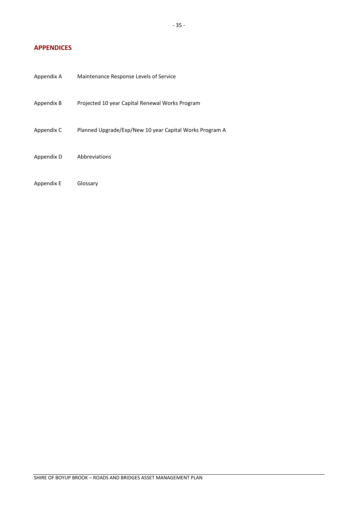# <span id="page-41-0"></span>**APPENDICES**

| Appendix A | Maintenance Response Levels of Service                  |
|------------|---------------------------------------------------------|
| Appendix B | Projected 10 year Capital Renewal Works Program         |
| Appendix C | Planned Upgrade/Exp/New 10 year Capital Works Program A |
| Appendix D | Abbreviations                                           |
| Appendix E | Glossary                                                |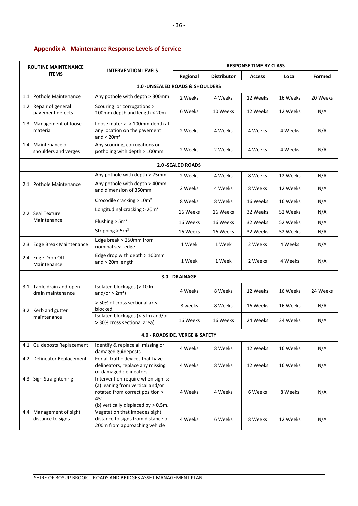| <b>ROUTINE MAINTENANCE</b> |                                               | <b>INTERVENTION LEVELS</b>                                                                                                                               |                                |                    | <b>RESPONSE TIME BY CLASS</b> |          |               |
|----------------------------|-----------------------------------------------|----------------------------------------------------------------------------------------------------------------------------------------------------------|--------------------------------|--------------------|-------------------------------|----------|---------------|
|                            | <b>ITEMS</b>                                  |                                                                                                                                                          | Regional                       | <b>Distributor</b> | <b>Access</b>                 | Local    | <b>Formed</b> |
|                            |                                               | 1.0 - UNSEALED ROADS & SHOULDERS                                                                                                                         |                                |                    |                               |          |               |
|                            | 1.1 Pothole Maintenance                       | Any pothole with depth > 300mm                                                                                                                           | 2 Weeks                        | 4 Weeks            | 12 Weeks                      | 16 Weeks | 20 Weeks      |
|                            | 1.2 Repair of general<br>pavement defects     | Scouring or corrugations ><br>100mm depth and length < 20m                                                                                               | 6 Weeks                        | 10 Weeks           | 12 Weeks                      | 12 Weeks | N/A           |
|                            | 1.3 Management of loose<br>material           | Loose material > 100mm depth at<br>any location on the pavement<br>and $< 20m2$                                                                          | 2 Weeks                        | 4 Weeks            | 4 Weeks                       | 4 Weeks  | N/A           |
|                            | 1.4 Maintenance of<br>shoulders and verges    | Any scouring, corrugations or<br>potholing with depth > 100mm                                                                                            | 2 Weeks                        | 2 Weeks            | 4 Weeks                       | 4 Weeks  | N/A           |
|                            |                                               |                                                                                                                                                          | <b>2.0 -SEALED ROADS</b>       |                    |                               |          |               |
|                            |                                               | Any pothole with depth > 75mm                                                                                                                            | 2 Weeks                        | 4 Weeks            | 8 Weeks                       | 12 Weeks | N/A           |
|                            | 2.1 Pothole Maintenance                       | Any pothole with depth > 40mm<br>and dimension of 350mm                                                                                                  | 2 Weeks                        | 4 Weeks            | 8 Weeks                       | 12 Weeks | N/A           |
|                            |                                               | Crocodile cracking $> 10m^2$                                                                                                                             | 8 Weeks                        | 8 Weeks            | 16 Weeks                      | 16 Weeks | N/A           |
|                            | 2.2 Seal Texture<br>Maintenance               | Longitudinal cracking > 20m <sup>2</sup>                                                                                                                 | 16 Weeks                       | 16 Weeks           | 32 Weeks                      | 52 Weeks | N/A           |
|                            |                                               | Flushing $> 5m2$                                                                                                                                         | 16 Weeks                       | 16 Weeks           | 32 Weeks                      | 52 Weeks | N/A           |
|                            |                                               | Stripping $> 5m2$                                                                                                                                        | 16 Weeks                       | 16 Weeks           | 32 Weeks                      | 52 Weeks | N/A           |
|                            | 2.3 Edge Break Maintenance                    | Edge break > 250mm from<br>nominal seal edge                                                                                                             | 1 Week                         | 1 Week             | 2 Weeks                       | 4 Weeks  | N/A           |
|                            | 2.4 Edge Drop Off<br>Maintenance              | Edge drop with depth > 100mm<br>and > 20m length                                                                                                         | 1 Week                         | 1 Week             | 2 Weeks                       | 4 Weeks  | N/A           |
|                            |                                               |                                                                                                                                                          | 3.0 - DRAINAGE                 |                    |                               |          |               |
|                            | 3.1 Table drain and open<br>drain maintenance | Isolated blockages (> 10 lm<br>and/or $> 2m3$ )                                                                                                          | 4 Weeks                        | 8 Weeks            | 12 Weeks                      | 16 Weeks | 24 Weeks      |
|                            | 3.2 Kerb and gutter                           | > 50% of cross sectional area<br>blocked                                                                                                                 | 8 weeks                        | 8 Weeks            | 16 Weeks                      | 16 Weeks | N/A           |
|                            | maintenance                                   | Isolated blockages (< 5 lm and/or<br>> 30% cross sectional area)                                                                                         | 16 Weeks                       | 16 Weeks           | 24 Weeks                      | 24 Weeks | N/A           |
|                            |                                               |                                                                                                                                                          | 4.0 - ROADSIDE, VERGE & SAFETY |                    |                               |          |               |
|                            | 4.1 Guideposts Replacement                    | Identify & replace all missing or<br>damaged guideposts                                                                                                  | 4 Weeks                        | 8 Weeks            | 12 Weeks                      | 16 Weeks | N/A           |
|                            | 4.2 Delineator Replacement                    | For all traffic devices that have<br>delineators, replace any missing<br>or damaged delineators                                                          | 4 Weeks                        | 8 Weeks            | 12 Weeks                      | 16 Weeks | N/A           |
|                            | 4.3 Sign Straightening                        | Intervention require when sign is:<br>(a) leaning from vertical and/or<br>rotated from correct position ><br>45°.<br>(b) vertically displaced by > 0.5m. | 4 Weeks                        | 4 Weeks            | 6 Weeks                       | 8 Weeks  | N/A           |
|                            | 4.4 Management of sight<br>distance to signs  | Vegetation that impedes sight<br>distance to signs from distance of<br>200m from approaching vehicle                                                     | 4 Weeks                        | 6 Weeks            | 8 Weeks                       | 12 Weeks | N/A           |

# <span id="page-42-0"></span>**Appendix A Maintenance Response Levels of Service**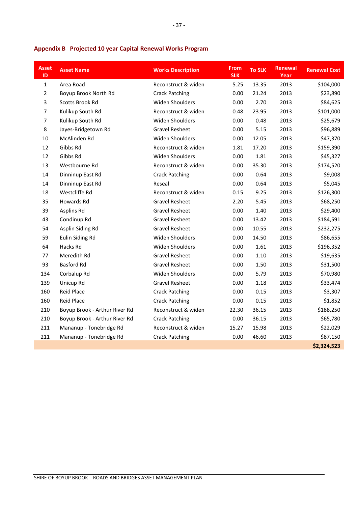| Asset<br>ID    | <b>Asset Name</b>             | <b>Works Description</b> | <b>From</b><br><b>SLK</b> | <b>To SLK</b> | <b>Renewal</b><br>Year | <b>Renewal Cost</b> |
|----------------|-------------------------------|--------------------------|---------------------------|---------------|------------------------|---------------------|
| 1              | Area Road                     | Reconstruct & widen      | 5.25                      | 13.35         | 2013                   | \$104,000           |
| $\overline{2}$ | Boyup Brook North Rd          | <b>Crack Patching</b>    | 0.00                      | 21.24         | 2013                   | \$23,890            |
| 3              | Scotts Brook Rd               | <b>Widen Shoulders</b>   | 0.00                      | 2.70          | 2013                   | \$84,625            |
| 7              | Kulikup South Rd              | Reconstruct & widen      | 0.48                      | 23.95         | 2013                   | \$101,000           |
| 7              | Kulikup South Rd              | <b>Widen Shoulders</b>   | 0.00                      | 0.48          | 2013                   | \$25,679            |
| 8              | Jayes-Bridgetown Rd           | <b>Gravel Resheet</b>    | 0.00                      | 5.15          | 2013                   | \$96,889            |
| 10             | McAlinden Rd                  | <b>Widen Shoulders</b>   | 0.00                      | 12.05         | 2013                   | \$47,370            |
| 12             | Gibbs Rd                      | Reconstruct & widen      | 1.81                      | 17.20         | 2013                   | \$159,390           |
| 12             | Gibbs Rd                      | <b>Widen Shoulders</b>   | 0.00                      | 1.81          | 2013                   | \$45,327            |
| 13             | Westbourne Rd                 | Reconstruct & widen      | 0.00                      | 35.30         | 2013                   | \$174,520           |
| 14             | Dinninup East Rd              | <b>Crack Patching</b>    | 0.00                      | 0.64          | 2013                   | \$9,008             |
| 14             | Dinninup East Rd              | Reseal                   | 0.00                      | 0.64          | 2013                   | \$5,045             |
| 18             | Westcliffe Rd                 | Reconstruct & widen      | 0.15                      | 9.25          | 2013                   | \$126,300           |
| 35             | Howards Rd                    | <b>Gravel Resheet</b>    | 2.20                      | 5.45          | 2013                   | \$68,250            |
| 39             | Asplins Rd                    | <b>Gravel Resheet</b>    | 0.00                      | 1.40          | 2013                   | \$29,400            |
| 43             | Condinup Rd                   | <b>Gravel Resheet</b>    | 0.00                      | 13.42         | 2013                   | \$184,591           |
| 54             | Asplin Siding Rd              | <b>Gravel Resheet</b>    | 0.00                      | 10.55         | 2013                   | \$232,275           |
| 59             | Eulin Siding Rd               | <b>Widen Shoulders</b>   | 0.00                      | 14.50         | 2013                   | \$86,655            |
| 64             | Hacks Rd                      | Widen Shoulders          | 0.00                      | 1.61          | 2013                   | \$196,352           |
| 77             | Meredith Rd                   | <b>Gravel Resheet</b>    | 0.00                      | 1.10          | 2013                   | \$19,635            |
| 93             | <b>Basford Rd</b>             | <b>Gravel Resheet</b>    | 0.00                      | 1.50          | 2013                   | \$31,500            |
| 134            | Corbalup Rd                   | <b>Widen Shoulders</b>   | 0.00                      | 5.79          | 2013                   | \$70,980            |
| 139            | Unicup Rd                     | <b>Gravel Resheet</b>    | 0.00                      | 1.18          | 2013                   | \$33,474            |
| 160            | <b>Reid Place</b>             | <b>Crack Patching</b>    | 0.00                      | 0.15          | 2013                   | \$3,307             |
| 160            | Reid Place                    | <b>Crack Patching</b>    | 0.00                      | 0.15          | 2013                   | \$1,852             |
| 210            | Boyup Brook - Arthur River Rd | Reconstruct & widen      | 22.30                     | 36.15         | 2013                   | \$188,250           |
| 210            | Boyup Brook - Arthur River Rd | <b>Crack Patching</b>    | 0.00                      | 36.15         | 2013                   | \$65,780            |
| 211            | Mananup - Tonebridge Rd       | Reconstruct & widen      | 15.27                     | 15.98         | 2013                   | \$22,029            |
| 211            | Mananup - Tonebridge Rd       | <b>Crack Patching</b>    | 0.00                      | 46.60         | 2013                   | \$87,150            |
|                |                               |                          |                           |               |                        | \$2,324,523         |

# <span id="page-43-0"></span>**Appendix B Projected 10 year Capital Renewal Works Program**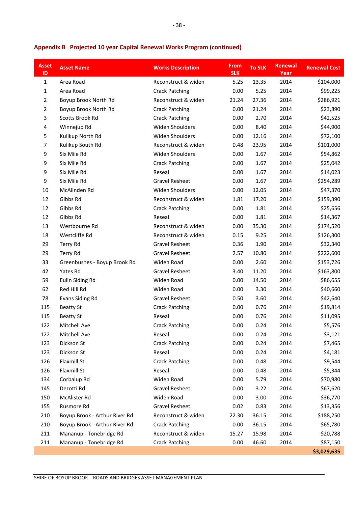| <b>Asset</b><br>ID | <b>Asset Name</b>             | <b>Works Description</b> | <b>From</b><br><b>SLK</b> | <b>To SLK</b> | <b>Renewal</b><br>Year | <b>Renewal Cost</b> |
|--------------------|-------------------------------|--------------------------|---------------------------|---------------|------------------------|---------------------|
| $\mathbf{1}$       | Area Road                     | Reconstruct & widen      | 5.25                      | 13.35         | 2014                   | \$104,000           |
| $\mathbf{1}$       | Area Road                     | <b>Crack Patching</b>    | 0.00                      | 5.25          | 2014                   | \$99,225            |
| 2                  | Boyup Brook North Rd          | Reconstruct & widen      | 21.24                     | 27.36         | 2014                   | \$286,921           |
| $\overline{2}$     | Boyup Brook North Rd          | <b>Crack Patching</b>    | 0.00                      | 21.24         | 2014                   | \$23,890            |
| 3                  | Scotts Brook Rd               | <b>Crack Patching</b>    | 0.00                      | 2.70          | 2014                   | \$42,525            |
| 4                  | Winnejup Rd                   | Widen Shoulders          | 0.00                      | 8.40          | 2014                   | \$44,900            |
| 5                  | Kulikup North Rd              | Widen Shoulders          | 0.00                      | 12.16         | 2014                   | \$72,100            |
| 7                  | Kulikup South Rd              | Reconstruct & widen      | 0.48                      | 23.95         | 2014                   | \$101,000           |
| 9                  | Six Mile Rd                   | Widen Shoulders          | 0.00                      | 1.67          | 2014                   | \$54,862            |
| 9                  | Six Mile Rd                   | <b>Crack Patching</b>    | 0.00                      | 1.67          | 2014                   | \$25,042            |
| 9                  | Six Mile Rd                   | Reseal                   | 0.00                      | 1.67          | 2014                   | \$14,023            |
| 9                  | Six Mile Rd                   | <b>Gravel Resheet</b>    | 0.00                      | 1.67          | 2014                   | \$254,289           |
| 10                 | McAlinden Rd                  | Widen Shoulders          | 0.00                      | 12.05         | 2014                   | \$47,370            |
| 12                 | Gibbs Rd                      | Reconstruct & widen      | 1.81                      | 17.20         | 2014                   | \$159,390           |
| 12                 | Gibbs Rd                      | <b>Crack Patching</b>    | 0.00                      | 1.81          | 2014                   | \$25,656            |
| 12                 | Gibbs Rd                      | Reseal                   | 0.00                      | 1.81          | 2014                   | \$14,367            |
| 13                 | Westbourne Rd                 | Reconstruct & widen      | 0.00                      | 35.30         | 2014                   | \$174,520           |
| 18                 | Westcliffe Rd                 | Reconstruct & widen      | 0.15                      | 9.25          | 2014                   | \$126,300           |
| 29                 | Terry Rd                      | <b>Gravel Resheet</b>    | 0.36                      | 1.90          | 2014                   | \$32,340            |
| 29                 | Terry Rd                      | <b>Gravel Resheet</b>    | 2.57                      | 10.80         | 2014                   | \$222,600           |
| 33                 | Greenbushes - Boyup Brook Rd  | Widen Road               | 0.00                      | 2.60          | 2014                   | \$153,726           |
| 42                 | Yates Rd                      | <b>Gravel Resheet</b>    | 3.40                      | 11.20         | 2014                   | \$163,800           |
| 59                 | Eulin Siding Rd               | Widen Road               | 0.00                      | 14.50         | 2014                   | \$86,655            |
| 62                 | Red Hill Rd                   | Widen Road               | 0.00                      | 3.30          | 2014                   | \$40,660            |
| 78                 | <b>Evans Siding Rd</b>        | <b>Gravel Resheet</b>    | 0.50                      | 3.60          | 2014                   | \$42,640            |
| 115                | <b>Beatty St</b>              | <b>Crack Patching</b>    | 0.00                      | 0.76          | 2014                   | \$19,814            |
| 115                | <b>Beatty St</b>              | Reseal                   | 0.00                      | 0.76          | 2014                   | \$11,095            |
| 122                | <b>Mitchell Ave</b>           | <b>Crack Patching</b>    | 0.00                      | 0.24          | 2014                   | \$5,576             |
| 122                | Mitchell Ave                  | Reseal                   | 0.00                      | 0.24          | 2014                   | \$3,121             |
| 123                | Dickson St                    | <b>Crack Patching</b>    | 0.00                      | 0.24          | 2014                   | \$7,465             |
| 123                | Dickson St                    | Reseal                   | 0.00                      | 0.24          | 2014                   | \$4,181             |
| 126                | Flaxmill St                   | <b>Crack Patching</b>    | 0.00                      | 0.48          | 2014                   | \$9,544             |
| 126                | Flaxmill St                   | Reseal                   | 0.00                      | 0.48          | 2014                   | \$5,344             |
| 134                | Corbalup Rd                   | Widen Road               | 0.00                      | 5.79          | 2014                   | \$70,980            |
| 145                | Dezotti Rd                    | <b>Gravel Resheet</b>    | 0.00                      | 3.22          | 2014                   | \$67,620            |
| 150                | McAlister Rd                  | Widen Road               | 0.00                      | 3.00          | 2014                   | \$36,770            |
| 155                | Rusmore Rd                    | <b>Gravel Resheet</b>    | 0.02                      | 0.83          | 2014                   | \$13,356            |
| 210                | Boyup Brook - Arthur River Rd | Reconstruct & widen      | 22.30                     | 36.15         | 2014                   | \$188,250           |
| 210                | Boyup Brook - Arthur River Rd | <b>Crack Patching</b>    | 0.00                      | 36.15         | 2014                   | \$65,780            |
| 211                | Mananup - Tonebridge Rd       | Reconstruct & widen      | 15.27                     | 15.98         | 2014                   | \$20,788            |
| 211                | Mananup - Tonebridge Rd       | <b>Crack Patching</b>    | 0.00                      | 46.60         | 2014                   | \$87,150            |
|                    |                               |                          |                           |               |                        | \$3,029,635         |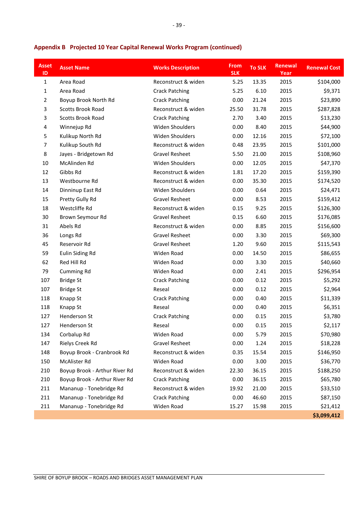| <b>Asset</b><br>ID | <b>Asset Name</b>             | <b>Works Description</b> | <b>From</b><br><b>SLK</b> | <b>To SLK</b> | <b>Renewal</b><br>Year | <b>Renewal Cost</b> |
|--------------------|-------------------------------|--------------------------|---------------------------|---------------|------------------------|---------------------|
| $\mathbf{1}$       | Area Road                     | Reconstruct & widen      | 5.25                      | 13.35         | 2015                   | \$104,000           |
| $\mathbf{1}$       | Area Road                     | <b>Crack Patching</b>    | 5.25                      | 6.10          | 2015                   | \$9,371             |
| 2                  | Boyup Brook North Rd          | <b>Crack Patching</b>    | 0.00                      | 21.24         | 2015                   | \$23,890            |
| 3                  | Scotts Brook Road             | Reconstruct & widen      | 25.50                     | 31.78         | 2015                   | \$287,828           |
| 3                  | <b>Scotts Brook Road</b>      | <b>Crack Patching</b>    | 2.70                      | 3.40          | 2015                   | \$13,230            |
| 4                  | Winnejup Rd                   | <b>Widen Shoulders</b>   | 0.00                      | 8.40          | 2015                   | \$44,900            |
| 5                  | Kulikup North Rd              | <b>Widen Shoulders</b>   | 0.00                      | 12.16         | 2015                   | \$72,100            |
| 7                  | Kulikup South Rd              | Reconstruct & widen      | 0.48                      | 23.95         | 2015                   | \$101,000           |
| 8                  | Jayes - Bridgetown Rd         | <b>Gravel Resheet</b>    | 5.50                      | 21.00         | 2015                   | \$108,960           |
| 10                 | McAlinden Rd                  | <b>Widen Shoulders</b>   | 0.00                      | 12.05         | 2015                   | \$47,370            |
| 12                 | Gibbs Rd                      | Reconstruct & widen      | 1.81                      | 17.20         | 2015                   | \$159,390           |
| 13                 | Westbourne Rd                 | Reconstruct & widen      | 0.00                      | 35.30         | 2015                   | \$174,520           |
| 14                 | Dinninup East Rd              | <b>Widen Shoulders</b>   | 0.00                      | 0.64          | 2015                   | \$24,471            |
| 15                 | Pretty Gully Rd               | <b>Gravel Resheet</b>    | 0.00                      | 8.53          | 2015                   | \$159,412           |
| 18                 | Westcliffe Rd                 | Reconstruct & widen      | 0.15                      | 9.25          | 2015                   | \$126,300           |
| 30                 | Brown Seymour Rd              | <b>Gravel Resheet</b>    | 0.15                      | 6.60          | 2015                   | \$176,085           |
| 31                 | Abels Rd                      | Reconstruct & widen      | 0.00                      | 8.85          | 2015                   | \$156,600           |
| 36                 | Longs Rd                      | <b>Gravel Resheet</b>    | 0.00                      | 3.30          | 2015                   | \$69,300            |
| 45                 | Reservoir Rd                  | <b>Gravel Resheet</b>    | 1.20                      | 9.60          | 2015                   | \$115,543           |
| 59                 | Eulin Siding Rd               | Widen Road               | 0.00                      | 14.50         | 2015                   | \$86,655            |
| 62                 | Red Hill Rd                   | Widen Road               | 0.00                      | 3.30          | 2015                   | \$40,660            |
| 79                 | <b>Cumming Rd</b>             | Widen Road               | 0.00                      | 2.41          | 2015                   | \$296,954           |
| 107                | <b>Bridge St</b>              | <b>Crack Patching</b>    | 0.00                      | 0.12          | 2015                   | \$5,292             |
| 107                | <b>Bridge St</b>              | Reseal                   | 0.00                      | 0.12          | 2015                   | \$2,964             |
| 118                | Knapp St                      | <b>Crack Patching</b>    | 0.00                      | 0.40          | 2015                   | \$11,339            |
| 118                | Knapp St                      | Reseal                   | 0.00                      | 0.40          | 2015                   | \$6,351             |
| 127                | Henderson St                  | <b>Crack Patching</b>    | 0.00                      | 0.15          | 2015                   | \$3,780             |
| 127                | Henderson St                  | Reseal                   | 0.00                      | 0.15          | 2015                   | \$2,117             |
| 134                | Corbalup Rd                   | Widen Road               | 0.00                      | 5.79          | 2015                   | \$70,980            |
| 147                | Rielys Creek Rd               | <b>Gravel Resheet</b>    | 0.00                      | 1.24          | 2015                   | \$18,228            |
| 148                | Boyup Brook - Cranbrook Rd    | Reconstruct & widen      | 0.35                      | 15.54         | 2015                   | \$146,950           |
| 150                | McAlister Rd                  | Widen Road               | 0.00                      | 3.00          | 2015                   | \$36,770            |
| 210                | Boyup Brook - Arthur River Rd | Reconstruct & widen      | 22.30                     | 36.15         | 2015                   | \$188,250           |
| 210                | Boyup Brook - Arthur River Rd | <b>Crack Patching</b>    | 0.00                      | 36.15         | 2015                   | \$65,780            |
| 211                | Mananup - Tonebridge Rd       | Reconstruct & widen      | 19.92                     | 21.00         | 2015                   | \$33,510            |
| 211                | Mananup - Tonebridge Rd       | <b>Crack Patching</b>    | 0.00                      | 46.60         | 2015                   | \$87,150            |
| 211                | Mananup - Tonebridge Rd       | Widen Road               | 15.27                     | 15.98         | 2015                   | \$21,412            |
|                    |                               |                          |                           |               |                        | \$3,099,412         |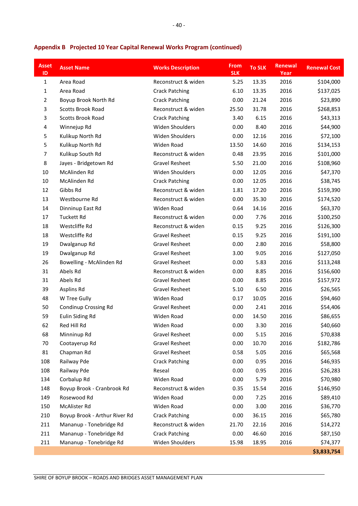| <b>Asset</b><br>ID | <b>Asset Name</b>             | <b>Works Description</b> | <b>From</b><br><b>SLK</b> | <b>To SLK</b> | Renewal<br>Year | <b>Renewal Cost</b> |
|--------------------|-------------------------------|--------------------------|---------------------------|---------------|-----------------|---------------------|
| $\mathbf{1}$       | Area Road                     | Reconstruct & widen      | 5.25                      | 13.35         | 2016            | \$104,000           |
| $\mathbf{1}$       | Area Road                     | <b>Crack Patching</b>    | 6.10                      | 13.35         | 2016            | \$137,025           |
| 2                  | Boyup Brook North Rd          | <b>Crack Patching</b>    | 0.00                      | 21.24         | 2016            | \$23,890            |
| 3                  | <b>Scotts Brook Road</b>      | Reconstruct & widen      | 25.50                     | 31.78         | 2016            | \$268,853           |
| 3                  | <b>Scotts Brook Road</b>      | <b>Crack Patching</b>    | 3.40                      | 6.15          | 2016            | \$43,313            |
| 4                  | Winnejup Rd                   | <b>Widen Shoulders</b>   | 0.00                      | 8.40          | 2016            | \$44,900            |
| 5                  | Kulikup North Rd              | <b>Widen Shoulders</b>   | 0.00                      | 12.16         | 2016            | \$72,100            |
| 5                  | Kulikup North Rd              | Widen Road               | 13.50                     | 14.60         | 2016            | \$134,153           |
| 7                  | Kulikup South Rd              | Reconstruct & widen      | 0.48                      | 23.95         | 2016            | \$101,000           |
| 8                  | Jayes - Bridgetown Rd         | <b>Gravel Resheet</b>    | 5.50                      | 21.00         | 2016            | \$108,960           |
| 10                 | McAlinden Rd                  | <b>Widen Shoulders</b>   | 0.00                      | 12.05         | 2016            | \$47,370            |
| 10                 | McAlinden Rd                  | <b>Crack Patching</b>    | 0.00                      | 12.05         | 2016            | \$38,745            |
| 12                 | Gibbs Rd                      | Reconstruct & widen      | 1.81                      | 17.20         | 2016            | \$159,390           |
| 13                 | Westbourne Rd                 | Reconstruct & widen      | 0.00                      | 35.30         | 2016            | \$174,520           |
| 14                 | Dinninup East Rd              | Widen Road               | 0.64                      | 14.16         | 2016            | \$63,370            |
| 17                 | <b>Tuckett Rd</b>             | Reconstruct & widen      | 0.00                      | 7.76          | 2016            | \$100,250           |
| 18                 | Westcliffe Rd                 | Reconstruct & widen      | 0.15                      | 9.25          | 2016            | \$126,300           |
| 18                 | Westcliffe Rd                 | <b>Gravel Resheet</b>    | 0.15                      | 9.25          | 2016            | \$191,100           |
| 19                 | Dwalganup Rd                  | <b>Gravel Resheet</b>    | 0.00                      | 2.80          | 2016            | \$58,800            |
| 19                 | Dwalganup Rd                  | <b>Gravel Resheet</b>    | 3.00                      | 9.05          | 2016            | \$127,050           |
| 26                 | Bowelling - McAlinden Rd      | <b>Gravel Resheet</b>    | 0.00                      | 5.83          | 2016            | \$113,248           |
| 31                 | Abels Rd                      | Reconstruct & widen      | 0.00                      | 8.85          | 2016            | \$156,600           |
| 31                 | Abels Rd                      | <b>Gravel Resheet</b>    | 0.00                      | 8.85          | 2016            | \$157,972           |
| 39                 | Asplins Rd                    | <b>Gravel Resheet</b>    | 5.10                      | 6.50          | 2016            | \$26,565            |
| 48                 | W Tree Gully                  | Widen Road               | 0.17                      | 10.05         | 2016            | \$94,460            |
| 50                 | Condinup Crossing Rd          | <b>Gravel Resheet</b>    | 0.00                      | 2.41          | 2016            | \$54,406            |
| 59                 | <b>Eulin Siding Rd</b>        | Widen Road               | 0.00                      | 14.50         | 2016            | \$86,655            |
| 62                 | Red Hill Rd                   | Widen Road               | 0.00                      | 3.30          | 2016            | \$40,660            |
| 68                 | Minninup Rd                   | <b>Gravel Resheet</b>    | 0.00                      | 5.15          | 2016            | \$70,838            |
| 70                 | Cootayerup Rd                 | <b>Gravel Resheet</b>    | 0.00                      | 10.70         | 2016            | \$182,786           |
| 81                 | Chapman Rd                    | <b>Gravel Resheet</b>    | 0.58                      | 5.05          | 2016            | \$65,568            |
| 108                | Railway Pde                   | <b>Crack Patching</b>    | 0.00                      | 0.95          | 2016            | \$46,935            |
| 108                | Railway Pde                   | Reseal                   | 0.00                      | 0.95          | 2016            | \$26,283            |
| 134                | Corbalup Rd                   | Widen Road               | 0.00                      | 5.79          | 2016            | \$70,980            |
| 148                | Boyup Brook - Cranbrook Rd    | Reconstruct & widen      | 0.35                      | 15.54         | 2016            | \$146,950           |
| 149                | Rosewood Rd                   | Widen Road               | 0.00                      | 7.25          | 2016            | \$89,410            |
| 150                | McAlister Rd                  | Widen Road               | 0.00                      | 3.00          | 2016            | \$36,770            |
| 210                | Boyup Brook - Arthur River Rd | <b>Crack Patching</b>    | 0.00                      | 36.15         | 2016            | \$65,780            |
| 211                | Mananup - Tonebridge Rd       | Reconstruct & widen      | 21.70                     | 22.16         | 2016            | \$14,272            |
| 211                | Mananup - Tonebridge Rd       | <b>Crack Patching</b>    | 0.00                      | 46.60         | 2016            | \$87,150            |
| 211                | Mananup - Tonebridge Rd       | Widen Shoulders          | 15.98                     | 18.95         | 2016            | \$74,377            |
|                    |                               |                          |                           |               |                 | \$3,833,754         |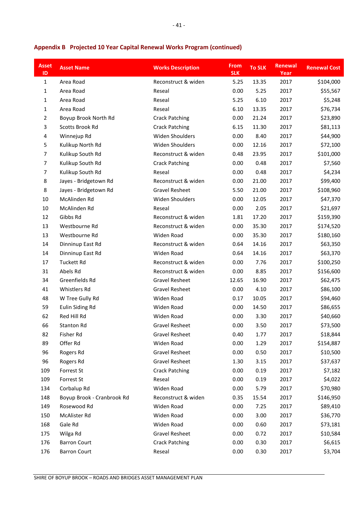| <b>Asset</b><br>ID | <b>Asset Name</b>          | <b>Works Description</b> | <b>From</b><br><b>SLK</b> | <b>To SLK</b> | <b>Renewal</b><br>Year | <b>Renewal Cost</b> |
|--------------------|----------------------------|--------------------------|---------------------------|---------------|------------------------|---------------------|
| $\mathbf{1}$       | Area Road                  | Reconstruct & widen      | 5.25                      | 13.35         | 2017                   | \$104,000           |
| 1                  | Area Road                  | Reseal                   | 0.00                      | 5.25          | 2017                   | \$55,567            |
| 1                  | Area Road                  | Reseal                   | 5.25                      | 6.10          | 2017                   | \$5,248             |
| 1                  | Area Road                  | Reseal                   | 6.10                      | 13.35         | 2017                   | \$76,734            |
| 2                  | Boyup Brook North Rd       | <b>Crack Patching</b>    | 0.00                      | 21.24         | 2017                   | \$23,890            |
| 3                  | Scotts Brook Rd            | <b>Crack Patching</b>    | 6.15                      | 11.30         | 2017                   | \$81,113            |
| 4                  | Winnejup Rd                | <b>Widen Shoulders</b>   | 0.00                      | 8.40          | 2017                   | \$44,900            |
| 5                  | Kulikup North Rd           | <b>Widen Shoulders</b>   | 0.00                      | 12.16         | 2017                   | \$72,100            |
| 7                  | Kulikup South Rd           | Reconstruct & widen      | 0.48                      | 23.95         | 2017                   | \$101,000           |
| 7                  | Kulikup South Rd           | <b>Crack Patching</b>    | 0.00                      | 0.48          | 2017                   | \$7,560             |
| 7                  | Kulikup South Rd           | Reseal                   | 0.00                      | 0.48          | 2017                   | \$4,234             |
| 8                  | Jayes - Bridgetown Rd      | Reconstruct & widen      | 0.00                      | 21.00         | 2017                   | \$99,400            |
| 8                  | Jayes - Bridgetown Rd      | <b>Gravel Resheet</b>    | 5.50                      | 21.00         | 2017                   | \$108,960           |
| 10                 | McAlinden Rd               | <b>Widen Shoulders</b>   | 0.00                      | 12.05         | 2017                   | \$47,370            |
| 10                 | McAlinden Rd               | Reseal                   | 0.00                      | 2.05          | 2017                   | \$21,697            |
| 12                 | Gibbs Rd                   | Reconstruct & widen      | 1.81                      | 17.20         | 2017                   | \$159,390           |
| 13                 | Westbourne Rd              | Reconstruct & widen      | 0.00                      | 35.30         | 2017                   | \$174,520           |
| 13                 | Westbourne Rd              | Widen Road               | 0.00                      | 35.30         | 2017                   | \$180,160           |
| 14                 | Dinninup East Rd           | Reconstruct & widen      | 0.64                      | 14.16         | 2017                   | \$63,350            |
| 14                 | Dinninup East Rd           | Widen Road               | 0.64                      | 14.16         | 2017                   | \$63,370            |
| 17                 | <b>Tuckett Rd</b>          | Reconstruct & widen      | 0.00                      | 7.76          | 2017                   | \$100,250           |
| 31                 | Abels Rd                   | Reconstruct & widen      | 0.00                      | 8.85          | 2017                   | \$156,600           |
| 34                 | Greenfields Rd             | <b>Gravel Resheet</b>    | 12.65                     | 16.90         | 2017                   | \$62,475            |
| 41                 | Whistlers Rd               | <b>Gravel Resheet</b>    | 0.00                      | 4.10          | 2017                   | \$86,100            |
| 48                 | W Tree Gully Rd            | Widen Road               | 0.17                      | 10.05         | 2017                   | \$94,460            |
| 59                 | Eulin Siding Rd            | Widen Road               | 0.00                      | 14.50         | 2017                   | \$86,655            |
| 62                 | Red Hill Rd                | Widen Road               | 0.00                      | 3.30          | 2017                   | \$40,660            |
| 66                 | <b>Stanton Rd</b>          | <b>Gravel Resheet</b>    | 0.00                      | 3.50          | 2017                   | \$73,500            |
| 82                 | Fisher Rd                  | <b>Gravel Resheet</b>    | 0.40                      | 1.77          | 2017                   | \$18,844            |
| 89                 | Offer Rd                   | Widen Road               | 0.00                      | 1.29          | 2017                   | \$154,887           |
| 96                 | Rogers Rd                  | <b>Gravel Resheet</b>    | 0.00                      | 0.50          | 2017                   | \$10,500            |
| 96                 | Rogers Rd                  | <b>Gravel Resheet</b>    | 1.30                      | 3.15          | 2017                   | \$37,637            |
| 109                | Forrest St                 | <b>Crack Patching</b>    | 0.00                      | 0.19          | 2017                   | \$7,182             |
| 109                | Forrest St                 | Reseal                   | 0.00                      | 0.19          | 2017                   | \$4,022             |
| 134                | Corbalup Rd                | Widen Road               | 0.00                      | 5.79          | 2017                   | \$70,980            |
| 148                | Boyup Brook - Cranbrook Rd | Reconstruct & widen      | 0.35                      | 15.54         | 2017                   | \$146,950           |
| 149                | Rosewood Rd                | Widen Road               | 0.00                      | 7.25          | 2017                   | \$89,410            |
| 150                | McAlister Rd               | Widen Road               | 0.00                      | 3.00          | 2017                   | \$36,770            |
| 168                | Gale Rd                    | Widen Road               | 0.00                      | 0.60          | 2017                   | \$73,181            |
| 175                | Wilga Rd                   | <b>Gravel Resheet</b>    | 0.00                      | 0.72          | 2017                   | \$10,584            |
| 176                | <b>Barron Court</b>        | <b>Crack Patching</b>    | 0.00                      | 0.30          | 2017                   | \$6,615             |
| 176                | <b>Barron Court</b>        | Reseal                   | 0.00                      | 0.30          | 2017                   | \$3,704             |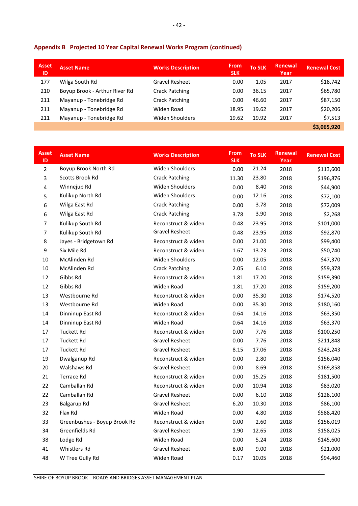| <b>Asset</b><br>ID | <b>Asset Name</b>             | <b>Works Description</b> | <b>From</b><br><b>SLK</b> | <b>To SLK</b> | <b>Renewal</b><br>Year | <b>Renewal Cost</b> |
|--------------------|-------------------------------|--------------------------|---------------------------|---------------|------------------------|---------------------|
| 177                | Wilga South Rd                | <b>Gravel Resheet</b>    | 0.00                      | 1.05          | 2017                   | \$18,742            |
| 210                | Boyup Brook - Arthur River Rd | <b>Crack Patching</b>    | 0.00                      | 36.15         | 2017                   | \$65,780            |
| 211                | Mayanup - Tonebridge Rd       | <b>Crack Patching</b>    | 0.00                      | 46.60         | 2017                   | \$87,150            |
| 211                | Mayanup - Tonebridge Rd       | Widen Road               | 18.95                     | 19.62         | 2017                   | \$20,206            |
| 211                | Mayanup - Tonebridge Rd       | Widen Shoulders          | 19.62                     | 19.92         | 2017                   | \$7,513             |
|                    |                               |                          |                           |               |                        | \$3,065,920         |

| <b>Asset</b><br>ID | <b>Asset Name</b>            | <b>Works Description</b> | <b>From</b><br><b>SLK</b> | <b>To SLK</b> | Renewal<br>Year | <b>Renewal Cost</b> |
|--------------------|------------------------------|--------------------------|---------------------------|---------------|-----------------|---------------------|
| $\overline{2}$     | Boyup Brook North Rd         | <b>Widen Shoulders</b>   | 0.00                      | 21.24         | 2018            | \$113,600           |
| 3                  | Scotts Brook Rd              | <b>Crack Patching</b>    | 11.30                     | 23.80         | 2018            | \$196,876           |
| 4                  | Winnejup Rd                  | Widen Shoulders          | 0.00                      | 8.40          | 2018            | \$44,900            |
| 5                  | Kulikup North Rd             | Widen Shoulders          | 0.00                      | 12.16         | 2018            | \$72,100            |
| 6                  | Wilga East Rd                | <b>Crack Patching</b>    | 0.00                      | 3.78          | 2018            | \$72,009            |
| 6                  | Wilga East Rd                | <b>Crack Patching</b>    | 3.78                      | 3.90          | 2018            | \$2,268             |
| 7                  | Kulikup South Rd             | Reconstruct & widen      | 0.48                      | 23.95         | 2018            | \$101,000           |
| 7                  | Kulikup South Rd             | <b>Gravel Resheet</b>    | 0.48                      | 23.95         | 2018            | \$92,870            |
| 8                  | Jayes - Bridgetown Rd        | Reconstruct & widen      | 0.00                      | 21.00         | 2018            | \$99,400            |
| 9                  | Six Mile Rd                  | Reconstruct & widen      | 1.67                      | 13.23         | 2018            | \$50,740            |
| 10                 | McAlinden Rd                 | Widen Shoulders          | 0.00                      | 12.05         | 2018            | \$47,370            |
| 10                 | McAlinden Rd                 | <b>Crack Patching</b>    | 2.05                      | 6.10          | 2018            | \$59,378            |
| 12                 | Gibbs Rd                     | Reconstruct & widen      | 1.81                      | 17.20         | 2018            | \$159,390           |
| 12                 | Gibbs Rd                     | Widen Road               | 1.81                      | 17.20         | 2018            | \$159,200           |
| 13                 | Westbourne Rd                | Reconstruct & widen      | 0.00                      | 35.30         | 2018            | \$174,520           |
| 13                 | Westbourne Rd                | <b>Widen Road</b>        | 0.00                      | 35.30         | 2018            | \$180,160           |
| 14                 | Dinninup East Rd             | Reconstruct & widen      | 0.64                      | 14.16         | 2018            | \$63,350            |
| 14                 | Dinninup East Rd             | Widen Road               | 0.64                      | 14.16         | 2018            | \$63,370            |
| 17                 | <b>Tuckett Rd</b>            | Reconstruct & widen      | 0.00                      | 7.76          | 2018            | \$100,250           |
| 17                 | Tuckett Rd                   | <b>Gravel Resheet</b>    | 0.00                      | 7.76          | 2018            | \$211,848           |
| 17                 | <b>Tuckett Rd</b>            | <b>Gravel Resheet</b>    | 8.15                      | 17.06         | 2018            | \$243,243           |
| 19                 | Dwalganup Rd                 | Reconstruct & widen      | 0.00                      | 2.80          | 2018            | \$156,040           |
| 20                 | Walshaws Rd                  | <b>Gravel Resheet</b>    | 0.00                      | 8.69          | 2018            | \$169,858           |
| 21                 | <b>Terrace Rd</b>            | Reconstruct & widen      | 0.00                      | 15.25         | 2018            | \$181,500           |
| 22                 | Camballan Rd                 | Reconstruct & widen      | 0.00                      | 10.94         | 2018            | \$83,020            |
| 22                 | Camballan Rd                 | <b>Gravel Resheet</b>    | 0.00                      | 6.10          | 2018            | \$128,100           |
| 23                 | Balgarup Rd                  | <b>Gravel Resheet</b>    | 6.20                      | 10.30         | 2018            | \$86,100            |
| 32                 | Flax Rd                      | Widen Road               | 0.00                      | 4.80          | 2018            | \$588,420           |
| 33                 | Greenbushes - Boyup Brook Rd | Reconstruct & widen      | 0.00                      | 2.60          | 2018            | \$156,019           |
| 34                 | Greenfields Rd               | <b>Gravel Resheet</b>    | 1.90                      | 12.65         | 2018            | \$158,025           |
| 38                 | Lodge Rd                     | Widen Road               | 0.00                      | 5.24          | 2018            | \$145,600           |
| 41                 | Whistlers Rd                 | <b>Gravel Resheet</b>    | 8.00                      | 9.00          | 2018            | \$21,000            |
| 48                 | W Tree Gully Rd              | Widen Road               | 0.17                      | 10.05         | 2018            | \$94,460            |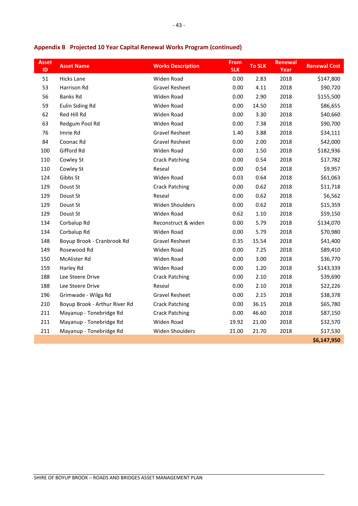| <b>Asset</b><br>ID | <b>Asset Name</b>             | <b>Works Description</b> | <b>From</b><br><b>SLK</b> | <b>To SLK</b> | <b>Renewal</b><br>Year | <b>Renewal Cost</b> |
|--------------------|-------------------------------|--------------------------|---------------------------|---------------|------------------------|---------------------|
| 51                 | <b>Hicks Lane</b>             | Widen Road               | 0.00                      | 2.83          | 2018                   | \$147,800           |
| 53                 | Harrison Rd                   | <b>Gravel Resheet</b>    | 0.00                      | 4.11          | 2018                   | \$90,720            |
| 56                 | <b>Banks Rd</b>               | Widen Road               | 0.00                      | 2.90          | 2018                   | \$155,500           |
| 59                 | Eulin Siding Rd               | Widen Road               | 0.00                      | 14.50         | 2018                   | \$86,655            |
| 62                 | Red Hill Rd                   | Widen Road               | 0.00                      | 3.30          | 2018                   | \$40,660            |
| 63                 | Redgum Pool Rd                | Widen Road               | 0.00                      | 7.38          | 2018                   | \$90,700            |
| 76                 | Imrie Rd                      | <b>Gravel Resheet</b>    | 1.40                      | 3.88          | 2018                   | \$34,111            |
| 84                 | Coonac Rd                     | <b>Gravel Resheet</b>    | 0.00                      | 2.00          | 2018                   | \$42,000            |
| 100                | Gifford Rd                    | Widen Road               | 0.00                      | 1.50          | 2018                   | \$182,936           |
| 110                | Cowley St                     | <b>Crack Patching</b>    | 0.00                      | 0.54          | 2018                   | \$17,782            |
| 110                | Cowley St                     | Reseal                   | 0.00                      | 0.54          | 2018                   | \$9,957             |
| 124                | Gibbs St                      | Widen Road               | 0.03                      | 0.64          | 2018                   | \$61,063            |
| 129                | Doust St                      | <b>Crack Patching</b>    | 0.00                      | 0.62          | 2018                   | \$11,718            |
| 129                | Doust St                      | Reseal                   | 0.00                      | 0.62          | 2018                   | \$6,562             |
| 129                | Doust St                      | Widen Shoulders          | 0.00                      | 0.62          | 2018                   | \$15,359            |
| 129                | Doust St                      | Widen Road               | 0.62                      | $1.10\,$      | 2018                   | \$59,150            |
| 134                | Corbalup Rd                   | Reconstruct & widen      | 0.00                      | 5.79          | 2018                   | \$134,070           |
| 134                | Corbalup Rd                   | Widen Road               | 0.00                      | 5.79          | 2018                   | \$70,980            |
| 148                | Boyup Brook - Cranbrook Rd    | <b>Gravel Resheet</b>    | 0.35                      | 15.54         | 2018                   | \$41,400            |
| 149                | Rosewood Rd                   | Widen Road               | 0.00                      | 7.25          | 2018                   | \$89,410            |
| 150                | McAlister Rd                  | Widen Road               | 0.00                      | 3.00          | 2018                   | \$36,770            |
| 159                | Harley Rd                     | Widen Road               | 0.00                      | 1.20          | 2018                   | \$143,339           |
| 188                | Lee Steere Drive              | <b>Crack Patching</b>    | 0.00                      | 2.10          | 2018                   | \$39,690            |
| 188                | Lee Steere Drive              | Reseal                   | 0.00                      | 2.10          | 2018                   | \$22,226            |
| 196                | Grimwade - Wilga Rd           | <b>Gravel Resheet</b>    | 0.00                      | 2.15          | 2018                   | \$38,378            |
| 210                | Boyup Brook - Arthur River Rd | <b>Crack Patching</b>    | 0.00                      | 36.15         | 2018                   | \$65,780            |
| 211                | Mayanup - Tonebridge Rd       | <b>Crack Patching</b>    | 0.00                      | 46.60         | 2018                   | \$87,150            |
| 211                | Mayanup - Tonebridge Rd       | Widen Road               | 19.92                     | 21.00         | 2018                   | \$32,570            |
| 211                | Mayanup - Tonebridge Rd       | <b>Widen Shoulders</b>   | 21.00                     | 21.70         | 2018                   | \$17,530            |
|                    |                               |                          |                           |               |                        | \$6,147,950         |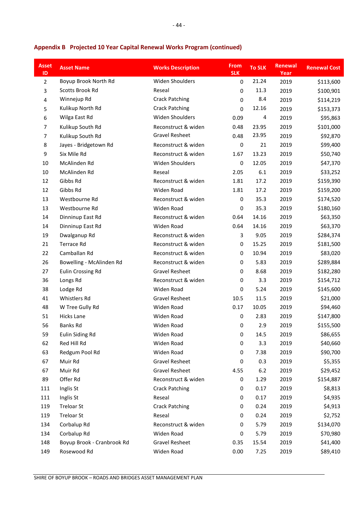| Asset<br>ID    | <b>Asset Name</b>          | <b>Works Description</b> | <b>From</b><br><b>SLK</b> | <b>To SLK</b> | <b>Renewal</b><br>Year | <b>Renewal Cost</b> |
|----------------|----------------------------|--------------------------|---------------------------|---------------|------------------------|---------------------|
| $\overline{2}$ | Boyup Brook North Rd       | Widen Shoulders          | 0                         | 21.24         | 2019                   | \$113,600           |
| 3              | Scotts Brook Rd            | Reseal                   | $\mathbf 0$               | 11.3          | 2019                   | \$100,901           |
| 4              | Winnejup Rd                | <b>Crack Patching</b>    | $\mathbf 0$               | 8.4           | 2019                   | \$114,219           |
| 5              | Kulikup North Rd           | <b>Crack Patching</b>    | $\mathbf 0$               | 12.16         | 2019                   | \$153,373           |
| 6              | Wilga East Rd              | <b>Widen Shoulders</b>   | 0.09                      | 4             | 2019                   | \$95,863            |
| 7              | Kulikup South Rd           | Reconstruct & widen      | 0.48                      | 23.95         | 2019                   | \$101,000           |
| 7              | Kulikup South Rd           | <b>Gravel Resheet</b>    | 0.48                      | 23.95         | 2019                   | \$92,870            |
| 8              | Jayes - Bridgetown Rd      | Reconstruct & widen      | 0                         | 21            | 2019                   | \$99,400            |
| 9              | Six Mile Rd                | Reconstruct & widen      | 1.67                      | 13.23         | 2019                   | \$50,740            |
| 10             | McAlinden Rd               | <b>Widen Shoulders</b>   | $\pmb{0}$                 | 12.05         | 2019                   | \$47,370            |
| 10             | McAlinden Rd               | Reseal                   | 2.05                      | 6.1           | 2019                   | \$33,252            |
| 12             | Gibbs Rd                   | Reconstruct & widen      | 1.81                      | 17.2          | 2019                   | \$159,390           |
| 12             | Gibbs Rd                   | Widen Road               | 1.81                      | 17.2          | 2019                   | \$159,200           |
| 13             | Westbourne Rd              | Reconstruct & widen      | 0                         | 35.3          | 2019                   | \$174,520           |
| 13             | Westbourne Rd              | Widen Road               | 0                         | 35.3          | 2019                   | \$180,160           |
| 14             | Dinninup East Rd           | Reconstruct & widen      | 0.64                      | 14.16         | 2019                   | \$63,350            |
| 14             | Dinninup East Rd           | Widen Road               | 0.64                      | 14.16         | 2019                   | \$63,370            |
| 19             | Dwalganup Rd               | Reconstruct & widen      | 3                         | 9.05          | 2019                   | \$284,374           |
| 21             | <b>Terrace Rd</b>          | Reconstruct & widen      | 0                         | 15.25         | 2019                   | \$181,500           |
| 22             | Camballan Rd               | Reconstruct & widen      | 0                         | 10.94         | 2019                   | \$83,020            |
| 26             | Bowelling - McAlinden Rd   | Reconstruct & widen      | 0                         | 5.83          | 2019                   | \$289,884           |
| 27             | <b>Eulin Crossing Rd</b>   | <b>Gravel Resheet</b>    | 0                         | 8.68          | 2019                   | \$182,280           |
| 36             | Longs Rd                   | Reconstruct & widen      | 0                         | 3.3           | 2019                   | \$154,712           |
| 38             | Lodge Rd                   | Widen Road               | 0                         | 5.24          | 2019                   | \$145,600           |
| 41             | Whistlers Rd               | <b>Gravel Resheet</b>    | 10.5                      | 11.5          | 2019                   | \$21,000            |
| 48             | W Tree Gully Rd            | Widen Road               | 0.17                      | 10.05         | 2019                   | \$94,460            |
| 51             | Hicks Lane                 | Widen Road               | 0                         | 2.83          | 2019                   | \$147,800           |
| 56             | <b>Banks Rd</b>            | Widen Road               | 0                         | 2.9           | 2019                   | \$155,500           |
| 59             | Eulin Siding Rd            | Widen Road               | 0                         | 14.5          | 2019                   | \$86,655            |
| 62             | Red Hill Rd                | Widen Road               | 0                         | 3.3           | 2019                   | \$40,660            |
| 63             | Redgum Pool Rd             | Widen Road               | 0                         | 7.38          | 2019                   | \$90,700            |
| 67             | Muir Rd                    | <b>Gravel Resheet</b>    | 0                         | 0.3           | 2019                   | \$5,355             |
| 67             | Muir Rd                    | <b>Gravel Resheet</b>    | 4.55                      | 6.2           | 2019                   | \$29,452            |
| 89             | Offer Rd                   | Reconstruct & widen      | 0                         | 1.29          | 2019                   | \$154,887           |
| 111            | Inglis St                  | <b>Crack Patching</b>    | 0                         | 0.17          | 2019                   | \$8,813             |
| 111            | Inglis St                  | Reseal                   | 0                         | 0.17          | 2019                   | \$4,935             |
| 119            | <b>Treloar St</b>          | <b>Crack Patching</b>    | 0                         | 0.24          | 2019                   | \$4,913             |
| 119            | <b>Treloar St</b>          | Reseal                   | 0                         | 0.24          | 2019                   | \$2,752             |
| 134            | Corbalup Rd                | Reconstruct & widen      | 0                         | 5.79          | 2019                   | \$134,070           |
| 134            | Corbalup Rd                | Widen Road               | 0                         | 5.79          | 2019                   | \$70,980            |
| 148            | Boyup Brook - Cranbrook Rd | <b>Gravel Resheet</b>    | 0.35                      | 15.54         | 2019                   | \$41,400            |
| 149            | Rosewood Rd                | Widen Road               | 0.00                      | 7.25          | 2019                   | \$89,410            |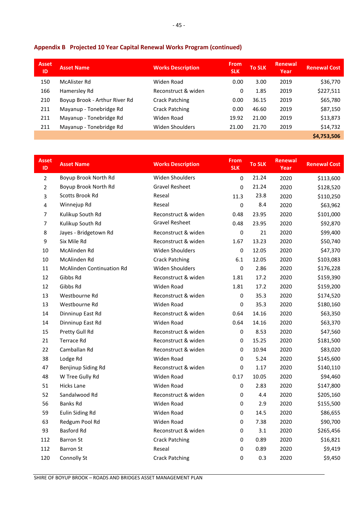| <b>Asset</b><br>ID | <b>Asset Name</b>             | <b>Works Description</b> | <b>From</b><br><b>SLK</b> | <b>To SLK</b> | Renewal<br>Year | <b>Renewal Cost</b> |
|--------------------|-------------------------------|--------------------------|---------------------------|---------------|-----------------|---------------------|
| 150                | McAlister Rd                  | Widen Road               | 0.00                      | 3.00          | 2019            | \$36,770            |
| 166                | Hamersley Rd                  | Reconstruct & widen      | 0                         | 1.85          | 2019            | \$227,511           |
| 210                | Boyup Brook - Arthur River Rd | <b>Crack Patching</b>    | 0.00                      | 36.15         | 2019            | \$65,780            |
| 211                | Mayanup - Tonebridge Rd       | <b>Crack Patching</b>    | 0.00                      | 46.60         | 2019            | \$87,150            |
| 211                | Mayanup - Tonebridge Rd       | Widen Road               | 19.92                     | 21.00         | 2019            | \$13,873            |
| 211                | Mayanup - Tonebridge Rd       | <b>Widen Shoulders</b>   | 21.00                     | 21.70         | 2019            | \$14,732            |
|                    |                               |                          |                           |               |                 | \$4,753,506         |

| Asset<br>ID    | <b>Asset Name</b>                | <b>Works Description</b> | <b>From</b><br><b>SLK</b> | <b>To SLK</b> | <b>Renewal</b><br>Year | <b>Renewal Cost</b> |
|----------------|----------------------------------|--------------------------|---------------------------|---------------|------------------------|---------------------|
| $\overline{2}$ | Boyup Brook North Rd             | <b>Widen Shoulders</b>   | 0                         | 21.24         | 2020                   | \$113,600           |
| $\overline{2}$ | Boyup Brook North Rd             | <b>Gravel Resheet</b>    | $\mathbf 0$               | 21.24         | 2020                   | \$128,520           |
| 3              | <b>Scotts Brook Rd</b>           | Reseal                   | 11.3                      | 23.8          | 2020                   | \$110,250           |
| 4              | Winnejup Rd                      | Reseal                   | $\boldsymbol{0}$          | 8.4           | 2020                   | \$63,962            |
| 7              | Kulikup South Rd                 | Reconstruct & widen      | 0.48                      | 23.95         | 2020                   | \$101,000           |
| 7              | Kulikup South Rd                 | <b>Gravel Resheet</b>    | 0.48                      | 23.95         | 2020                   | \$92,870            |
| 8              | Jayes - Bridgetown Rd            | Reconstruct & widen      | $\mathbf 0$               | 21            | 2020                   | \$99,400            |
| 9              | Six Mile Rd                      | Reconstruct & widen      | 1.67                      | 13.23         | 2020                   | \$50,740            |
| 10             | McAlinden Rd                     | <b>Widen Shoulders</b>   | 0                         | 12.05         | 2020                   | \$47,370            |
| 10             | McAlinden Rd                     | <b>Crack Patching</b>    | 6.1                       | 12.05         | 2020                   | \$103,083           |
| 11             | <b>McAlinden Continuation Rd</b> | <b>Widen Shoulders</b>   | $\boldsymbol{0}$          | 2.86          | 2020                   | \$176,228           |
| 12             | Gibbs Rd                         | Reconstruct & widen      | 1.81                      | 17.2          | 2020                   | \$159,390           |
| 12             | Gibbs Rd                         | <b>Widen Road</b>        | 1.81                      | 17.2          | 2020                   | \$159,200           |
| 13             | Westbourne Rd                    | Reconstruct & widen      | $\pmb{0}$                 | 35.3          | 2020                   | \$174,520           |
| 13             | Westbourne Rd                    | <b>Widen Road</b>        | 0                         | 35.3          | 2020                   | \$180,160           |
| 14             | Dinninup East Rd                 | Reconstruct & widen      | 0.64                      | 14.16         | 2020                   | \$63,350            |
| 14             | Dinninup East Rd                 | Widen Road               | 0.64                      | 14.16         | 2020                   | \$63,370            |
| 15             | Pretty Gull Rd                   | Reconstruct & widen      | $\mathbf 0$               | 8.53          | 2020                   | \$47,560            |
| 21             | <b>Terrace Rd</b>                | Reconstruct & widen      | 0                         | 15.25         | 2020                   | \$181,500           |
| 22             | Camballan Rd                     | Reconstruct & widen      | 0                         | 10.94         | 2020                   | \$83,020            |
| 38             | Lodge Rd                         | <b>Widen Road</b>        | $\mathbf 0$               | 5.24          | 2020                   | \$145,600           |
| 47             | Benjinup Siding Rd               | Reconstruct & widen      | 0                         | 1.17          | 2020                   | \$140,110           |
| 48             | W Tree Gully Rd                  | <b>Widen Road</b>        | 0.17                      | 10.05         | 2020                   | \$94,460            |
| 51             | Hicks Lane                       | Widen Road               | 0                         | 2.83          | 2020                   | \$147,800           |
| 52             | Sandalwood Rd                    | Reconstruct & widen      | 0                         | 4.4           | 2020                   | \$205,160           |
| 56             | <b>Banks Rd</b>                  | Widen Road               | 0                         | 2.9           | 2020                   | \$155,500           |
| 59             | Eulin Siding Rd                  | Widen Road               | 0                         | 14.5          | 2020                   | \$86,655            |
| 63             | Redgum Pool Rd                   | <b>Widen Road</b>        | $\mathbf 0$               | 7.38          | 2020                   | \$90,700            |
| 93             | <b>Basford Rd</b>                | Reconstruct & widen      | 0                         | 3.1           | 2020                   | \$265,456           |
| 112            | <b>Barron St</b>                 | <b>Crack Patching</b>    | 0                         | 0.89          | 2020                   | \$16,821            |
| 112            | <b>Barron St</b>                 | Reseal                   | $\mathbf 0$               | 0.89          | 2020                   | \$9,419             |
| 120            | Connolly St                      | <b>Crack Patching</b>    | 0                         | 0.3           | 2020                   | \$9,450             |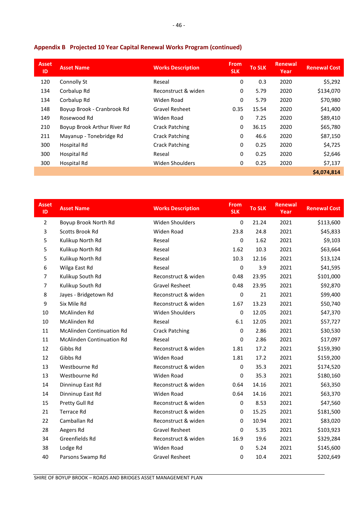| <b>Asset</b><br>ID | <b>Asset Name</b>           | <b>Works Description</b> | <b>From</b><br><b>SLK</b> | <b>To SLK</b> | <b>Renewal</b><br>Year | <b>Renewal Cost</b> |
|--------------------|-----------------------------|--------------------------|---------------------------|---------------|------------------------|---------------------|
| 120                | Connolly St                 | Reseal                   | 0                         | 0.3           | 2020                   | \$5,292             |
| 134                | Corbalup Rd                 | Reconstruct & widen      | 0                         | 5.79          | 2020                   | \$134,070           |
| 134                | Corbalup Rd                 | Widen Road               | 0                         | 5.79          | 2020                   | \$70,980            |
| 148                | Boyup Brook - Cranbrook Rd  | <b>Gravel Resheet</b>    | 0.35                      | 15.54         | 2020                   | \$41,400            |
| 149                | Rosewood Rd                 | Widen Road               | 0                         | 7.25          | 2020                   | \$89,410            |
| 210                | Boyup Brook Arthur River Rd | <b>Crack Patching</b>    | 0                         | 36.15         | 2020                   | \$65,780            |
| 211                | Mayanup - Tonebridge Rd     | <b>Crack Patching</b>    | 0                         | 46.6          | 2020                   | \$87,150            |
| 300                | Hospital Rd                 | <b>Crack Patching</b>    | 0                         | 0.25          | 2020                   | \$4,725             |
| 300                | Hospital Rd                 | Reseal                   | $\mathbf 0$               | 0.25          | 2020                   | \$2,646             |
| 300                | Hospital Rd                 | Widen Shoulders          | 0                         | 0.25          | 2020                   | \$7,137             |
|                    |                             |                          |                           |               |                        | \$4,074,814         |

| Asset<br>ID    | <b>Asset Name</b>                | <b>Works Description</b> | <b>From</b><br><b>SLK</b> | <b>To SLK</b> | <b>Renewal</b><br>Year | <b>Renewal Cost</b> |
|----------------|----------------------------------|--------------------------|---------------------------|---------------|------------------------|---------------------|
| $\overline{2}$ | Boyup Brook North Rd             | <b>Widen Shoulders</b>   | 0                         | 21.24         | 2021                   | \$113,600           |
| 3              | Scotts Brook Rd                  | Widen Road               | 23.8                      | 24.8          | 2021                   | \$45,833            |
| 5              | Kulikup North Rd                 | Reseal                   | 0                         | 1.62          | 2021                   | \$9,103             |
| 5              | Kulikup North Rd                 | Reseal                   | 1.62                      | 10.3          | 2021                   | \$63,664            |
| 5              | Kulikup North Rd                 | Reseal                   | 10.3                      | 12.16         | 2021                   | \$13,124            |
| 6              | Wilga East Rd                    | Reseal                   | $\pmb{0}$                 | 3.9           | 2021                   | \$41,595            |
| 7              | Kulikup South Rd                 | Reconstruct & widen      | 0.48                      | 23.95         | 2021                   | \$101,000           |
| 7              | Kulikup South Rd                 | <b>Gravel Resheet</b>    | 0.48                      | 23.95         | 2021                   | \$92,870            |
| 8              | Jayes - Bridgetown Rd            | Reconstruct & widen      | $\pmb{0}$                 | 21            | 2021                   | \$99,400            |
| 9              | Six Mile Rd                      | Reconstruct & widen      | 1.67                      | 13.23         | 2021                   | \$50,740            |
| 10             | McAlinden Rd                     | <b>Widen Shoulders</b>   | $\pmb{0}$                 | 12.05         | 2021                   | \$47,370            |
| 10             | McAlinden Rd                     | Reseal                   | 6.1                       | 12.05         | 2021                   | \$57,727            |
| 11             | <b>McAlinden Continuation Rd</b> | <b>Crack Patching</b>    | 0                         | 2.86          | 2021                   | \$30,530            |
| 11             | <b>McAlinden Continuation Rd</b> | Reseal                   | 0                         | 2.86          | 2021                   | \$17,097            |
| 12             | Gibbs Rd                         | Reconstruct & widen      | 1.81                      | 17.2          | 2021                   | \$159,390           |
| 12             | Gibbs Rd                         | Widen Road               | 1.81                      | 17.2          | 2021                   | \$159,200           |
| 13             | Westbourne Rd                    | Reconstruct & widen      | 0                         | 35.3          | 2021                   | \$174,520           |
| 13             | Westbourne Rd                    | Widen Road               | 0                         | 35.3          | 2021                   | \$180,160           |
| 14             | Dinninup East Rd                 | Reconstruct & widen      | 0.64                      | 14.16         | 2021                   | \$63,350            |
| 14             | Dinninup East Rd                 | Widen Road               | 0.64                      | 14.16         | 2021                   | \$63,370            |
| 15             | Pretty Gull Rd                   | Reconstruct & widen      | 0                         | 8.53          | 2021                   | \$47,560            |
| 21             | <b>Terrace Rd</b>                | Reconstruct & widen      | 0                         | 15.25         | 2021                   | \$181,500           |
| 22             | Camballan Rd                     | Reconstruct & widen      | 0                         | 10.94         | 2021                   | \$83,020            |
| 28             | Aegers Rd                        | <b>Gravel Resheet</b>    | 0                         | 5.35          | 2021                   | \$103,923           |
| 34             | Greenfields Rd                   | Reconstruct & widen      | 16.9                      | 19.6          | 2021                   | \$329,284           |
| 38             | Lodge Rd                         | Widen Road               | 0                         | 5.24          | 2021                   | \$145,600           |
| 40             | Parsons Swamp Rd                 | <b>Gravel Resheet</b>    | 0                         | 10.4          | 2021                   | \$202,649           |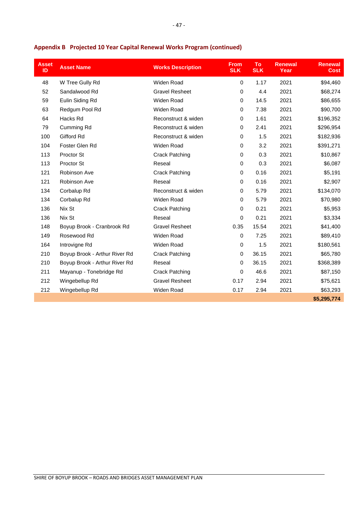| <b>Asset</b><br>ID | <b>Asset Name</b>             | <b>Works Description</b> | <b>From</b><br><b>SLK</b> | To<br><b>SLK</b> | <b>Renewal</b><br>Year | <b>Renewal</b><br><b>Cost</b> |
|--------------------|-------------------------------|--------------------------|---------------------------|------------------|------------------------|-------------------------------|
| 48                 | W Tree Gully Rd               | Widen Road               | $\mathbf 0$               | 1.17             | 2021                   | \$94,460                      |
| 52                 | Sandalwood Rd                 | <b>Gravel Resheet</b>    | $\pmb{0}$                 | 4.4              | 2021                   | \$68,274                      |
| 59                 | Eulin Siding Rd               | Widen Road               | $\mathbf 0$               | 14.5             | 2021                   | \$86,655                      |
| 63                 | Redgum Pool Rd                | <b>Widen Road</b>        | $\mathbf 0$               | 7.38             | 2021                   | \$90,700                      |
| 64                 | Hacks Rd                      | Reconstruct & widen      | $\,0\,$                   | 1.61             | 2021                   | \$196,352                     |
| 79                 | Cumming Rd                    | Reconstruct & widen      | $\mathbf 0$               | 2.41             | 2021                   | \$296,954                     |
| 100                | Gifford Rd                    | Reconstruct & widen      | $\,0\,$                   | 1.5              | 2021                   | \$182,936                     |
| 104                | Foster Glen Rd                | Widen Road               | $\mathbf 0$               | 3.2              | 2021                   | \$391,271                     |
| 113                | Proctor St                    | <b>Crack Patching</b>    | 0                         | 0.3              | 2021                   | \$10,867                      |
| 113                | Proctor St                    | Reseal                   | 0                         | 0.3              | 2021                   | \$6,087                       |
| 121                | Robinson Ave                  | <b>Crack Patching</b>    | $\mathbf 0$               | 0.16             | 2021                   | \$5,191                       |
| 121                | Robinson Ave                  | Reseal                   | $\mathbf 0$               | 0.16             | 2021                   | \$2,907                       |
| 134                | Corbalup Rd                   | Reconstruct & widen      | 0                         | 5.79             | 2021                   | \$134,070                     |
| 134                | Corbalup Rd                   | <b>Widen Road</b>        | 0                         | 5.79             | 2021                   | \$70,980                      |
| 136                | Nix St                        | <b>Crack Patching</b>    | $\mathbf 0$               | 0.21             | 2021                   | \$5,953                       |
| 136                | Nix St                        | Reseal                   | $\mathbf 0$               | 0.21             | 2021                   | \$3,334                       |
| 148                | Boyup Brook - Cranbrook Rd    | <b>Gravel Resheet</b>    | 0.35                      | 15.54            | 2021                   | \$41,400                      |
| 149                | Rosewood Rd                   | <b>Widen Road</b>        | 0                         | 7.25             | 2021                   | \$89,410                      |
| 164                | Introvigne Rd                 | Widen Road               | 0                         | 1.5              | 2021                   | \$180,561                     |
| 210                | Boyup Brook - Arthur River Rd | <b>Crack Patching</b>    | 0                         | 36.15            | 2021                   | \$65,780                      |
| 210                | Boyup Brook - Arthur River Rd | Reseal                   | $\mathbf 0$               | 36.15            | 2021                   | \$368,389                     |
| 211                | Mayanup - Tonebridge Rd       | Crack Patching           | 0                         | 46.6             | 2021                   | \$87,150                      |
| 212                | Wingebellup Rd                | <b>Gravel Resheet</b>    | 0.17                      | 2.94             | 2021                   | \$75,621                      |
| 212                | Wingebellup Rd                | Widen Road               | 0.17                      | 2.94             | 2021                   | \$63,293                      |
|                    |                               |                          |                           |                  |                        | \$5,295,774                   |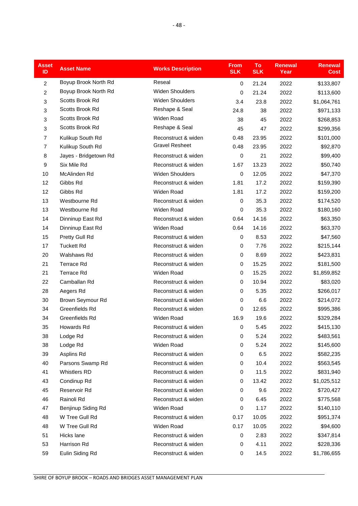| Asset<br>ID    | <b>Asset Name</b>     | <b>Works Description</b> | <b>From</b><br><b>SLK</b> | To<br><b>SLK</b> | <b>Renewal</b><br>Year | <b>Renewal</b><br><b>Cost</b> |
|----------------|-----------------------|--------------------------|---------------------------|------------------|------------------------|-------------------------------|
| 2              | Boyup Brook North Rd  | Reseal                   | $\mathbf 0$               | 21.24            | 2022                   | \$133,807                     |
| $\overline{2}$ | Boyup Brook North Rd  | <b>Widen Shoulders</b>   | $\pmb{0}$                 | 21.24            | 2022                   | \$113,600                     |
| 3              | Scotts Brook Rd       | Widen Shoulders          | 3.4                       | 23.8             | 2022                   | \$1,064,761                   |
| 3              | Scotts Brook Rd       | Reshape & Seal           | 24.8                      | 38               | 2022                   | \$971,133                     |
| 3              | Scotts Brook Rd       | Widen Road               | 38                        | 45               | 2022                   | \$268,853                     |
| 3              | Scotts Brook Rd       | Reshape & Seal           | 45                        | 47               | 2022                   | \$299,356                     |
| 7              | Kulikup South Rd      | Reconstruct & widen      | 0.48                      | 23.95            | 2022                   | \$101,000                     |
| 7              | Kulikup South Rd      | <b>Gravel Resheet</b>    | 0.48                      | 23.95            | 2022                   | \$92,870                      |
| 8              | Jayes - Bridgetown Rd | Reconstruct & widen      | $\pmb{0}$                 | 21               | 2022                   | \$99,400                      |
| 9              | Six Mile Rd           | Reconstruct & widen      | 1.67                      | 13.23            | 2022                   | \$50,740                      |
| 10             | McAlinden Rd          | <b>Widen Shoulders</b>   | $\pmb{0}$                 | 12.05            | 2022                   | \$47,370                      |
| 12             | Gibbs Rd              | Reconstruct & widen      | 1.81                      | 17.2             | 2022                   | \$159,390                     |
| 12             | Gibbs Rd              | <b>Widen Road</b>        | 1.81                      | 17.2             | 2022                   | \$159,200                     |
| 13             | Westbourne Rd         | Reconstruct & widen      | 0                         | 35.3             | 2022                   | \$174,520                     |
| 13             | Westbourne Rd         | Widen Road               | 0                         | 35.3             | 2022                   | \$180,160                     |
| 14             | Dinninup East Rd      | Reconstruct & widen      | 0.64                      | 14.16            | 2022                   | \$63,350                      |
| 14             | Dinninup East Rd      | Widen Road               | 0.64                      | 14.16            | 2022                   | \$63,370                      |
| 15             | Pretty Gull Rd        | Reconstruct & widen      | 0                         | 8.53             | 2022                   | \$47,560                      |
| 17             | <b>Tuckett Rd</b>     | Reconstruct & widen      | 0                         | 7.76             | 2022                   | \$215,144                     |
| 20             | Walshaws Rd           | Reconstruct & widen      | 0                         | 8.69             | 2022                   | \$423,831                     |
| 21             | <b>Terrace Rd</b>     | Reconstruct & widen      | 0                         | 15.25            | 2022                   | \$181,500                     |
| 21             | <b>Terrace Rd</b>     | Widen Road               | 0                         | 15.25            | 2022                   | \$1,859,852                   |
| 22             | Camballan Rd          | Reconstruct & widen      | 0                         | 10.94            | 2022                   | \$83,020                      |
| 28             | Aegers Rd             | Reconstruct & widen      | 0                         | 5.35             | 2022                   | \$266,017                     |
| 30             | Brown Seymour Rd      | Reconstruct & widen      | 0                         | 6.6              | 2022                   | \$214,072                     |
| 34             | Greenfields Rd        | Reconstruct & widen      | 0                         | 12.65            | 2022                   | \$995,386                     |
| 34             | Greenfields Rd        | Widen Road               | 16.9                      | 19.6             | 2022                   | \$329,284                     |
| 35             | Howards Rd            | Reconstruct & widen      | $\pmb{0}$                 | 5.45             | 2022                   | \$415,130                     |
| 38             | Lodge Rd              | Reconstruct & widen      | 0                         | 5.24             | 2022                   | \$483,561                     |
| 38             | Lodge Rd              | Widen Road               | 0                         | 5.24             | 2022                   | \$145,600                     |
| 39             | Asplins Rd            | Reconstruct & widen      | 0                         | 6.5              | 2022                   | \$582,235                     |
| 40             | Parsons Swamp Rd      | Reconstruct & widen      | 0                         | 10.4             | 2022                   | \$563,545                     |
| 41             | <b>Whistlers RD</b>   | Reconstruct & widen      | 0                         | 11.5             | 2022                   | \$831,940                     |
| 43             | Condinup Rd           | Reconstruct & widen      | 0                         | 13.42            | 2022                   | \$1,025,512                   |
| 45             | Reservoir Rd          | Reconstruct & widen      | 0                         | 9.6              | 2022                   | \$720,427                     |
| 46             | Rainoli Rd            | Reconstruct & widen      | 0                         | 6.45             | 2022                   | \$775,568                     |
| 47             | Benjinup Siding Rd    | Widen Road               | 0                         | 1.17             | 2022                   | \$140,110                     |
| 48             | W Tree Gull Rd        | Reconstruct & widen      | 0.17                      | 10.05            | 2022                   | \$951,374                     |
| 48             | W Tree Gull Rd        | Widen Road               | 0.17                      | 10.05            | 2022                   | \$94,600                      |
| 51             | Hicks lane            | Reconstruct & widen      | 0                         | 2.83             | 2022                   | \$347,814                     |
| 53             | Harrison Rd           | Reconstruct & widen      | 0                         | 4.11             | 2022                   | \$228,336                     |
| 59             | Eulin Siding Rd       | Reconstruct & widen      | 0                         | 14.5             | 2022                   | \$1,786,655                   |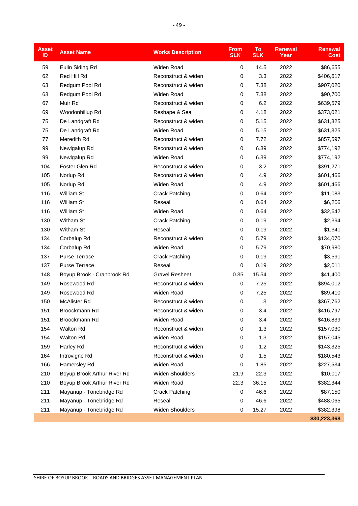| Asset<br>ID | <b>Asset Name</b>           | <b>Works Description</b> | <b>From</b><br><b>SLK</b> | To<br><b>SLK</b> | <b>Renewal</b><br>Year | <b>Renewal</b><br><b>Cost</b> |
|-------------|-----------------------------|--------------------------|---------------------------|------------------|------------------------|-------------------------------|
| 59          | Eulin Siding Rd             | <b>Widen Road</b>        | 0                         | 14.5             | 2022                   | \$86,655                      |
| 62          | Red Hill Rd                 | Reconstruct & widen      | 0                         | 3.3              | 2022                   | \$406,617                     |
| 63          | Redgum Pool Rd              | Reconstruct & widen      | 0                         | 7.38             | 2022                   | \$907,020                     |
| 63          | Redgum Pool Rd              | Widen Road               | 0                         | 7.38             | 2022                   | \$90,700                      |
| 67          | Muir Rd                     | Reconstruct & widen      | 0                         | 6.2              | 2022                   | \$639,579                     |
| 69          | Woodonbillup Rd             | Reshape & Seal           | 0                         | 4.18             | 2022                   | \$373,021                     |
| 75          | De Landgraft Rd             | Reconstruct & widen      | 0                         | 5.15             | 2022                   | \$631,325                     |
| 75          | De Landgraft Rd             | Widen Road               | 0                         | 5.15             | 2022                   | \$631,325                     |
| 77          | Meredith Rd                 | Reconstruct & widen      | 0                         | 7.72             | 2022                   | \$857,597                     |
| 99          | Newlgalup Rd                | Reconstruct & widen      | 0                         | 6.39             | 2022                   | \$774,192                     |
| 99          | Newlgalup Rd                | Widen Road               | 0                         | 6.39             | 2022                   | \$774,192                     |
| 104         | Foster Glen Rd              | Reconstruct & widen      | 0                         | 3.2              | 2022                   | \$391,271                     |
| 105         | Norlup Rd                   | Reconstruct & widen      | 0                         | 4.9              | 2022                   | \$601,466                     |
| 105         | Norlup Rd                   | Widen Road               | 0                         | 4.9              | 2022                   | \$601,466                     |
| 116         | William St                  | <b>Crack Patching</b>    | 0                         | 0.64             | 2022                   | \$11,083                      |
| 116         | William St                  | Reseal                   | 0                         | 0.64             | 2022                   | \$6,206                       |
| 116         | William St                  | Widen Road               | 0                         | 0.64             | 2022                   | \$32,642                      |
| 130         | Witham St                   | <b>Crack Patching</b>    | 0                         | 0.19             | 2022                   | \$2,394                       |
| 130         | Witham St                   | Reseal                   | 0                         | 0.19             | 2022                   | \$1,341                       |
| 134         | Corbalup Rd                 | Reconstruct & widen      | 0                         | 5.79             | 2022                   | \$134,070                     |
| 134         | Corbalup Rd                 | Widen Road               | 0                         | 5.79             | 2022                   | \$70,980                      |
| 137         | <b>Purse Terrace</b>        | <b>Crack Patching</b>    | 0                         | 0.19             | 2022                   | \$3,591                       |
| 137         | <b>Purse Terrace</b>        | Reseal                   | 0                         | 0.19             | 2022                   | \$2,011                       |
| 148         | Boyup Brook - Cranbrook Rd  | <b>Gravel Resheet</b>    | 0.35                      | 15.54            | 2022                   | \$41,400                      |
| 149         | Rosewood Rd                 | Reconstruct & widen      | $\mathbf 0$               | 7.25             | 2022                   | \$894,012                     |
| 149         | Rosewood Rd                 | Widen Road               | 0                         | 7.25             | 2022                   | \$89,410                      |
| 150         | <b>McAlister Rd</b>         | Reconstruct & widen      | 0                         | 3                | 2022                   | \$367,762                     |
| 151         | Broockmann Rd               | Reconstruct & widen      | 0                         | 3.4              | 2022                   | \$416,797                     |
| 151         | Broockmann Rd               | Widen Road               | 0                         | 3.4              | 2022                   | \$416,839                     |
| 154         | Walton Rd                   | Reconstruct & widen      | 0                         | 1.3              | 2022                   | \$157,030                     |
| 154         | Walton Rd                   | Widen Road               | 0                         | 1.3              | 2022                   | \$157,045                     |
| 159         | Harley Rd                   | Reconstruct & widen      | 0                         | 1.2              | 2022                   | \$143,325                     |
| 164         | Introvigne Rd               | Reconstruct & widen      | 0                         | 1.5              | 2022                   | \$180,543                     |
| 166         | Hamersley Rd                | Widen Road               | 0                         | 1.85             | 2022                   | \$227,534                     |
| 210         | Boyup Brook Arthur River Rd | Widen Shoulders          | 21.9                      | 22.3             | 2022                   | \$10,017                      |
| 210         | Boyup Brook Arthur River Rd | Widen Road               | 22.3                      | 36.15            | 2022                   | \$382,344                     |
| 211         | Mayanup - Tonebridge Rd     | <b>Crack Patching</b>    | 0                         | 46.6             | 2022                   | \$87,150                      |
| 211         | Mayanup - Tonebridge Rd     | Reseal                   | 0                         | 46.6             | 2022                   | \$488,065                     |
| 211         | Mayanup - Tonebridge Rd     | Widen Shoulders          | 0                         | 15.27            | 2022                   | \$382,398                     |
|             |                             |                          |                           |                  |                        | \$30,223,368                  |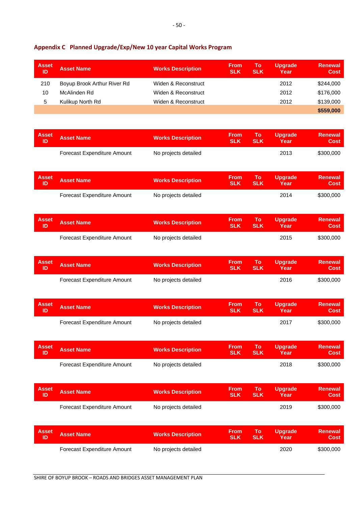# <span id="page-56-0"></span>**Appendix C Planned Upgrade/Exp/New 10 year Capital Works Program**

| <b>Asset</b><br>ID | <b>Asset Name</b>           | <b>Works Description</b> | <b>From</b><br><b>SLK</b> | To<br><b>SLK</b> | <b>Upgrade</b><br>Year | <b>Renewal</b><br><b>Cost</b> |
|--------------------|-----------------------------|--------------------------|---------------------------|------------------|------------------------|-------------------------------|
| 210                | Boyup Brook Arthur River Rd | Widen & Reconstruct      |                           |                  | 2012                   | \$244,000                     |
| 10                 | McAlinden Rd                | Widen & Reconstruct      |                           |                  | 2012                   | \$176,000                     |
| 5                  | Kulikup North Rd            | Widen & Reconstruct      |                           |                  | 2012                   | \$139,000                     |
|                    |                             |                          |                           |                  |                        | \$559,000                     |

| <b>Asset</b><br>ID | <b>Asset Name</b>           | <b>Works Description</b> | <b>From</b><br><b>SLK</b> | To<br><b>SLK</b> | <b>Upgrade</b><br>Year | <b>Renewal</b><br><b>Cost</b> |
|--------------------|-----------------------------|--------------------------|---------------------------|------------------|------------------------|-------------------------------|
|                    | Forecast Expenditure Amount | No projects detailed     |                           |                  | 2013                   | \$300,000                     |
| <b>Asset</b><br>ID | <b>Asset Name</b>           | <b>Works Description</b> | <b>From</b><br><b>SLK</b> | To<br><b>SLK</b> | <b>Upgrade</b><br>Year | <b>Renewal</b><br><b>Cost</b> |
|                    | Forecast Expenditure Amount | No projects detailed     |                           |                  | 2014                   | \$300,000                     |
| <b>Asset</b><br>ID | <b>Asset Name</b>           | <b>Works Description</b> | <b>From</b><br><b>SLK</b> | To<br><b>SLK</b> | <b>Upgrade</b><br>Year | <b>Renewal</b><br><b>Cost</b> |
|                    | Forecast Expenditure Amount | No projects detailed     |                           |                  | 2015                   | \$300,000                     |

| <b>Asset</b><br>ID | <b>Asset Name</b>                  | <b>Works Description</b> | <b>From</b><br><b>SLK</b> | <b>To</b><br><b>SLK</b> | <b>Upgrade</b><br>Year | <b>Renewal</b><br><b>Cost</b> |
|--------------------|------------------------------------|--------------------------|---------------------------|-------------------------|------------------------|-------------------------------|
|                    | <b>Forecast Expenditure Amount</b> | No projects detailed     |                           |                         | 2016                   | \$300,000                     |
| <b>Asset</b><br>ID | <b>Asset Name</b>                  | <b>Works Description</b> | <b>From</b><br><b>SLK</b> | To<br><b>SLK</b>        | <b>Upgrade</b><br>Year | <b>Renewal</b><br><b>Cost</b> |
|                    | <b>Forecast Expenditure Amount</b> | No projects detailed     |                           |                         | 2017                   | \$300,000                     |
| <b>Asset</b><br>ID | <b>Asset Name</b>                  | <b>Works Description</b> | <b>From</b><br><b>SLK</b> | To<br><b>SLK</b>        | <b>Upgrade</b><br>Year | <b>Renewal</b><br><b>Cost</b> |
|                    | Forecast Expenditure Amount        | No projects detailed     |                           |                         | 2018                   | \$300,000                     |
| <b>Asset</b><br>ID | <b>Asset Name</b>                  | <b>Works Description</b> | <b>From</b><br><b>SLK</b> | To<br><b>SLK</b>        | <b>Upgrade</b><br>Year | <b>Renewal</b><br><b>Cost</b> |
|                    | Forecast Expenditure Amount        | No projects detailed     |                           |                         | 2019                   | \$300,000                     |
| <b>Asset</b><br>ID | <b>Asset Name</b>                  | <b>Works Description</b> | <b>From</b><br><b>SLK</b> | To<br><b>SLK</b>        | <b>Upgrade</b><br>Year | <b>Renewal</b><br><b>Cost</b> |
|                    | <b>Forecast Expenditure Amount</b> | No projects detailed     |                           |                         | 2020                   | \$300,000                     |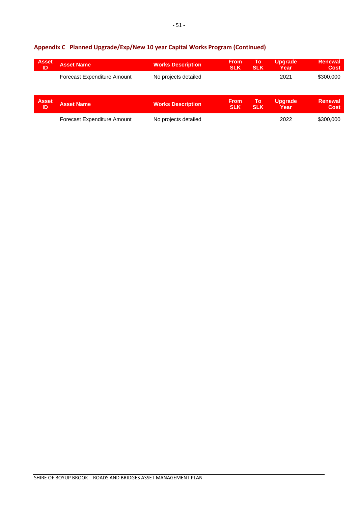| <b>Asset</b><br>ID | <b>Asset Name</b>           | <b>Works Description</b> | <b>From</b><br><b>SLK</b> | To<br><b>SLK</b> | <b>Upgrade</b><br>Year | <b>Renewal</b><br><b>Cost</b> |
|--------------------|-----------------------------|--------------------------|---------------------------|------------------|------------------------|-------------------------------|
|                    | Forecast Expenditure Amount | No projects detailed     |                           |                  | 2021                   | \$300,000                     |
|                    |                             |                          |                           |                  |                        |                               |
| <b>Asset</b><br>ID | <b>Asset Name</b>           | <b>Works Description</b> | <b>From</b><br><b>SLK</b> | To<br><b>SLK</b> | <b>Upgrade</b><br>Year | <b>Renewal</b><br><b>Cost</b> |
|                    | Forecast Expenditure Amount | No projects detailed     |                           |                  | 2022                   | \$300,000                     |

# **Appendix C Planned Upgrade/Exp/New 10 year Capital Works Program (Continued)**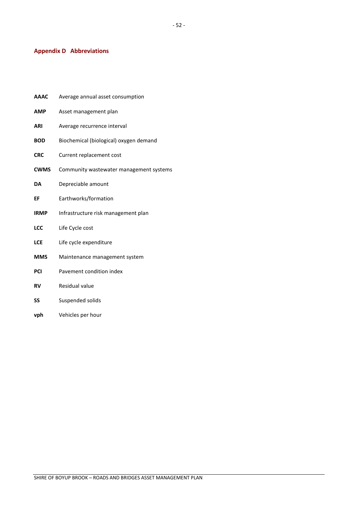## <span id="page-58-0"></span>**Appendix D Abbreviations**

- **AAAC** Average annual asset consumption **AMP** Asset management plan **ARI** Average recurrence interval **BOD** Biochemical (biological) oxygen demand **CRC** Current replacement cost **CWMS** Community wastewater management systems **DA** Depreciable amount **EF** Earthworks/formation **IRMP** Infrastructure risk management plan **LCC** Life Cycle cost **LCE** Life cycle expenditure **MMS** Maintenance management system **PCI** Pavement condition index **RV** Residual value **SS** Suspended solids
- **vph** Vehicles per hour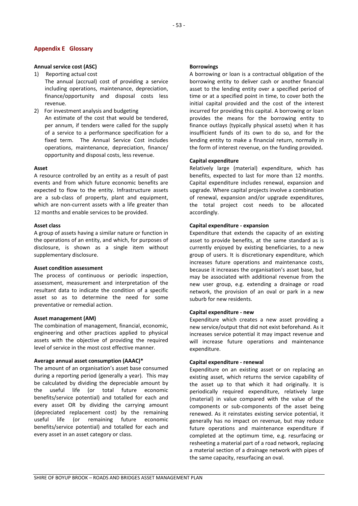# <span id="page-59-0"></span>**Appendix E Glossary**

#### **Annual service cost (ASC)**

- 1) Reporting actual cost The annual (accrual) cost of providing a service including operations, maintenance, depreciation, finance/opportunity and disposal costs less revenue.
- 2) For investment analysis and budgeting An estimate of the cost that would be tendered, per annum, if tenders were called for the supply of a service to a performance specification for a fixed term. The Annual Service Cost includes operations, maintenance, depreciation, finance/ opportunity and disposal costs, less revenue.

#### **Asset**

A resource controlled by an entity as a result of past events and from which future economic benefits are expected to flow to the entity. Infrastructure assets are a sub-class of property, plant and equipment, which are non-current assets with a life greater than 12 months and enable services to be provided.

#### **Asset class**

A group of assets having a similar nature or function in the operations of an entity, and which, for purposes of disclosure, is shown as a single item without supplementary disclosure.

#### **Asset condition assessment**

The process of continuous or periodic inspection, assessment, measurement and interpretation of the resultant data to indicate the condition of a specific asset so as to determine the need for some preventative or remedial action.

#### **Asset management (AM)**

The combination of management, financial, economic, engineering and other practices applied to physical assets with the objective of providing the required level of service in the most cost effective manner.

#### **Average annual asset consumption (AAAC)\***

The amount of an organisation's asset base consumed during a reporting period (generally a year). This may be calculated by dividing the depreciable amount by the useful life (or total future economic benefits/service potential) and totalled for each and every asset OR by dividing the carrying amount (depreciated replacement cost) by the remaining useful life (or remaining future economic benefits/service potential) and totalled for each and every asset in an asset category or class.

#### **Borrowings**

A borrowing or loan is a contractual obligation of the borrowing entity to deliver cash or another financial asset to the lending entity over a specified period of time or at a specified point in time, to cover both the initial capital provided and the cost of the interest incurred for providing this capital. A borrowing or loan provides the means for the borrowing entity to finance outlays (typically physical assets) when it has insufficient funds of its own to do so, and for the lending entity to make a financial return, normally in the form of interest revenue, on the funding provided**.**

#### **Capital expenditure**

Relatively large (material) expenditure, which has benefits, expected to last for more than 12 months. Capital expenditure includes renewal, expansion and upgrade. Where capital projects involve a combination of renewal, expansion and/or upgrade expenditures, the total project cost needs to be allocated accordingly.

#### **Capital expenditure - expansion**

Expenditure that extends the capacity of an existing asset to provide benefits, at the same standard as is currently enjoyed by existing beneficiaries, to a new group of users. It is discretionary expenditure, which increases future operations and maintenance costs, because it increases the organisation's asset base, but may be associated with additional revenue from the new user group, e.g. extending a drainage or road network, the provision of an oval or park in a new suburb for new residents.

#### **Capital expenditure - new**

Expenditure which creates a new asset providing a new service/output that did not exist beforehand. As it increases service potential it may impact revenue and will increase future operations and maintenance expenditure.

#### **Capital expenditure - renewal**

Expenditure on an existing asset or on replacing an existing asset, which returns the service capability of the asset up to that which it had originally. It is periodically required expenditure, relatively large (material) in value compared with the value of the components or sub-components of the asset being renewed. As it reinstates existing service potential, it generally has no impact on revenue, but may reduce future operations and maintenance expenditure if completed at the optimum time, e.g. resurfacing or resheeting a material part of a road network, replacing a material section of a drainage network with pipes of the same capacity, resurfacing an oval.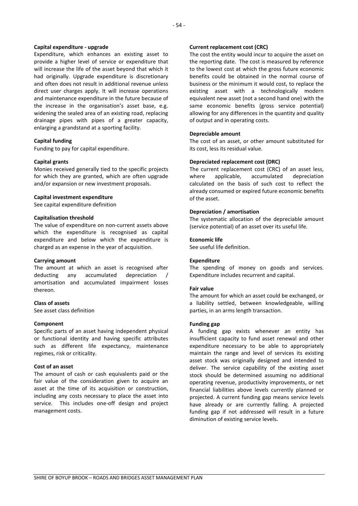#### **Capital expenditure - upgrade**

Expenditure, which enhances an existing asset to provide a higher level of service or expenditure that will increase the life of the asset beyond that which it had originally. Upgrade expenditure is discretionary and often does not result in additional revenue unless direct user charges apply. It will increase operations and maintenance expenditure in the future because of the increase in the organisation's asset base, e.g. widening the sealed area of an existing road, replacing drainage pipes with pipes of a greater capacity, enlarging a grandstand at a sporting facility.

#### **Capital funding**

Funding to pay for capital expenditure.

#### **Capital grants**

Monies received generally tied to the specific projects for which they are granted, which are often upgrade and/or expansion or new investment proposals.

#### **Capital investment expenditure**

See capital expenditure definition

#### **Capitalisation threshold**

The value of expenditure on non-current assets above which the expenditure is recognised as capital expenditure and below which the expenditure is charged as an expense in the year of acquisition.

#### **Carrying amount**

The amount at which an asset is recognised after deducting any accumulated depreciation / amortisation and accumulated impairment losses thereon.

#### **Class of assets**

See asset class definition

#### **Component**

Specific parts of an asset having independent physical or functional identity and having specific attributes such as different life expectancy, maintenance regimes, risk or criticality.

#### **Cost of an asset**

The amount of cash or cash equivalents paid or the fair value of the consideration given to acquire an asset at the time of its acquisition or construction, including any costs necessary to place the asset into service. This includes one-off design and project management costs.

#### **Current replacement cost (CRC)**

The cost the entity would incur to acquire the asset on the reporting date. The cost is measured by reference to the lowest cost at which the gross future economic benefits could be obtained in the normal course of business or the minimum it would cost, to replace the existing asset with a technologically modern equivalent new asset (not a second hand one) with the same economic benefits (gross service potential) allowing for any differences in the quantity and quality of output and in operating costs.

#### **Depreciable amount**

The cost of an asset, or other amount substituted for its cost, less its residual value.

#### **Depreciated replacement cost (DRC)**

The current replacement cost (CRC) of an asset less, where applicable, accumulated depreciation calculated on the basis of such cost to reflect the already consumed or expired future economic benefits of the asset.

#### **Depreciation / amortisation**

The systematic allocation of the depreciable amount (service potential) of an asset over its useful life.

#### **Economic life**

See useful life definition.

#### **Expenditure**

The spending of money on goods and services. Expenditure includes recurrent and capital.

#### **Fair value**

The amount for which an asset could be exchanged, or a liability settled, between knowledgeable, willing parties, in an arms length transaction.

#### **Funding gap**

A funding gap exists whenever an entity has insufficient capacity to fund asset renewal and other expenditure necessary to be able to appropriately maintain the range and level of services its existing asset stock was originally designed and intended to deliver. The service capability of the existing asset stock should be determined assuming no additional operating revenue, productivity improvements, or net financial liabilities above levels currently planned or projected. A current funding gap means service levels have already or are currently falling. A projected funding gap if not addressed will result in a future diminution of existing service levels**.**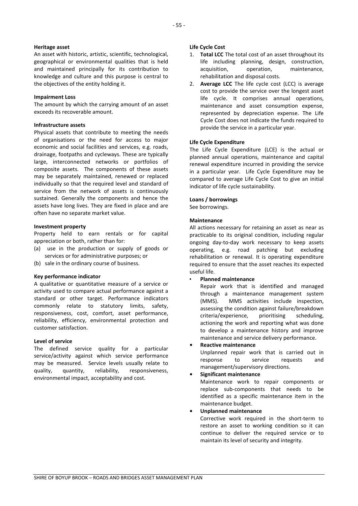#### **Heritage asset**

An asset with historic, artistic, scientific, technological, geographical or environmental qualities that is held and maintained principally for its contribution to knowledge and culture and this purpose is central to the objectives of the entity holding it.

#### **Impairment Loss**

The amount by which the carrying amount of an asset exceeds its recoverable amount.

#### **Infrastructure assets**

Physical assets that contribute to meeting the needs of organisations or the need for access to major economic and social facilities and services, e.g. roads, drainage, footpaths and cycleways. These are typically large, interconnected networks or portfolios of composite assets. The components of these assets may be separately maintained, renewed or replaced individually so that the required level and standard of service from the network of assets is continuously sustained. Generally the components and hence the assets have long lives. They are fixed in place and are often have no separate market value.

#### **Investment property**

Property held to earn rentals or for capital appreciation or both, rather than for:

- (a) use in the production or supply of goods or services or for administrative purposes; or
- (b) sale in the ordinary course of business.

#### **Key performance indicator**

A qualitative or quantitative measure of a service or activity used to compare actual performance against a standard or other target. Performance indicators commonly relate to statutory limits, safety, responsiveness, cost, comfort, asset performance, reliability, efficiency, environmental protection and customer satisfaction.

#### **Level of service**

The defined service quality for a particular service/activity against which service performance may be measured. Service levels usually relate to quality, quantity, reliability, responsiveness, environmental impact, acceptability and cost.

#### **Life Cycle Cost**

- 1. **Total LCC** The total cost of an asset throughout its life including planning, design, construction, acquisition, operation, maintenance, rehabilitation and disposal costs.
- 2. **Average LCC** The life cycle cost (LCC) is average cost to provide the service over the longest asset life cycle. It comprises annual operations, maintenance and asset consumption expense, represented by depreciation expense. The Life Cycle Cost does not indicate the funds required to provide the service in a particular year.

# **Life Cycle Expenditure**

The Life Cycle Expenditure (LCE) is the actual or planned annual operations, maintenance and capital renewal expenditure incurred in providing the service in a particular year. Life Cycle Expenditure may be compared to average Life Cycle Cost to give an initial indicator of life cycle sustainability.

#### **Loans / borrowings**

See borrowings.

#### **Maintenance**

All actions necessary for retaining an asset as near as practicable to its original condition, including regular ongoing day-to-day work necessary to keep assets operating, e.g. road patching but excluding rehabilitation or renewal. It is operating expenditure required to ensure that the asset reaches its expected useful life.

• **Planned maintenance**

Repair work that is identified and managed through a maintenance management system (MMS). MMS activities include inspection, assessing the condition against failure/breakdown criteria/experience, prioritising scheduling, actioning the work and reporting what was done to develop a maintenance history and improve maintenance and service delivery performance.

**• Reactive maintenance**

Unplanned repair work that is carried out in response to service requests and management/supervisory directions.

# **• Significant maintenance**

Maintenance work to repair components or replace sub-components that needs to be identified as a specific maintenance item in the maintenance budget.

#### **• Unplanned maintenance**

Corrective work required in the short-term to restore an asset to working condition so it can continue to deliver the required service or to maintain its level of security and integrity.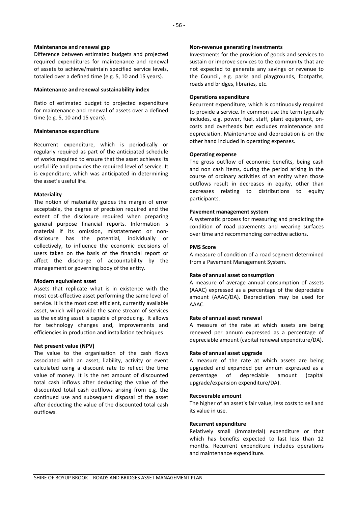#### **Maintenance and renewal gap**

Difference between estimated budgets and projected required expenditures for maintenance and renewal of assets to achieve/maintain specified service levels, totalled over a defined time (e.g. 5, 10 and 15 years).

#### **Maintenance and renewal sustainability index**

Ratio of estimated budget to projected expenditure for maintenance and renewal of assets over a defined time (e.g. 5, 10 and 15 years).

#### **Maintenance expenditure**

Recurrent expenditure, which is periodically or regularly required as part of the anticipated schedule of works required to ensure that the asset achieves its useful life and provides the required level of service. It is expenditure, which was anticipated in determining the asset's useful life.

### **Materiality**

The notion of materiality guides the margin of error acceptable, the degree of precision required and the extent of the disclosure required when preparing general purpose financial reports. Information is material if its omission, misstatement or nondisclosure has the potential, individually or collectively, to influence the economic decisions of users taken on the basis of the financial report or affect the discharge of accountability by the management or governing body of the entity.

# **Modern equivalent asset**

Assets that replicate what is in existence with the most cost-effective asset performing the same level of service. It is the most cost efficient, currently available asset, which will provide the same stream of services as the existing asset is capable of producing. It allows for technology changes and, improvements and efficiencies in production and installation techniques

# **Net present value (NPV)**

The value to the organisation of the cash flows associated with an asset, liability, activity or event calculated using a discount rate to reflect the time value of money. It is the net amount of discounted total cash inflows after deducting the value of the discounted total cash outflows arising from e.g. the continued use and subsequent disposal of the asset after deducting the value of the discounted total cash outflows.

#### **Non-revenue generating investments**

Investments for the provision of goods and services to sustain or improve services to the community that are not expected to generate any savings or revenue to the Council, e.g. parks and playgrounds, footpaths, roads and bridges, libraries, etc.

## **Operations expenditure**

Recurrent expenditure, which is continuously required to provide a service. In common use the term typically includes, e.g. power, fuel, staff, plant equipment, oncosts and overheads but excludes maintenance and depreciation. Maintenance and depreciation is on the other hand included in operating expenses.

#### **Operating expense**

The gross outflow of economic benefits, being cash and non cash items, during the period arising in the course of ordinary activities of an entity when those outflows result in decreases in equity, other than decreases relating to distributions to equity participants.

# **Pavement management system**

A systematic process for measuring and predicting the condition of road pavements and wearing surfaces over time and recommending corrective actions.

#### **PMS Score**

A measure of condition of a road segment determined from a Pavement Management System.

# **Rate of annual asset consumption**

A measure of average annual consumption of assets (AAAC) expressed as a percentage of the depreciable amount (AAAC/DA). Depreciation may be used for AAAC.

#### **Rate of annual asset renewal**

A measure of the rate at which assets are being renewed per annum expressed as a percentage of depreciable amount (capital renewal expenditure/DA).

# **Rate of annual asset upgrade**

A measure of the rate at which assets are being upgraded and expanded per annum expressed as a percentage of depreciable amount (capital upgrade/expansion expenditure/DA).

#### **Recoverable amount**

The higher of an asset's fair value, less costs to sell and its value in use.

#### **Recurrent expenditure**

Relatively small (immaterial) expenditure or that which has benefits expected to last less than 12 months. Recurrent expenditure includes operations and maintenance expenditure.